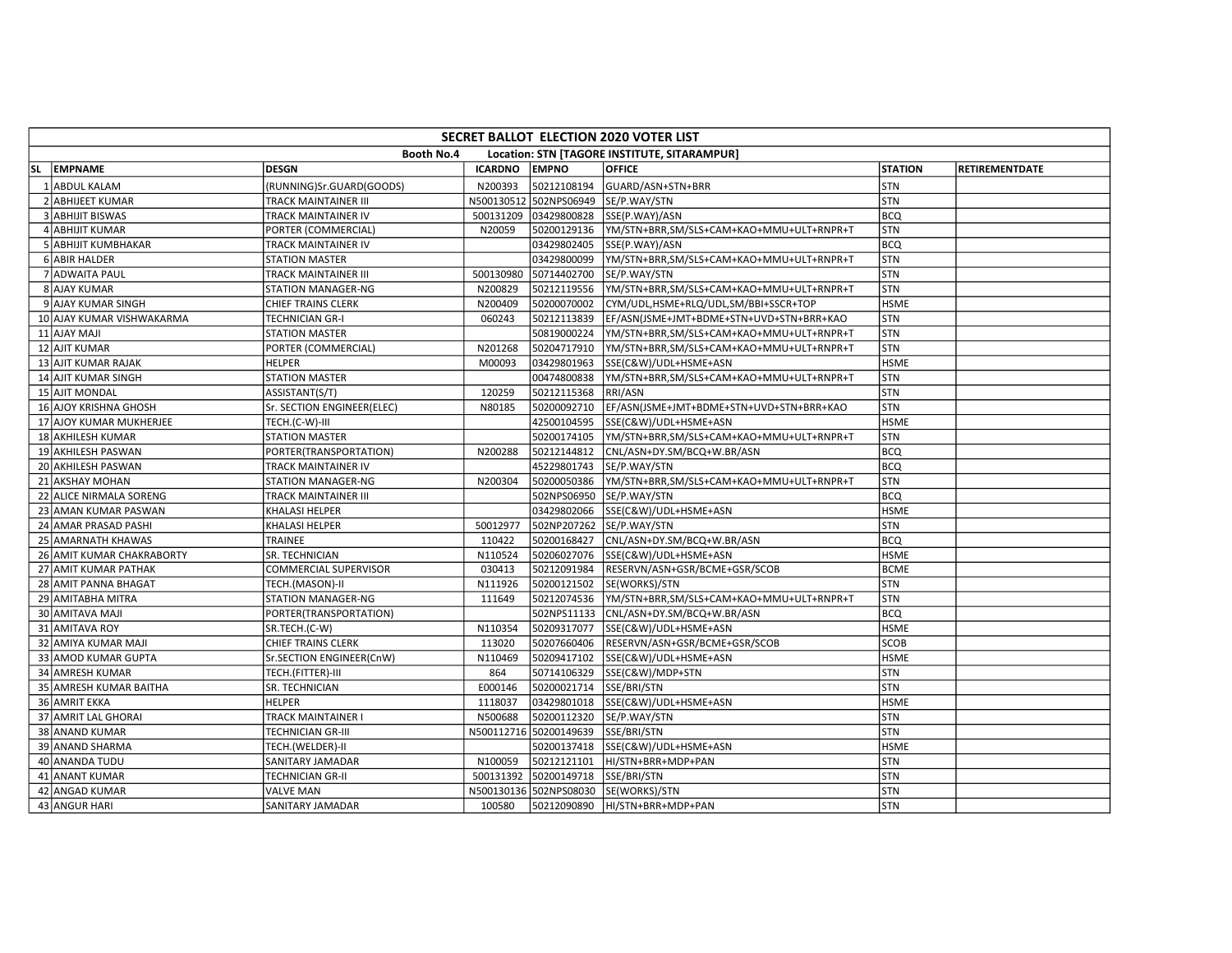| SECRET BALLOT ELECTION 2020 VOTER LIST |                                                            |                |                        |                                          |                |                |  |  |  |  |  |  |
|----------------------------------------|------------------------------------------------------------|----------------|------------------------|------------------------------------------|----------------|----------------|--|--|--|--|--|--|
|                                        | Booth No.4<br>Location: STN [TAGORE INSTITUTE, SITARAMPUR] |                |                        |                                          |                |                |  |  |  |  |  |  |
| SL EMPNAME                             | DESGN                                                      | <b>ICARDNO</b> | <b>EMPNO</b>           | <b>OFFICE</b>                            | <b>STATION</b> | RETIREMENTDATE |  |  |  |  |  |  |
| 1 ABDUL KALAM                          | (RUNNING)Sr.GUARD(GOODS)                                   | N200393        | 50212108194            | GUARD/ASN+STN+BRR                        | STN            |                |  |  |  |  |  |  |
| 2 ABHIJEET KUMAR                       | TRACK MAINTAINER III                                       | N500130512     | 502NPS06949            | SE/P.WAY/STN                             | STN            |                |  |  |  |  |  |  |
| 3 ABHIJIT BISWAS                       | TRACK MAINTAINER IV                                        | 500131209      | 03429800828            | SSE(P.WAY)/ASN                           | BCQ            |                |  |  |  |  |  |  |
| 4 ABHIJIT KUMAR                        | PORTER (COMMERCIAL)                                        | N20059         | 50200129136            | YM/STN+BRR,SM/SLS+CAM+KAO+MMU+ULT+RNPR+T | STN            |                |  |  |  |  |  |  |
| 5 ABHIJIT KUMBHAKAR                    | TRACK MAINTAINER IV                                        |                | 03429802405            | SSE(P.WAY)/ASN                           | <b>BCQ</b>     |                |  |  |  |  |  |  |
| 6 ABIR HALDER                          | <b>STATION MASTER</b>                                      |                | 03429800099            | YM/STN+BRR,SM/SLS+CAM+KAO+MMU+ULT+RNPR+T | <b>STN</b>     |                |  |  |  |  |  |  |
| 7 ADWAITA PAUL                         | <b>TRACK MAINTAINER III</b>                                | 500130980      | 50714402700            | SE/P.WAY/STN                             | STN            |                |  |  |  |  |  |  |
| 8 AJAY KUMAR                           | <b>STATION MANAGER-NG</b>                                  | N200829        | 50212119556            | YM/STN+BRR,SM/SLS+CAM+KAO+MMU+ULT+RNPR+T | <b>STN</b>     |                |  |  |  |  |  |  |
| 9 AJAY KUMAR SINGH                     | <b>CHIEF TRAINS CLERK</b>                                  | N200409        | 50200070002            | CYM/UDL,HSME+RLQ/UDL,SM/BBI+SSCR+TOP     | <b>HSME</b>    |                |  |  |  |  |  |  |
| 10 AJAY KUMAR VISHWAKARMA              | <b>TECHNICIAN GR-I</b>                                     | 060243         | 50212113839            | EF/ASN(JSME+JMT+BDME+STN+UVD+STN+BRR+KAO | <b>STN</b>     |                |  |  |  |  |  |  |
| 11 AJAY MAJI                           | <b>STATION MASTER</b>                                      |                | 50819000224            | YM/STN+BRR,SM/SLS+CAM+KAO+MMU+ULT+RNPR+T | STN            |                |  |  |  |  |  |  |
| 12 AJIT KUMAR                          | PORTER (COMMERCIAL)                                        | N201268        | 50204717910            | YM/STN+BRR,SM/SLS+CAM+KAO+MMU+ULT+RNPR+T | <b>STN</b>     |                |  |  |  |  |  |  |
| 13 AJIT KUMAR RAJAK                    | <b>HELPER</b>                                              | M00093         | 03429801963            | SSE(C&W)/UDL+HSME+ASN                    | <b>HSME</b>    |                |  |  |  |  |  |  |
| 14 AJIT KUMAR SINGH                    | <b>STATION MASTER</b>                                      |                | 00474800838            | YM/STN+BRR,SM/SLS+CAM+KAO+MMU+ULT+RNPR+T | <b>STN</b>     |                |  |  |  |  |  |  |
| 15 AJIT MONDAL                         | ASSISTANT(S/T)                                             | 120259         | 50212115368            | <b>RRI/ASN</b>                           | <b>STN</b>     |                |  |  |  |  |  |  |
| 16 AJOY KRISHNA GHOSH                  | Sr. SECTION ENGINEER(ELEC)                                 | N80185         | 50200092710            | EF/ASN(JSME+JMT+BDME+STN+UVD+STN+BRR+KAO | STN            |                |  |  |  |  |  |  |
| 17 AJOY KUMAR MUKHERJEE                | TECH.(C-W)-III                                             |                | 42500104595            | SSE(C&W)/UDL+HSME+ASN                    | <b>HSME</b>    |                |  |  |  |  |  |  |
| 18 AKHILESH KUMAR                      | <b>STATION MASTER</b>                                      |                | 50200174105            | YM/STN+BRR,SM/SLS+CAM+KAO+MMU+ULT+RNPR+T | STN            |                |  |  |  |  |  |  |
| 19 AKHILESH PASWAN                     | PORTER(TRANSPORTATION)                                     | N200288        | 50212144812            | CNL/ASN+DY.SM/BCQ+W.BR/ASN               | <b>BCQ</b>     |                |  |  |  |  |  |  |
| 20 AKHILESH PASWAN                     | <b>TRACK MAINTAINER IV</b>                                 |                | 45229801743            | SE/P.WAY/STN                             | <b>BCQ</b>     |                |  |  |  |  |  |  |
| 21 AKSHAY MOHAN                        | <b>STATION MANAGER-NG</b>                                  | N200304        | 50200050386            | YM/STN+BRR,SM/SLS+CAM+KAO+MMU+ULT+RNPR+T | <b>STN</b>     |                |  |  |  |  |  |  |
| 22 ALICE NIRMALA SORENG                | <b>TRACK MAINTAINER III</b>                                |                | 502NPS06950            | SE/P.WAY/STN                             | <b>BCQ</b>     |                |  |  |  |  |  |  |
| 23 AMAN KUMAR PASWAN                   | KHALASI HELPER                                             |                | 03429802066            | SSE(C&W)/UDL+HSME+ASN                    | <b>HSME</b>    |                |  |  |  |  |  |  |
| 24 AMAR PRASAD PASHI                   | KHALASI HELPER                                             | 50012977       | 502NP207262            | SE/P.WAY/STN                             | <b>STN</b>     |                |  |  |  |  |  |  |
| 25 AMARNATH KHAWAS                     | TRAINEE                                                    | 110422         | 50200168427            | CNL/ASN+DY.SM/BCQ+W.BR/ASN               | <b>BCQ</b>     |                |  |  |  |  |  |  |
| 26 AMIT KUMAR CHAKRABORTY              | SR. TECHNICIAN                                             | N110524        | 50206027076            | SSE(C&W)/UDL+HSME+ASN                    | <b>HSME</b>    |                |  |  |  |  |  |  |
| 27 AMIT KUMAR PATHAK                   | COMMERCIAL SUPERVISOR                                      | 030413         | 50212091984            | RESERVN/ASN+GSR/BCME+GSR/SCOB            | <b>BCME</b>    |                |  |  |  |  |  |  |
| 28 AMIT PANNA BHAGAT                   | TECH.(MASON)-II                                            | N111926        | 50200121502            | SE(WORKS)/STN                            | <b>STN</b>     |                |  |  |  |  |  |  |
| 29 AMITABHA MITRA                      | STATION MANAGER-NG                                         | 111649         | 50212074536            | YM/STN+BRR,SM/SLS+CAM+KAO+MMU+ULT+RNPR+T | <b>STN</b>     |                |  |  |  |  |  |  |
| 30 AMITAVA MAJI                        | PORTER(TRANSPORTATION)                                     |                | 502NPS11133            | CNL/ASN+DY.SM/BCQ+W.BR/ASN               | <b>BCQ</b>     |                |  |  |  |  |  |  |
| 31 AMITAVA ROY                         | SR.TECH.(C-W)                                              | N110354        | 50209317077            | SSE(C&W)/UDL+HSME+ASN                    | <b>HSME</b>    |                |  |  |  |  |  |  |
| 32 AMIYA KUMAR MAJI                    | CHIEF TRAINS CLERK                                         | 113020         | 50207660406            | RESERVN/ASN+GSR/BCME+GSR/SCOB            | <b>SCOB</b>    |                |  |  |  |  |  |  |
| 33 AMOD KUMAR GUPTA                    | Sr.SECTION ENGINEER(CnW)                                   | N110469        | 50209417102            | SSE(C&W)/UDL+HSME+ASN                    | <b>HSME</b>    |                |  |  |  |  |  |  |
| 34 AMRESH KUMAR                        | TECH.(FITTER)-III                                          | 864            | 50714106329            | SSE(C&W)/MDP+STN                         | <b>STN</b>     |                |  |  |  |  |  |  |
| 35 AMRESH KUMAR BAITHA                 | SR. TECHNICIAN                                             | E000146        | 50200021714            | SSE/BRI/STN                              | <b>STN</b>     |                |  |  |  |  |  |  |
| 36 AMRIT EKKA                          | <b>HELPER</b>                                              | 1118037        | 03429801018            | SSE(C&W)/UDL+HSME+ASN                    | <b>HSME</b>    |                |  |  |  |  |  |  |
| 37 AMRIT LAL GHORAI                    | <b>TRACK MAINTAINER I</b>                                  | N500688        | 50200112320            | SE/P.WAY/STN                             | <b>STN</b>     |                |  |  |  |  |  |  |
| 38 ANAND KUMAR                         | <b>TECHNICIAN GR-III</b>                                   | N500112716     | 50200149639            | SSE/BRI/STN                              | <b>STN</b>     |                |  |  |  |  |  |  |
| 39 ANAND SHARMA                        | TECH.(WELDER)-II                                           |                | 50200137418            | SSE(C&W)/UDL+HSME+ASN                    | <b>HSME</b>    |                |  |  |  |  |  |  |
| 40 ANANDA TUDU                         | <b>SANITARY JAMADAR</b>                                    | N100059        | 50212121101            | HI/STN+BRR+MDP+PAN                       | <b>STN</b>     |                |  |  |  |  |  |  |
| 41 ANANT KUMAR                         | TECHNICIAN GR-II                                           | 500131392      | 50200149718            | SSE/BRI/STN                              | STN            |                |  |  |  |  |  |  |
| 42 ANGAD KUMAR                         | <b>VALVE MAN</b>                                           |                | N500130136 502NPS08030 | SE(WORKS)/STN                            | <b>STN</b>     |                |  |  |  |  |  |  |
| 43 ANGUR HARI                          | <b>SANITARY JAMADAR</b>                                    | 100580         | 50212090890            | HI/STN+BRR+MDP+PAN                       | <b>STN</b>     |                |  |  |  |  |  |  |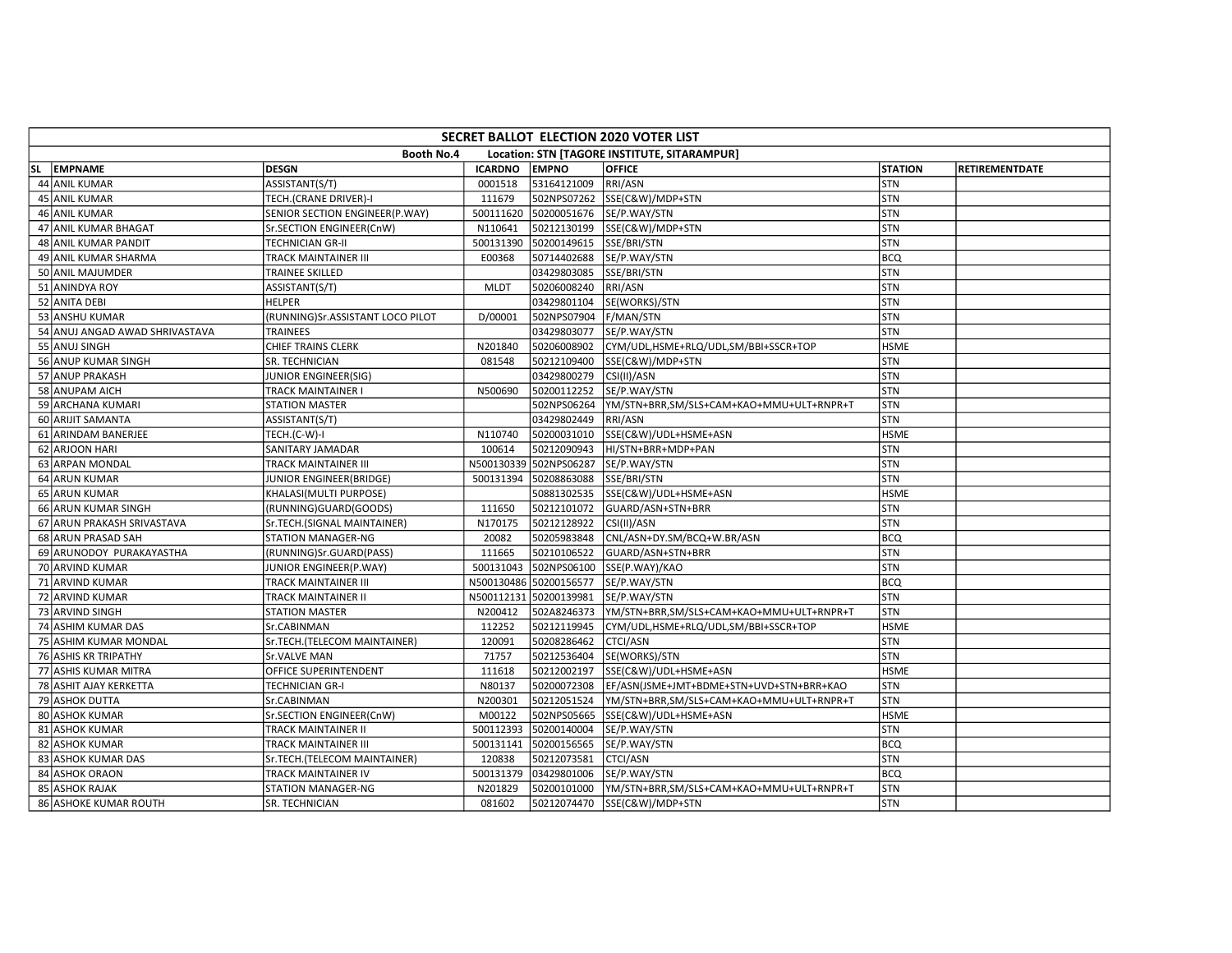| SECRET BALLOT ELECTION 2020 VOTER LIST |                                  |                |                        |                                              |                |                       |  |  |  |  |
|----------------------------------------|----------------------------------|----------------|------------------------|----------------------------------------------|----------------|-----------------------|--|--|--|--|
|                                        | <b>Booth No.4</b>                |                |                        | Location: STN [TAGORE INSTITUTE, SITARAMPUR] |                |                       |  |  |  |  |
| SL EMPNAME                             | <b>DESGN</b>                     | <b>ICARDNO</b> | <b>EMPNO</b>           | <b>OFFICE</b>                                | <b>STATION</b> | <b>RETIREMENTDATE</b> |  |  |  |  |
| 44 ANIL KUMAR                          | ASSISTANT(S/T)                   | 0001518        | 53164121009            | RRI/ASN                                      | STN            |                       |  |  |  |  |
| 45 ANIL KUMAR                          | TECH.(CRANE DRIVER)-I            | 111679         | 502NPS07262            | SSE(C&W)/MDP+STN                             | STN            |                       |  |  |  |  |
| 46 ANIL KUMAR                          | SENIOR SECTION ENGINEER(P.WAY)   | 500111620      | 50200051676            | SE/P.WAY/STN                                 | <b>STN</b>     |                       |  |  |  |  |
| 47 ANIL KUMAR BHAGAT                   | Sr.SECTION ENGINEER(CnW)         | N110641        | 50212130199            | SSE(C&W)/MDP+STN                             | STN            |                       |  |  |  |  |
| 48 ANIL KUMAR PANDIT                   | <b>TECHNICIAN GR-II</b>          | 500131390      | 50200149615            | SSE/BRI/STN                                  | <b>STN</b>     |                       |  |  |  |  |
| 49 ANIL KUMAR SHARMA                   | TRACK MAINTAINER III             | E00368         | 50714402688            | SE/P.WAY/STN                                 | <b>BCQ</b>     |                       |  |  |  |  |
| 50 ANIL MAJUMDER                       | TRAINEE SKILLED                  |                | 03429803085            | SSE/BRI/STN                                  | <b>STN</b>     |                       |  |  |  |  |
| 51 ANINDYA ROY                         | ASSISTANT(S/T)                   | <b>MLDT</b>    | 50206008240            | RRI/ASN                                      | STN            |                       |  |  |  |  |
| 52 ANITA DEBI                          | <b>HELPER</b>                    |                | 03429801104            | SE(WORKS)/STN                                | STN            |                       |  |  |  |  |
| 53 ANSHU KUMAR                         | (RUNNING)Sr.ASSISTANT LOCO PILOT | D/00001        | 502NPS07904            | F/MAN/STN                                    | <b>STN</b>     |                       |  |  |  |  |
| 54 ANUJ ANGAD AWAD SHRIVASTAVA         | <b>TRAINEES</b>                  |                | 03429803077            | SE/P.WAY/STN                                 | <b>STN</b>     |                       |  |  |  |  |
| 55 ANUJ SINGH                          | CHIEF TRAINS CLERK               | N201840        | 50206008902            | CYM/UDL,HSME+RLQ/UDL,SM/BBI+SSCR+TOP         | <b>HSME</b>    |                       |  |  |  |  |
| 56 ANUP KUMAR SINGH                    | SR. TECHNICIAN                   | 081548         | 50212109400            | SSE(C&W)/MDP+STN                             | STN            |                       |  |  |  |  |
| 57 ANUP PRAKASH                        | JUNIOR ENGINEER(SIG)             |                | 03429800279            | CSI(II)/ASN                                  | STN            |                       |  |  |  |  |
| 58 ANUPAM AICH                         | TRACK MAINTAINER I               | N500690        | 50200112252            | SE/P.WAY/STN                                 | STN            |                       |  |  |  |  |
| 59 ARCHANA KUMARI                      | <b>STATION MASTER</b>            |                | 502NPS06264            | YM/STN+BRR,SM/SLS+CAM+KAO+MMU+ULT+RNPR+T     | STN            |                       |  |  |  |  |
| 60 ARIJIT SAMANTA                      | ASSISTANT(S/T)                   |                | 03429802449            | RRI/ASN                                      | STN            |                       |  |  |  |  |
| 61 ARINDAM BANERJEE                    | TECH.(C-W)-I                     | N110740        | 50200031010            | SSE(C&W)/UDL+HSME+ASN                        | <b>HSME</b>    |                       |  |  |  |  |
| 62 ARJOON HARI                         | SANITARY JAMADAR                 | 100614         | 50212090943            | HI/STN+BRR+MDP+PAN                           | <b>STN</b>     |                       |  |  |  |  |
| 63 ARPAN MONDAL                        | TRACK MAINTAINER III             | N500130339     | 502NPS06287            | SE/P.WAY/STN                                 | STN            |                       |  |  |  |  |
| 64 ARUN KUMAR                          | JUNIOR ENGINEER(BRIDGE)          | 500131394      | 50208863088            | SSE/BRI/STN                                  | <b>STN</b>     |                       |  |  |  |  |
| 65 ARUN KUMAR                          | KHALASI(MULTI PURPOSE)           |                | 50881302535            | SSE(C&W)/UDL+HSME+ASN                        | <b>HSME</b>    |                       |  |  |  |  |
| 66 ARUN KUMAR SINGH                    | (RUNNING)GUARD(GOODS)            | 111650         | 50212101072            | GUARD/ASN+STN+BRR                            | STN            |                       |  |  |  |  |
| 67 ARUN PRAKASH SRIVASTAVA             | Sr.TECH.(SIGNAL MAINTAINER)      | N170175        | 50212128922            | CSI(II)/ASN                                  | <b>STN</b>     |                       |  |  |  |  |
| 68 ARUN PRASAD SAH                     | STATION MANAGER-NG               | 20082          | 50205983848            | CNL/ASN+DY.SM/BCQ+W.BR/ASN                   | BCQ            |                       |  |  |  |  |
| 69 ARUNODOY PURAKAYASTHA               | (RUNNING)Sr.GUARD(PASS)          | 111665         | 50210106522            | GUARD/ASN+STN+BRR                            | <b>STN</b>     |                       |  |  |  |  |
| 70 ARVIND KUMAR                        | JUNIOR ENGINEER(P.WAY)           | 500131043      | 502NPS06100            | SSE(P.WAY)/KAO                               | STN            |                       |  |  |  |  |
| 71 ARVIND KUMAR                        | TRACK MAINTAINER III             |                | N500130486 50200156577 | SE/P.WAY/STN                                 | <b>BCQ</b>     |                       |  |  |  |  |
| 72 ARVIND KUMAR                        | TRACK MAINTAINER II              |                | N500112131 50200139981 | SE/P.WAY/STN                                 | <b>STN</b>     |                       |  |  |  |  |
| 73 ARVIND SINGH                        | <b>STATION MASTER</b>            | N200412        | 502A8246373            | YM/STN+BRR,SM/SLS+CAM+KAO+MMU+ULT+RNPR+T     | STN            |                       |  |  |  |  |
| 74 ASHIM KUMAR DAS                     | Sr.CABINMAN                      | 112252         | 50212119945            | CYM/UDL,HSME+RLQ/UDL,SM/BBI+SSCR+TOP         | <b>HSME</b>    |                       |  |  |  |  |
| 75 ASHIM KUMAR MONDAL                  | Sr.TECH.(TELECOM MAINTAINER)     | 120091         | 50208286462            | <b>CTCI/ASN</b>                              | <b>STN</b>     |                       |  |  |  |  |
| 76 ASHIS KR TRIPATHY                   | Sr.VALVE MAN                     | 71757          | 50212536404            | SE(WORKS)/STN                                | STN            |                       |  |  |  |  |
| 77 ASHIS KUMAR MITRA                   | OFFICE SUPERINTENDENT            | 111618         | 50212002197            | SSE(C&W)/UDL+HSME+ASN                        | <b>HSME</b>    |                       |  |  |  |  |
| 78 ASHIT AJAY KERKETTA                 | <b>TECHNICIAN GR-I</b>           | N80137         | 50200072308            | EF/ASN(JSME+JMT+BDME+STN+UVD+STN+BRR+KAO     | STN            |                       |  |  |  |  |
| 79 ASHOK DUTTA                         | Sr.CABINMAN                      | N200301        | 50212051524            | YM/STN+BRR,SM/SLS+CAM+KAO+MMU+ULT+RNPR+T     | STN            |                       |  |  |  |  |
| 80 ASHOK KUMAR                         | Sr.SECTION ENGINEER(CnW)         | M00122         | 502NPS05665            | SSE(C&W)/UDL+HSME+ASN                        | <b>HSME</b>    |                       |  |  |  |  |
| 81 ASHOK KUMAR                         | TRACK MAINTAINER II              | 500112393      | 50200140004            | SE/P.WAY/STN                                 | STN            |                       |  |  |  |  |
| 82 ASHOK KUMAR                         | <b>TRACK MAINTAINER III</b>      | 500131141      | 50200156565            | SE/P.WAY/STN                                 | <b>BCO</b>     |                       |  |  |  |  |
| 83 ASHOK KUMAR DAS                     | Sr.TECH.(TELECOM MAINTAINER)     | 120838         | 50212073581            | <b>CTCI/ASN</b>                              | STN            |                       |  |  |  |  |
| 84 ASHOK ORAON                         | TRACK MAINTAINER IV              | 500131379      | 03429801006            | SE/P.WAY/STN                                 | <b>BCQ</b>     |                       |  |  |  |  |
| 85 ASHOK RAJAK                         | STATION MANAGER-NG               | N201829        | 50200101000            | YM/STN+BRR,SM/SLS+CAM+KAO+MMU+ULT+RNPR+T     | <b>STN</b>     |                       |  |  |  |  |
| 86 ASHOKE KUMAR ROUTH                  | SR. TECHNICIAN                   | 081602         | 50212074470            | SSE(C&W)/MDP+STN                             | STN            |                       |  |  |  |  |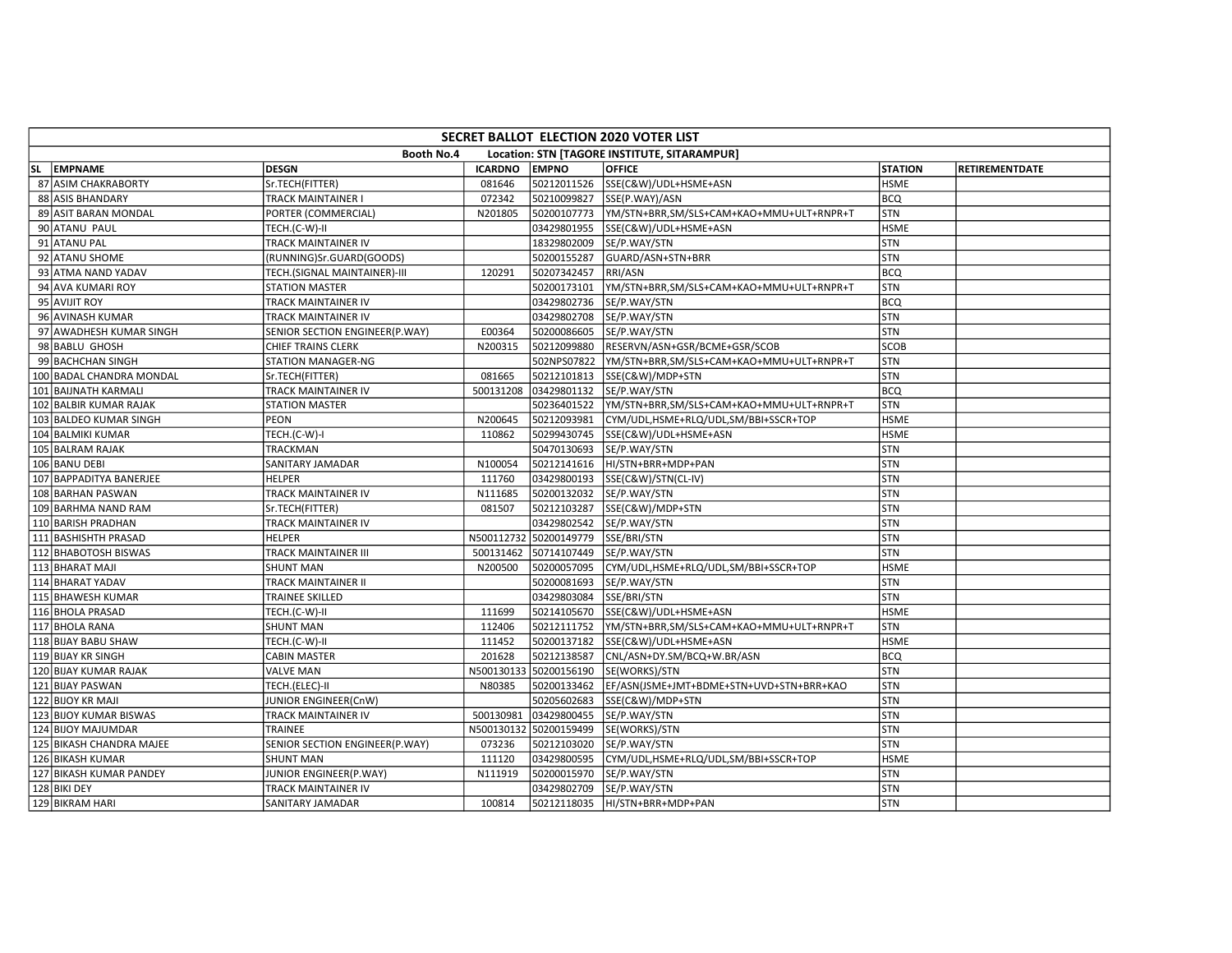| SECRET BALLOT ELECTION 2020 VOTER LIST |                          |                                |                |              |                                              |                |                       |  |  |  |
|----------------------------------------|--------------------------|--------------------------------|----------------|--------------|----------------------------------------------|----------------|-----------------------|--|--|--|
|                                        |                          | <b>Booth No.4</b>              |                |              | Location: STN [TAGORE INSTITUTE, SITARAMPUR] |                |                       |  |  |  |
|                                        | SL EMPNAME               | <b>DESGN</b>                   | <b>ICARDNO</b> | <b>EMPNO</b> | <b>OFFICE</b>                                | <b>STATION</b> | <b>RETIREMENTDATE</b> |  |  |  |
|                                        | 87 ASIM CHAKRABORTY      | Sr.TECH(FITTER)                | 081646         | 50212011526  | SSE(C&W)/UDL+HSME+ASN                        | <b>HSME</b>    |                       |  |  |  |
|                                        | 88 ASIS BHANDARY         | TRACK MAINTAINER I             | 072342         | 50210099827  | SSE(P.WAY)/ASN                               | <b>BCQ</b>     |                       |  |  |  |
|                                        | 89 ASIT BARAN MONDAL     | PORTER (COMMERCIAL)            | N201805        | 50200107773  | YM/STN+BRR,SM/SLS+CAM+KAO+MMU+ULT+RNPR+T     | <b>STN</b>     |                       |  |  |  |
|                                        | 90 ATANU PAUL            | TECH.(C-W)-II                  |                | 03429801955  | SSE(C&W)/UDL+HSME+ASN                        | <b>HSME</b>    |                       |  |  |  |
|                                        | 91 ATANU PAL             | TRACK MAINTAINER IV            |                | 18329802009  | SE/P.WAY/STN                                 | STN            |                       |  |  |  |
|                                        | 92 ATANU SHOME           | (RUNNING)Sr.GUARD(GOODS)       |                | 50200155287  | GUARD/ASN+STN+BRR                            | STN            |                       |  |  |  |
|                                        | 93 ATMA NAND YADAV       | TECH.(SIGNAL MAINTAINER)-III   | 120291         | 50207342457  | RRI/ASN                                      | <b>BCQ</b>     |                       |  |  |  |
|                                        | 94 AVA KUMARI ROY        | <b>STATION MASTER</b>          |                | 50200173101  | YM/STN+BRR,SM/SLS+CAM+KAO+MMU+ULT+RNPR+T     | STN            |                       |  |  |  |
|                                        | 95 AVIJIT ROY            | TRACK MAINTAINER IV            |                | 03429802736  | SE/P.WAY/STN                                 | <b>BCQ</b>     |                       |  |  |  |
|                                        | 96 AVINASH KUMAR         | TRACK MAINTAINER IV            |                | 03429802708  | SE/P.WAY/STN                                 | STN            |                       |  |  |  |
|                                        | 97 AWADHESH KUMAR SINGH  | SENIOR SECTION ENGINEER(P.WAY) | E00364         | 50200086605  | SE/P.WAY/STN                                 | <b>STN</b>     |                       |  |  |  |
|                                        | 98 BABLU GHOSH           | CHIEF TRAINS CLERK             | N200315        | 50212099880  | RESERVN/ASN+GSR/BCME+GSR/SCOB                | <b>SCOB</b>    |                       |  |  |  |
|                                        | 99 BACHCHAN SINGH        | STATION MANAGER-NG             |                | 502NPS07822  | YM/STN+BRR,SM/SLS+CAM+KAO+MMU+ULT+RNPR+T     | <b>STN</b>     |                       |  |  |  |
|                                        | 100 BADAL CHANDRA MONDAL | Sr.TECH(FITTER)                | 081665         | 50212101813  | SSE(C&W)/MDP+STN                             | STN            |                       |  |  |  |
|                                        | 101 BAIJNATH KARMALI     | TRACK MAINTAINER IV            | 500131208      | 03429801132  | SE/P.WAY/STN                                 | BCQ            |                       |  |  |  |
|                                        | 102 BALBIR KUMAR RAJAK   | <b>STATION MASTER</b>          |                | 50236401522  | YM/STN+BRR,SM/SLS+CAM+KAO+MMU+ULT+RNPR+T     | <b>STN</b>     |                       |  |  |  |
|                                        | 103 BALDEO KUMAR SINGH   | PEON                           | N200645        | 50212093981  | CYM/UDL,HSME+RLQ/UDL,SM/BBI+SSCR+TOP         | <b>HSME</b>    |                       |  |  |  |
|                                        | 104 BALMIKI KUMAR        | TECH.(C-W)-I                   | 110862         | 50299430745  | SSE(C&W)/UDL+HSME+ASN                        | <b>HSME</b>    |                       |  |  |  |
|                                        | 105 BALRAM RAJAK         | TRACKMAN                       |                | 50470130693  | SE/P.WAY/STN                                 | <b>STN</b>     |                       |  |  |  |
|                                        | 106 BANU DEBI            | SANITARY JAMADAR               | N100054        | 50212141616  | HI/STN+BRR+MDP+PAN                           | STN            |                       |  |  |  |
|                                        | 107 BAPPADITYA BANERJEE  | <b>HELPER</b>                  | 111760         | 03429800193  | SSE(C&W)/STN(CL-IV)                          | STN            |                       |  |  |  |
|                                        | 108 BARHAN PASWAN        | TRACK MAINTAINER IV            | N111685        | 50200132032  | SE/P.WAY/STN                                 | STN            |                       |  |  |  |
|                                        | 109 BARHMA NAND RAM      | Sr.TECH(FITTER)                | 081507         | 50212103287  | SSE(C&W)/MDP+STN                             | STN            |                       |  |  |  |
|                                        | 110 BARISH PRADHAN       | TRACK MAINTAINER IV            |                | 03429802542  | SE/P.WAY/STN                                 | <b>STN</b>     |                       |  |  |  |
|                                        | 111 BASHISHTH PRASAD     | <b>HELPER</b>                  | N500112732     | 50200149779  | SSE/BRI/STN                                  | STN            |                       |  |  |  |
|                                        | 112 BHABOTOSH BISWAS     | TRACK MAINTAINER III           | 500131462      | 50714107449  | SE/P.WAY/STN                                 | STN            |                       |  |  |  |
|                                        | 113 BHARAT MAJI          | <b>SHUNT MAN</b>               | N200500        | 50200057095  | CYM/UDL,HSME+RLQ/UDL,SM/BBI+SSCR+TOP         | <b>HSME</b>    |                       |  |  |  |
|                                        | 114 BHARAT YADAV         | TRACK MAINTAINER II            |                | 50200081693  | SE/P.WAY/STN                                 | STN            |                       |  |  |  |
|                                        | 115 BHAWESH KUMAR        | <b>TRAINEE SKILLED</b>         |                | 03429803084  | SSE/BRI/STN                                  | STN            |                       |  |  |  |
|                                        | 116 BHOLA PRASAD         | TECH.(C-W)-II                  | 111699         | 50214105670  | SSE(C&W)/UDL+HSME+ASN                        | <b>HSME</b>    |                       |  |  |  |
|                                        | 117 BHOLA RANA           | <b>SHUNT MAN</b>               | 112406         | 50212111752  | YM/STN+BRR,SM/SLS+CAM+KAO+MMU+ULT+RNPR+T     | <b>STN</b>     |                       |  |  |  |
|                                        | 118 BIJAY BABU SHAW      | TECH.(C-W)-II                  | 111452         | 50200137182  | SSE(C&W)/UDL+HSME+ASN                        | <b>HSME</b>    |                       |  |  |  |
|                                        | 119 BIJAY KR SINGH       | <b>CABIN MASTER</b>            | 201628         | 50212138587  | CNL/ASN+DY.SM/BCQ+W.BR/ASN                   | <b>BCQ</b>     |                       |  |  |  |
|                                        | 120 BIJAY KUMAR RAJAK    | <b>VALVE MAN</b>               | N500130133     | 50200156190  | SE(WORKS)/STN                                | STN            |                       |  |  |  |
|                                        | 121 BIJAY PASWAN         | TECH.(ELEC)-II                 | N80385         | 50200133462  | EF/ASN(JSME+JMT+BDME+STN+UVD+STN+BRR+KAO     | STN            |                       |  |  |  |
|                                        | 122 BIJOY KR MAJI        | JUNIOR ENGINEER(CnW)           |                | 50205602683  | SSE(C&W)/MDP+STN                             | STN            |                       |  |  |  |
|                                        | 123 BIJOY KUMAR BISWAS   | TRACK MAINTAINER IV            | 500130981      | 03429800455  | SE/P.WAY/STN                                 | STN            |                       |  |  |  |
|                                        | 124 BIJOY MAJUMDAR       | TRAINEE                        | N500130132     | 50200159499  | SE(WORKS)/STN                                | STN            |                       |  |  |  |
|                                        | 125 BIKASH CHANDRA MAJEE | SENIOR SECTION ENGINEER(P.WAY) | 073236         | 50212103020  | SE/P.WAY/STN                                 | <b>STN</b>     |                       |  |  |  |
|                                        | 126 BIKASH KUMAR         | <b>SHUNT MAN</b>               | 111120         | 03429800595  | CYM/UDL,HSME+RLQ/UDL,SM/BBI+SSCR+TOP         | <b>HSME</b>    |                       |  |  |  |
|                                        | 127 BIKASH KUMAR PANDEY  | JUNIOR ENGINEER(P.WAY)         | N111919        | 50200015970  | SE/P.WAY/STN                                 | STN            |                       |  |  |  |
|                                        | 128 BIKI DEY             | TRACK MAINTAINER IV            |                | 03429802709  | SE/P.WAY/STN                                 | <b>STN</b>     |                       |  |  |  |
|                                        | 129 BIKRAM HARI          | SANITARY JAMADAR               | 100814         | 50212118035  | HI/STN+BRR+MDP+PAN                           | STN            |                       |  |  |  |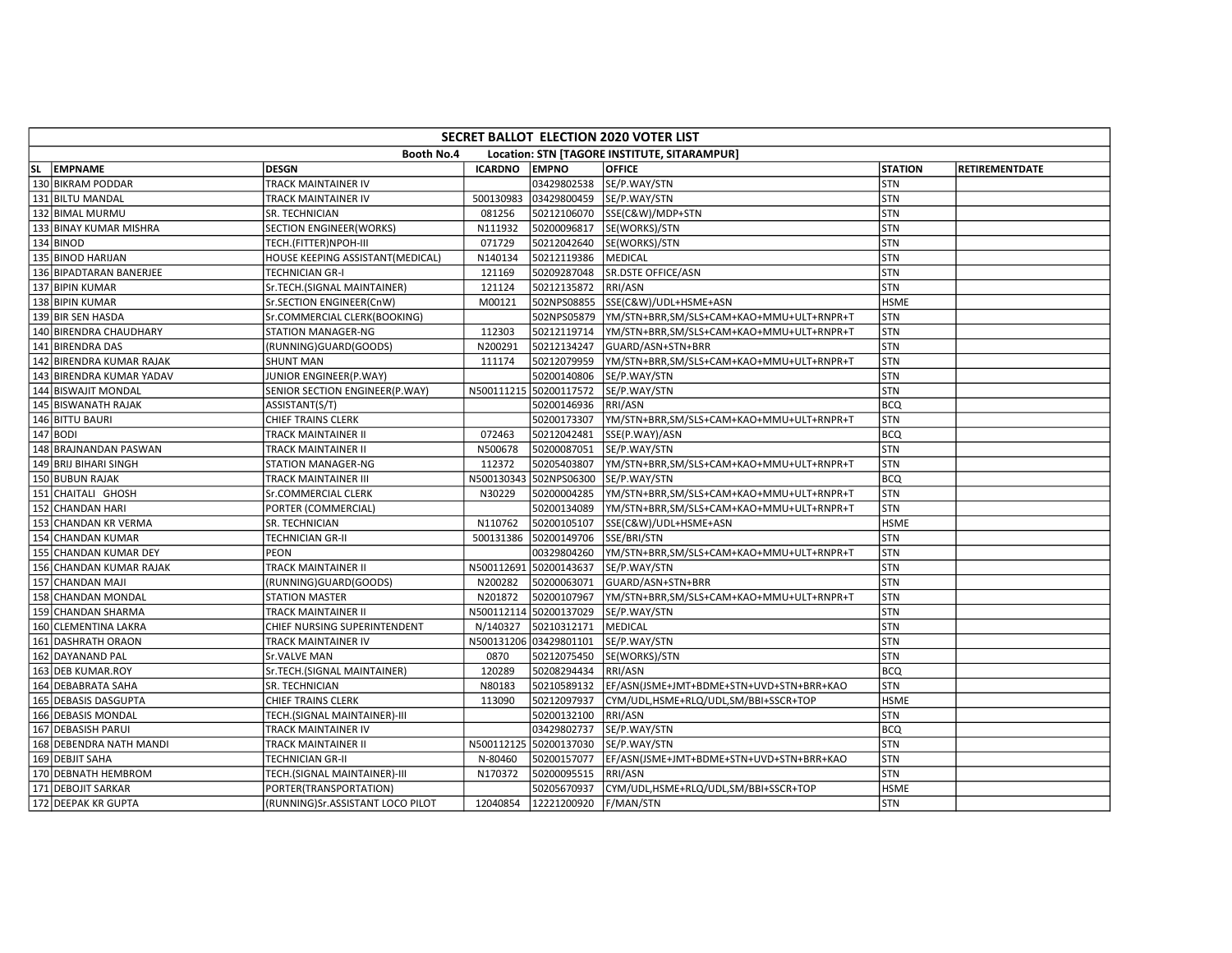| SECRET BALLOT ELECTION 2020 VOTER LIST |                                  |                |                        |                                              |                |                       |  |  |  |  |
|----------------------------------------|----------------------------------|----------------|------------------------|----------------------------------------------|----------------|-----------------------|--|--|--|--|
|                                        | <b>Booth No.4</b>                |                |                        | Location: STN [TAGORE INSTITUTE, SITARAMPUR] |                |                       |  |  |  |  |
| SL EMPNAME                             | <b>DESGN</b>                     | <b>ICARDNO</b> | <b>EMPNO</b>           | <b>OFFICE</b>                                | <b>STATION</b> | <b>RETIREMENTDATE</b> |  |  |  |  |
| 130 BIKRAM PODDAR                      | TRACK MAINTAINER IV              |                | 03429802538            | SE/P.WAY/STN                                 | <b>STN</b>     |                       |  |  |  |  |
| 131 BILTU MANDAL                       | TRACK MAINTAINER IV              | 500130983      | 03429800459            | SE/P.WAY/STN                                 | STN            |                       |  |  |  |  |
| 132 BIMAL MURMU                        | SR. TECHNICIAN                   | 081256         | 50212106070            | SSE(C&W)/MDP+STN                             | STN            |                       |  |  |  |  |
| 133 BINAY KUMAR MISHRA                 | SECTION ENGINEER(WORKS)          | N111932        | 50200096817            | SE(WORKS)/STN                                | STN            |                       |  |  |  |  |
| 134 BINOD                              | TECH.(FITTER)NPOH-III            | 071729         | 50212042640            | SE(WORKS)/STN                                | STN            |                       |  |  |  |  |
| 135 BINOD HARIJAN                      | HOUSE KEEPING ASSISTANT(MEDICAL) | N140134        | 50212119386            | <b>MEDICAL</b>                               | STN            |                       |  |  |  |  |
| 136 BIPADTARAN BANERJEE                | <b>TECHNICIAN GR-I</b>           | 121169         | 50209287048            | SR.DSTE OFFICE/ASN                           | <b>STN</b>     |                       |  |  |  |  |
| 137 BIPIN KUMAR                        | Sr.TECH.(SIGNAL MAINTAINER)      | 121124         | 50212135872            | RRI/ASN                                      | <b>STN</b>     |                       |  |  |  |  |
| 138 BIPIN KUMAR                        | Sr.SECTION ENGINEER(CnW)         | M00121         | 502NPS08855            | SSE(C&W)/UDL+HSME+ASN                        | <b>HSME</b>    |                       |  |  |  |  |
| 139 BIR SEN HASDA                      | Sr.COMMERCIAL CLERK(BOOKING)     |                | 502NPS05879            | YM/STN+BRR,SM/SLS+CAM+KAO+MMU+ULT+RNPR+T     | STN            |                       |  |  |  |  |
| 140 BIRENDRA CHAUDHARY                 | <b>STATION MANAGER-NG</b>        | 112303         | 50212119714            | YM/STN+BRR,SM/SLS+CAM+KAO+MMU+ULT+RNPR+T     | <b>STN</b>     |                       |  |  |  |  |
| 141 BIRENDRA DAS                       | (RUNNING)GUARD(GOODS)            | N200291        | 50212134247            | GUARD/ASN+STN+BRR                            | STN            |                       |  |  |  |  |
| 142 BIRENDRA KUMAR RAJAK               | <b>SHUNT MAN</b>                 | 111174         | 50212079959            | YM/STN+BRR,SM/SLS+CAM+KAO+MMU+ULT+RNPR+T     | STN            |                       |  |  |  |  |
| 143 BIRENDRA KUMAR YADAV               | JUNIOR ENGINEER(P.WAY)           |                | 50200140806            | SE/P.WAY/STN                                 | STN            |                       |  |  |  |  |
| 144 BISWAJIT MONDAL                    | SENIOR SECTION ENGINEER(P.WAY)   |                | N500111215 50200117572 | SE/P.WAY/STN                                 | STN            |                       |  |  |  |  |
| 145 BISWANATH RAJAK                    | ASSISTANT(S/T)                   |                | 50200146936            | RRI/ASN                                      | <b>BCQ</b>     |                       |  |  |  |  |
| 146 BITTU BAURI                        | CHIEF TRAINS CLERK               |                | 50200173307            | YM/STN+BRR,SM/SLS+CAM+KAO+MMU+ULT+RNPR+T     | STN            |                       |  |  |  |  |
| $147$ BODI                             | <b>TRACK MAINTAINER II</b>       | 072463         | 50212042481            | SSE(P.WAY)/ASN                               | <b>BCQ</b>     |                       |  |  |  |  |
| 148 BRAJNANDAN PASWAN                  | <b>TRACK MAINTAINER II</b>       | N500678        | 50200087051            | SE/P.WAY/STN                                 | STN            |                       |  |  |  |  |
| 149 BRIJ BIHARI SINGH                  | STATION MANAGER-NG               | 112372         | 50205403807            | YM/STN+BRR,SM/SLS+CAM+KAO+MMU+ULT+RNPR+T     | STN            |                       |  |  |  |  |
| 150 BUBUN RAJAK                        | <b>TRACK MAINTAINER III</b>      | N500130343     | 502NPS06300            | SE/P.WAY/STN                                 | <b>BCO</b>     |                       |  |  |  |  |
| 151 CHAITALI GHOSH                     | Sr.COMMERCIAL CLERK              | N30229         | 50200004285            | YM/STN+BRR,SM/SLS+CAM+KAO+MMU+ULT+RNPR+T     | STN            |                       |  |  |  |  |
| 152 CHANDAN HARI                       | PORTER (COMMERCIAL)              |                | 50200134089            | YM/STN+BRR,SM/SLS+CAM+KAO+MMU+ULT+RNPR+T     | <b>STN</b>     |                       |  |  |  |  |
| 153 CHANDAN KR VERMA                   | SR. TECHNICIAN                   | N110762        | 50200105107            | SSE(C&W)/UDL+HSME+ASN                        | <b>HSME</b>    |                       |  |  |  |  |
| 154 CHANDAN KUMAR                      | <b>TECHNICIAN GR-II</b>          | 500131386      | 50200149706            | SSE/BRI/STN                                  | STN            |                       |  |  |  |  |
| 155 CHANDAN KUMAR DEY                  | <b>PEON</b>                      |                | 00329804260            | YM/STN+BRR,SM/SLS+CAM+KAO+MMU+ULT+RNPR+T     | STN            |                       |  |  |  |  |
| 156 CHANDAN KUMAR RAJAK                | TRACK MAINTAINER II              | N500112691     | 50200143637            | SE/P.WAY/STN                                 | <b>STN</b>     |                       |  |  |  |  |
| 157 CHANDAN MAJI                       | (RUNNING)GUARD(GOODS)            | N200282        | 50200063071            | GUARD/ASN+STN+BRR                            | STN            |                       |  |  |  |  |
| 158 CHANDAN MONDAL                     | <b>STATION MASTER</b>            | N201872        | 50200107967            | YM/STN+BRR,SM/SLS+CAM+KAO+MMU+ULT+RNPR+T     | <b>STN</b>     |                       |  |  |  |  |
| 159 CHANDAN SHARMA                     | TRACK MAINTAINER II              | N500112114     | 50200137029            | SE/P.WAY/STN                                 | STN            |                       |  |  |  |  |
| 160 CLEMENTINA LAKRA                   | CHIEF NURSING SUPERINTENDENT     | N/140327       | 50210312171            | MEDICAL                                      | <b>STN</b>     |                       |  |  |  |  |
| 161 DASHRATH ORAON                     | TRACK MAINTAINER IV              | N500131206     | 03429801101            | SE/P.WAY/STN                                 | STN            |                       |  |  |  |  |
| 162 DAYANAND PAL                       | Sr.VALVE MAN                     | 0870           | 50212075450            | SE(WORKS)/STN                                | <b>STN</b>     |                       |  |  |  |  |
| 163 DEB KUMAR.ROY                      | Sr.TECH.(SIGNAL MAINTAINER)      | 120289         | 50208294434            | RRI/ASN                                      | <b>BCQ</b>     |                       |  |  |  |  |
| 164 DEBABRATA SAHA                     | SR. TECHNICIAN                   | N80183         | 50210589132            | EF/ASN(JSME+JMT+BDME+STN+UVD+STN+BRR+KAO     | <b>STN</b>     |                       |  |  |  |  |
| 165 DEBASIS DASGUPTA                   | CHIEF TRAINS CLERK               | 113090         | 50212097937            | CYM/UDL,HSME+RLQ/UDL,SM/BBI+SSCR+TOP         | <b>HSME</b>    |                       |  |  |  |  |
| 166 DEBASIS MONDAL                     | TECH.(SIGNAL MAINTAINER)-III     |                | 50200132100            | RRI/ASN                                      | <b>STN</b>     |                       |  |  |  |  |
| 167 DEBASISH PARUI                     | TRACK MAINTAINER IV              |                | 03429802737            | SE/P.WAY/STN                                 | <b>BCQ</b>     |                       |  |  |  |  |
| 168 DEBENDRA NATH MANDI                | <b>TRACK MAINTAINER II</b>       |                | N500112125 50200137030 | SE/P.WAY/STN                                 | STN            |                       |  |  |  |  |
| 169 DEBJIT SAHA                        | <b>TECHNICIAN GR-II</b>          | N-80460        | 50200157077            | EF/ASN(JSME+JMT+BDME+STN+UVD+STN+BRR+KAO     | STN            |                       |  |  |  |  |
| 170 DEBNATH HEMBROM                    | TECH.(SIGNAL MAINTAINER)-III     | N170372        | 50200095515            | RRI/ASN                                      | STN            |                       |  |  |  |  |
| 171 DEBOJIT SARKAR                     | PORTER(TRANSPORTATION)           |                | 50205670937            | CYM/UDL,HSME+RLQ/UDL,SM/BBI+SSCR+TOP         | <b>HSME</b>    |                       |  |  |  |  |
| 172 DEEPAK KR GUPTA                    | (RUNNING)Sr.ASSISTANT LOCO PILOT | 12040854       | 12221200920            | F/MAN/STN                                    | STN            |                       |  |  |  |  |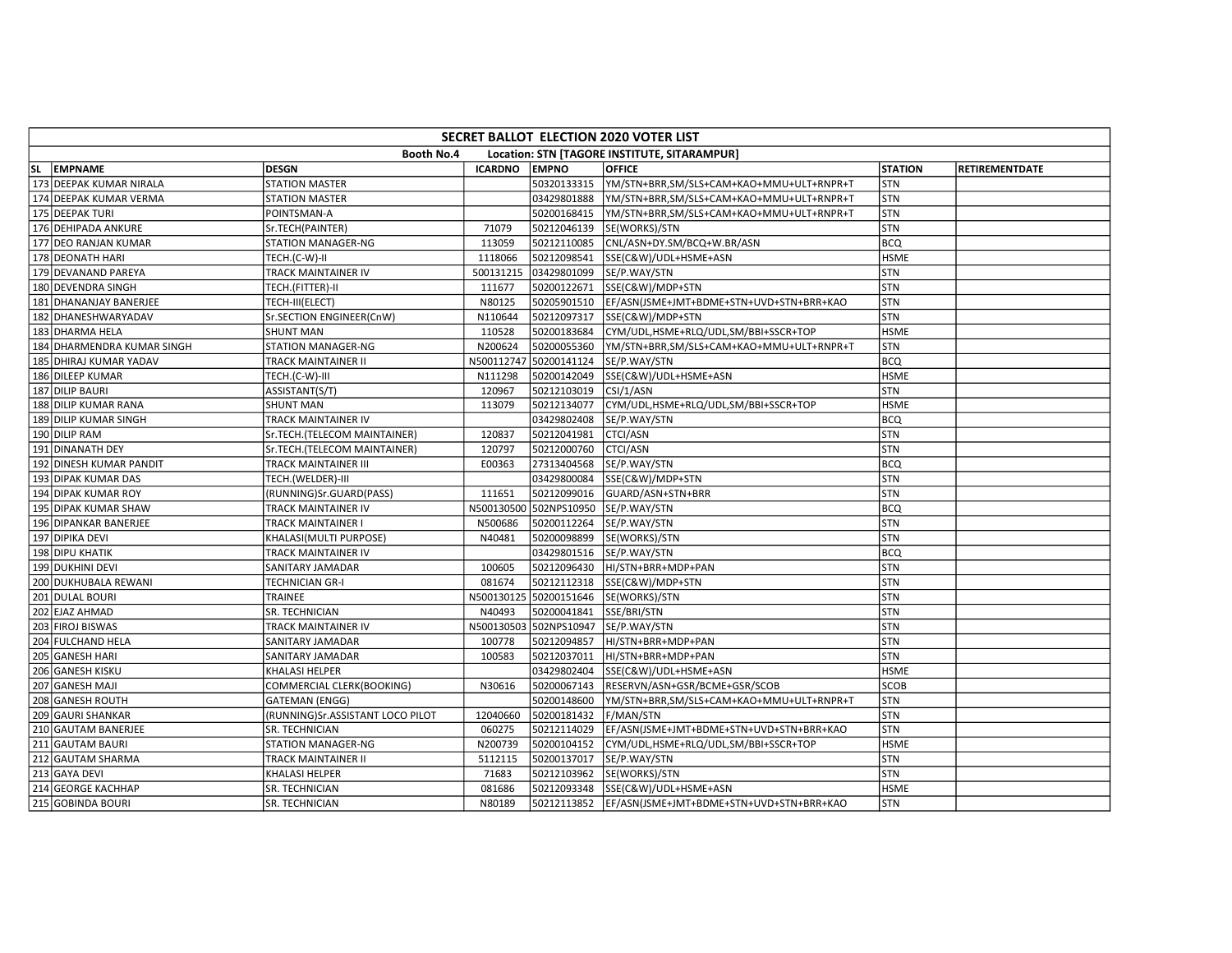| SECRET BALLOT ELECTION 2020 VOTER LIST |                                  |                |              |                                                       |                |                       |  |  |  |  |
|----------------------------------------|----------------------------------|----------------|--------------|-------------------------------------------------------|----------------|-----------------------|--|--|--|--|
|                                        | <b>Booth No.4</b>                |                |              | Location: STN [TAGORE INSTITUTE, SITARAMPUR]          |                |                       |  |  |  |  |
| SL EMPNAME                             | DESGN                            | <b>ICARDNO</b> | <b>EMPNO</b> | <b>OFFICE</b>                                         | <b>STATION</b> | <b>RETIREMENTDATE</b> |  |  |  |  |
| 173 DEEPAK KUMAR NIRALA                | <b>STATION MASTER</b>            |                | 50320133315  | YM/STN+BRR,SM/SLS+CAM+KAO+MMU+ULT+RNPR+T              | <b>STN</b>     |                       |  |  |  |  |
| 174 DEEPAK KUMAR VERMA                 | <b>STATION MASTER</b>            |                | 03429801888  | YM/STN+BRR,SM/SLS+CAM+KAO+MMU+ULT+RNPR+T              | <b>STN</b>     |                       |  |  |  |  |
| 175 DEEPAK TURI                        | POINTSMAN-A                      |                | 50200168415  | YM/STN+BRR,SM/SLS+CAM+KAO+MMU+ULT+RNPR+T              | <b>STN</b>     |                       |  |  |  |  |
| 176 DEHIPADA ANKURE                    | Sr.TECH(PAINTER)                 | 71079          | 50212046139  | SE(WORKS)/STN                                         | <b>STN</b>     |                       |  |  |  |  |
| 177 DEO RANJAN KUMAR                   | <b>STATION MANAGER-NG</b>        | 113059         | 50212110085  | CNL/ASN+DY.SM/BCQ+W.BR/ASN                            | <b>BCQ</b>     |                       |  |  |  |  |
| 178 DEONATH HARI                       | TECH.(C-W)-II                    | 1118066        | 50212098541  | SSE(C&W)/UDL+HSME+ASN                                 | <b>HSME</b>    |                       |  |  |  |  |
| 179 DEVANAND PAREYA                    | TRACK MAINTAINER IV              | 500131215      | 03429801099  | SE/P.WAY/STN                                          | <b>STN</b>     |                       |  |  |  |  |
| 180 DEVENDRA SINGH                     | TECH.(FITTER)-II                 | 111677         | 50200122671  | SSE(C&W)/MDP+STN                                      | STN            |                       |  |  |  |  |
| 181 DHANANJAY BANERJEE                 | TECH-III(ELECT)                  | N80125         | 50205901510  | EF/ASN(JSME+JMT+BDME+STN+UVD+STN+BRR+KAO              | <b>STN</b>     |                       |  |  |  |  |
| 182 DHANESHWARYADAV                    | Sr.SECTION ENGINEER(CnW)         | N110644        | 50212097317  | SSE(C&W)/MDP+STN                                      | <b>STN</b>     |                       |  |  |  |  |
| 183 DHARMA HELA                        | <b>SHUNT MAN</b>                 | 110528         | 50200183684  | CYM/UDL,HSME+RLQ/UDL,SM/BBI+SSCR+TOP                  | <b>HSME</b>    |                       |  |  |  |  |
| 184 DHARMENDRA KUMAR SINGH             | <b>STATION MANAGER-NG</b>        | N200624        | 50200055360  | YM/STN+BRR,SM/SLS+CAM+KAO+MMU+ULT+RNPR+T              | <b>STN</b>     |                       |  |  |  |  |
| 185 DHIRAJ KUMAR YADAV                 | <b>TRACK MAINTAINER II</b>       | N500112747     | 50200141124  | SE/P.WAY/STN                                          | <b>BCQ</b>     |                       |  |  |  |  |
| 186 DILEEP KUMAR                       | TECH.(C-W)-III                   | N111298        | 50200142049  | SSE(C&W)/UDL+HSME+ASN                                 | <b>HSME</b>    |                       |  |  |  |  |
| 187 DILIP BAURI                        | ASSISTANT(S/T)                   | 120967         | 50212103019  | CSI/1/ASN                                             | <b>STN</b>     |                       |  |  |  |  |
| 188 DILIP KUMAR RANA                   | <b>SHUNT MAN</b>                 | 113079         | 50212134077  | CYM/UDL,HSME+RLQ/UDL,SM/BBI+SSCR+TOP                  | <b>HSME</b>    |                       |  |  |  |  |
| 189 DILIP KUMAR SINGH                  | TRACK MAINTAINER IV              |                | 03429802408  | SE/P.WAY/STN                                          | <b>BCQ</b>     |                       |  |  |  |  |
| 190 DILIP RAM                          | Sr.TECH.(TELECOM MAINTAINER)     | 120837         | 50212041981  | CTCI/ASN                                              | STN            |                       |  |  |  |  |
| 191 DINANATH DEY                       | Sr.TECH.(TELECOM MAINTAINER)     | 120797         | 50212000760  | <b>CTCI/ASN</b>                                       | STN            |                       |  |  |  |  |
| 192 DINESH KUMAR PANDIT                | TRACK MAINTAINER III             | E00363         | 27313404568  | SE/P.WAY/STN                                          | <b>BCQ</b>     |                       |  |  |  |  |
| 193 DIPAK KUMAR DAS                    | TECH.(WELDER)-III                |                | 03429800084  | SSE(C&W)/MDP+STN                                      | <b>STN</b>     |                       |  |  |  |  |
| 194 DIPAK KUMAR ROY                    | (RUNNING)Sr.GUARD(PASS)          | 111651         | 50212099016  | GUARD/ASN+STN+BRR                                     | <b>STN</b>     |                       |  |  |  |  |
| 195 DIPAK KUMAR SHAW                   | <b>TRACK MAINTAINER IV</b>       | N500130500     | 502NPS10950  | SE/P.WAY/STN                                          | <b>BCQ</b>     |                       |  |  |  |  |
| 196 DIPANKAR BANERJEE                  | TRACK MAINTAINER I               | N500686        | 50200112264  | SE/P.WAY/STN                                          | STN            |                       |  |  |  |  |
| 197 DIPIKA DEVI                        | KHALASI(MULTI PURPOSE)           | N40481         | 50200098899  | SE(WORKS)/STN                                         | <b>STN</b>     |                       |  |  |  |  |
| 198 DIPU KHATIK                        | TRACK MAINTAINER IV              |                | 03429801516  | SE/P.WAY/STN                                          | <b>BCQ</b>     |                       |  |  |  |  |
| 199 DUKHINI DEVI                       | <b>SANITARY JAMADAR</b>          | 100605         | 50212096430  | HI/STN+BRR+MDP+PAN                                    | <b>STN</b>     |                       |  |  |  |  |
| 200 DUKHUBALA REWANI                   | <b>TECHNICIAN GR-I</b>           | 081674         | 50212112318  | SSE(C&W)/MDP+STN                                      | <b>STN</b>     |                       |  |  |  |  |
| 201 DULAL BOURI                        | TRAINEE                          | N500130125     | 50200151646  | SE(WORKS)/STN                                         | <b>STN</b>     |                       |  |  |  |  |
| 202 EJAZ AHMAD                         | SR. TECHNICIAN                   | N40493         | 50200041841  | SSE/BRI/STN                                           | <b>STN</b>     |                       |  |  |  |  |
| 203 FIROJ BISWAS                       | <b>TRACK MAINTAINER IV</b>       | N500130503     | 502NPS10947  | SE/P.WAY/STN                                          | <b>STN</b>     |                       |  |  |  |  |
| 204 FULCHAND HELA                      | SANITARY JAMADAR                 | 100778         | 50212094857  | HI/STN+BRR+MDP+PAN                                    | <b>STN</b>     |                       |  |  |  |  |
| 205 GANESH HARI                        | SANITARY JAMADAR                 | 100583         | 50212037011  | HI/STN+BRR+MDP+PAN                                    | <b>STN</b>     |                       |  |  |  |  |
| 206 GANESH KISKU                       | KHALASI HELPER                   |                | 03429802404  | SSE(C&W)/UDL+HSME+ASN                                 | <b>HSME</b>    |                       |  |  |  |  |
| 207 GANESH MAJI                        | COMMERCIAL CLERK(BOOKING)        | N30616         | 50200067143  | RESERVN/ASN+GSR/BCME+GSR/SCOB                         | <b>SCOB</b>    |                       |  |  |  |  |
| 208 GANESH ROUTH                       | <b>GATEMAN (ENGG)</b>            |                | 50200148600  | YM/STN+BRR,SM/SLS+CAM+KAO+MMU+ULT+RNPR+T              | <b>STN</b>     |                       |  |  |  |  |
| 209 GAURI SHANKAR                      | (RUNNING)Sr.ASSISTANT LOCO PILOT | 12040660       | 50200181432  | <b>F/MAN/STN</b>                                      | <b>STN</b>     |                       |  |  |  |  |
| 210 GAUTAM BANERJEE                    | SR. TECHNICIAN                   | 060275         | 50212114029  | EF/ASN(JSME+JMT+BDME+STN+UVD+STN+BRR+KAO              | <b>STN</b>     |                       |  |  |  |  |
| 211 GAUTAM BAURI                       | <b>STATION MANAGER-NG</b>        | N200739        | 50200104152  | CYM/UDL,HSME+RLQ/UDL,SM/BBI+SSCR+TOP                  | <b>HSME</b>    |                       |  |  |  |  |
| 212 GAUTAM SHARMA                      | TRACK MAINTAINER II              | 5112115        | 50200137017  | SE/P.WAY/STN                                          | <b>STN</b>     |                       |  |  |  |  |
| 213 GAYA DEVI                          | <b>KHALASI HELPER</b>            | 71683          | 50212103962  | SE(WORKS)/STN                                         | <b>STN</b>     |                       |  |  |  |  |
| 214 GEORGE KACHHAP                     | SR. TECHNICIAN                   | 081686         | 50212093348  | SSE(C&W)/UDL+HSME+ASN                                 | <b>HSME</b>    |                       |  |  |  |  |
| 215 GOBINDA BOURI                      | SR. TECHNICIAN                   | N80189         |              | 50212113852  EF/ASN(JSME+JMT+BDME+STN+UVD+STN+BRR+KAO | <b>STN</b>     |                       |  |  |  |  |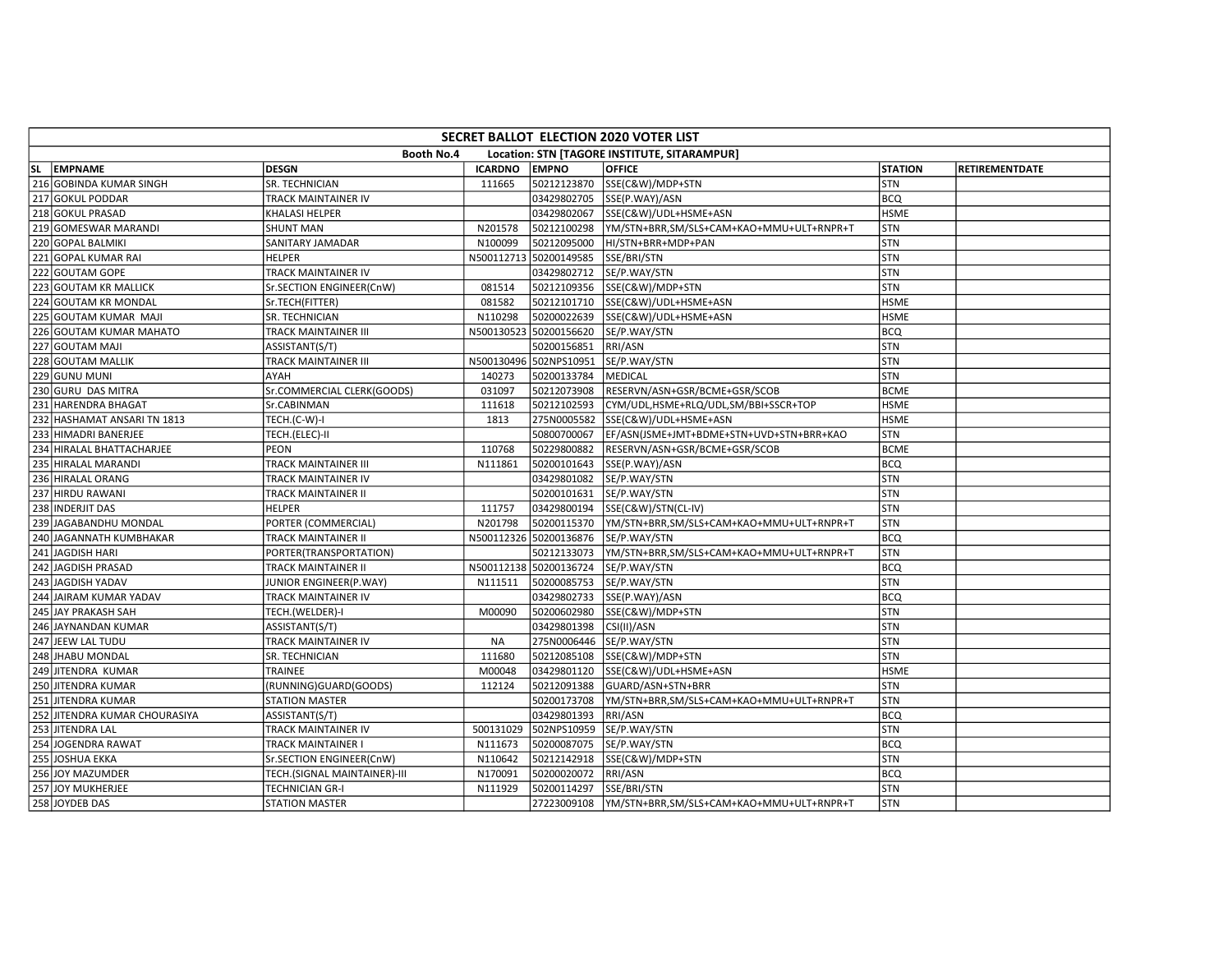| SECRET BALLOT ELECTION 2020 VOTER LIST |                              |                |                        |                                              |                |                       |  |  |  |  |
|----------------------------------------|------------------------------|----------------|------------------------|----------------------------------------------|----------------|-----------------------|--|--|--|--|
|                                        | Booth No.4                   |                |                        | Location: STN [TAGORE INSTITUTE, SITARAMPUR] |                |                       |  |  |  |  |
| SL EMPNAME                             | <b>DESGN</b>                 | <b>ICARDNO</b> | <b>EMPNO</b>           | <b>OFFICE</b>                                | <b>STATION</b> | <b>RETIREMENTDATE</b> |  |  |  |  |
| 216 GOBINDA KUMAR SINGH                | SR. TECHNICIAN               | 111665         | 50212123870            | SSE(C&W)/MDP+STN                             | STN            |                       |  |  |  |  |
| 217 GOKUL PODDAR                       | TRACK MAINTAINER IV          |                | 03429802705            | SSE(P.WAY)/ASN                               | <b>BCQ</b>     |                       |  |  |  |  |
| 218 GOKUL PRASAD                       | KHALASI HELPER               |                | 03429802067            | SSE(C&W)/UDL+HSME+ASN                        | <b>HSME</b>    |                       |  |  |  |  |
| 219 GOMESWAR MARANDI                   | <b>SHUNT MAN</b>             | N201578        | 50212100298            | YM/STN+BRR,SM/SLS+CAM+KAO+MMU+ULT+RNPR+T     | <b>STN</b>     |                       |  |  |  |  |
| 220 GOPAL BALMIKI                      | SANITARY JAMADAR             | N100099        | 50212095000            | HI/STN+BRR+MDP+PAN                           | STN            |                       |  |  |  |  |
| 221 GOPAL KUMAR RAI                    | <b>HELPER</b>                | N500112713     | 50200149585            | SSE/BRI/STN                                  | STN            |                       |  |  |  |  |
| 222 GOUTAM GOPE                        | TRACK MAINTAINER IV          |                | 03429802712            | SE/P.WAY/STN                                 | STN            |                       |  |  |  |  |
| 223 GOUTAM KR MALLICK                  | Sr.SECTION ENGINEER(CnW)     | 081514         | 50212109356            | SSE(C&W)/MDP+STN                             | STN            |                       |  |  |  |  |
| 224 GOUTAM KR MONDAL                   | Sr.TECH(FITTER)              | 081582         | 50212101710            | SSE(C&W)/UDL+HSME+ASN                        | <b>HSME</b>    |                       |  |  |  |  |
| 225 GOUTAM KUMAR MAJI                  | SR. TECHNICIAN               | N110298        | 50200022639            | SSE(C&W)/UDL+HSME+ASN                        | <b>HSME</b>    |                       |  |  |  |  |
| 226 GOUTAM KUMAR MAHATO                | TRACK MAINTAINER III         | N500130523     | 50200156620            | SE/P.WAY/STN                                 | <b>BCQ</b>     |                       |  |  |  |  |
| 227 GOUTAM MAJI                        | ASSISTANT(S/T)               |                | 50200156851            | RRI/ASN                                      | STN            |                       |  |  |  |  |
| 228 GOUTAM MALLIK                      | TRACK MAINTAINER III         |                | N500130496 502NPS10951 | SE/P.WAY/STN                                 | STN            |                       |  |  |  |  |
| 229 GUNU MUNI                          | AYAH                         | 140273         | 50200133784            | MEDICAL                                      | STN            |                       |  |  |  |  |
| 230 GURU DAS MITRA                     | Sr.COMMERCIAL CLERK(GOODS)   | 031097         | 50212073908            | RESERVN/ASN+GSR/BCME+GSR/SCOB                | <b>BCME</b>    |                       |  |  |  |  |
| 231 HARENDRA BHAGAT                    | Sr.CABINMAN                  | 111618         | 50212102593            | CYM/UDL,HSME+RLQ/UDL,SM/BBI+SSCR+TOP         | <b>HSME</b>    |                       |  |  |  |  |
| 232 HASHAMAT ANSARI TN 1813            | TECH.(C-W)-I                 | 1813           | 275N0005582            | SSE(C&W)/UDL+HSME+ASN                        | <b>HSME</b>    |                       |  |  |  |  |
| 233 HIMADRI BANERJEE                   | TECH.(ELEC)-II               |                | 50800700067            | EF/ASN(JSME+JMT+BDME+STN+UVD+STN+BRR+KAO     | <b>STN</b>     |                       |  |  |  |  |
| 234 HIRALAL BHATTACHARJEE              | PEON                         | 110768         | 50229800882            | RESERVN/ASN+GSR/BCME+GSR/SCOB                | <b>BCME</b>    |                       |  |  |  |  |
| 235 HIRALAL MARANDI                    | TRACK MAINTAINER III         | N111861        | 50200101643            | SSE(P.WAY)/ASN                               | <b>BCQ</b>     |                       |  |  |  |  |
| 236 HIRALAL ORANG                      | TRACK MAINTAINER IV          |                | 03429801082            | SE/P.WAY/STN                                 | STN            |                       |  |  |  |  |
| 237 HIRDU RAWANI                       | TRACK MAINTAINER II          |                | 50200101631            | SE/P.WAY/STN                                 | STN            |                       |  |  |  |  |
| 238 INDERJIT DAS                       | <b>HELPER</b>                | 111757         | 03429800194            | SSE(C&W)/STN(CL-IV)                          | STN            |                       |  |  |  |  |
| 239 JAGABANDHU MONDAL                  | PORTER (COMMERCIAL)          | N201798        | 50200115370            | YM/STN+BRR,SM/SLS+CAM+KAO+MMU+ULT+RNPR+T     | <b>STN</b>     |                       |  |  |  |  |
| 240 JAGANNATH KUMBHAKAR                | TRACK MAINTAINER II          |                | N500112326 50200136876 | SE/P.WAY/STN                                 | <b>BCQ</b>     |                       |  |  |  |  |
| 241 JAGDISH HARI                       | PORTER(TRANSPORTATION)       |                | 50212133073            | YM/STN+BRR,SM/SLS+CAM+KAO+MMU+ULT+RNPR+T     | STN            |                       |  |  |  |  |
| 242 JAGDISH PRASAD                     | TRACK MAINTAINER II          |                | N500112138 50200136724 | SE/P.WAY/STN                                 | <b>BCQ</b>     |                       |  |  |  |  |
| 243 JAGDISH YADAV                      | JUNIOR ENGINEER(P.WAY)       | N111511        | 50200085753            | SE/P.WAY/STN                                 | STN            |                       |  |  |  |  |
| 244 JAIRAM KUMAR YADAV                 | TRACK MAINTAINER IV          |                | 03429802733            | SSE(P.WAY)/ASN                               | <b>BCQ</b>     |                       |  |  |  |  |
| 245 JAY PRAKASH SAH                    | TECH.(WELDER)-I              | M00090         | 50200602980            | SSE(C&W)/MDP+STN                             | STN            |                       |  |  |  |  |
| 246 JAYNANDAN KUMAR                    | ASSISTANT(S/T)               |                | 03429801398            | CSI(II)/ASN                                  | STN            |                       |  |  |  |  |
| 247 JEEW LAL TUDU                      | TRACK MAINTAINER IV          | <b>NA</b>      | 275N0006446            | SE/P.WAY/STN                                 | STN            |                       |  |  |  |  |
| 248 JHABU MONDAL                       | SR. TECHNICIAN               | 111680         | 50212085108            | SSE(C&W)/MDP+STN                             | STN            |                       |  |  |  |  |
| 249 JITENDRA KUMAR                     | TRAINEE                      | M00048         | 03429801120            | SSE(C&W)/UDL+HSME+ASN                        | <b>HSME</b>    |                       |  |  |  |  |
| 250 JITENDRA KUMAR                     | (RUNNING)GUARD(GOODS)        | 112124         | 50212091388            | GUARD/ASN+STN+BRR                            | <b>STN</b>     |                       |  |  |  |  |
| 251 JITENDRA KUMAR                     | <b>STATION MASTER</b>        |                | 50200173708            | YM/STN+BRR,SM/SLS+CAM+KAO+MMU+ULT+RNPR+T     | STN            |                       |  |  |  |  |
| 252 JITENDRA KUMAR CHOURASIYA          | ASSISTANT(S/T)               |                | 03429801393            | RRI/ASN                                      | <b>BCQ</b>     |                       |  |  |  |  |
| 253 JITENDRA LAL                       | TRACK MAINTAINER IV          | 500131029      | 502NPS10959            | SE/P.WAY/STN                                 | STN            |                       |  |  |  |  |
| 254 JOGENDRA RAWAT                     | TRACK MAINTAINER I           | N111673        | 50200087075            | SE/P.WAY/STN                                 | <b>BCO</b>     |                       |  |  |  |  |
| 255 JOSHUA EKKA                        | Sr.SECTION ENGINEER(CnW)     | N110642        | 50212142918            | SSE(C&W)/MDP+STN                             | STN            |                       |  |  |  |  |
| 256 JOY MAZUMDER                       | TECH.(SIGNAL MAINTAINER)-III | N170091        | 50200020072            | RRI/ASN                                      | <b>BCQ</b>     |                       |  |  |  |  |
| 257 JOY MUKHERJEE                      | TECHNICIAN GR-I              | N111929        | 50200114297            | SSE/BRI/STN                                  | <b>STN</b>     |                       |  |  |  |  |
| 258 JOYDEB DAS                         | <b>STATION MASTER</b>        |                | 27223009108            | YM/STN+BRR,SM/SLS+CAM+KAO+MMU+ULT+RNPR+T     | STN            |                       |  |  |  |  |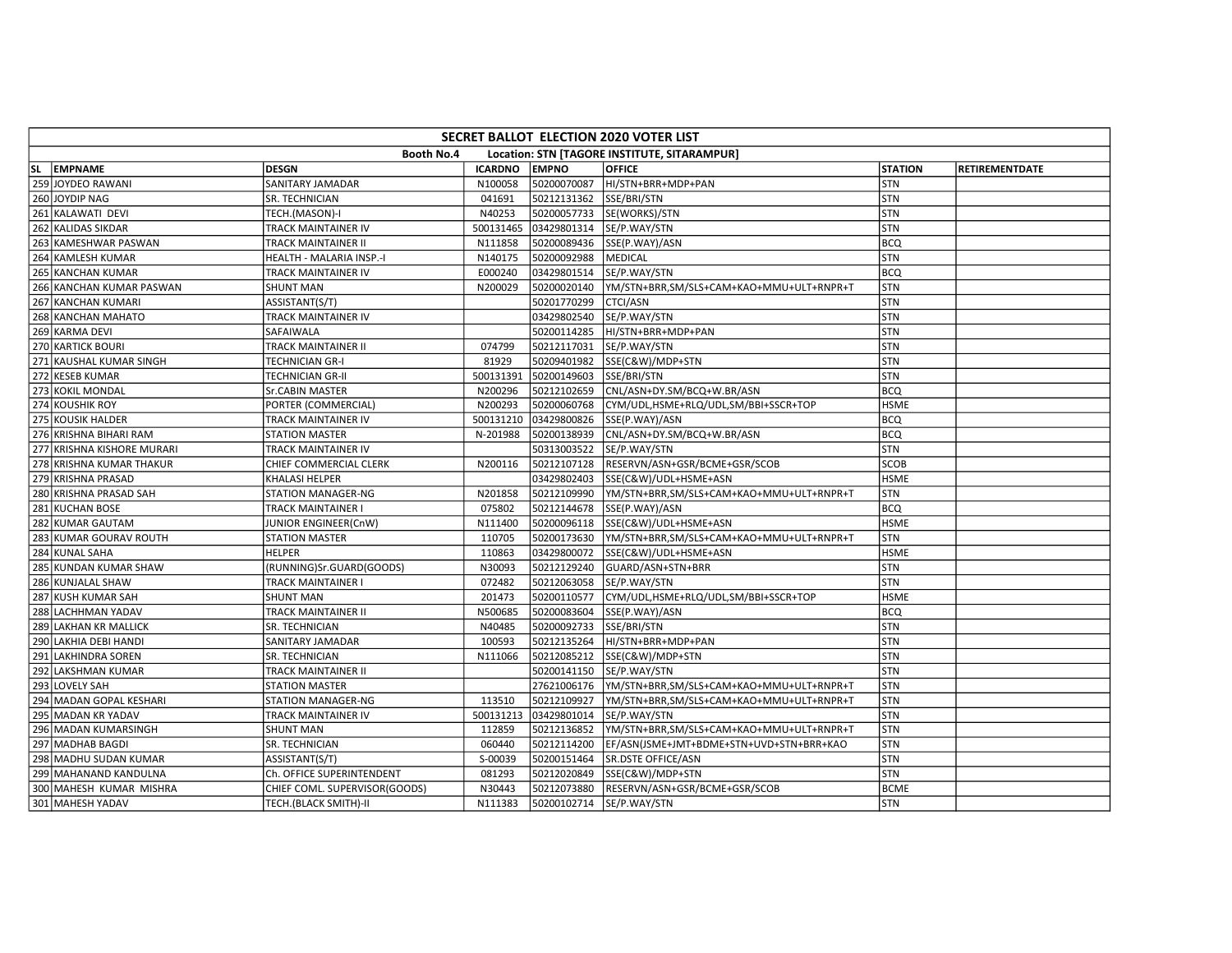| SECRET BALLOT ELECTION 2020 VOTER LIST                     |                               |                |                           |                                          |                |                       |  |  |  |  |  |
|------------------------------------------------------------|-------------------------------|----------------|---------------------------|------------------------------------------|----------------|-----------------------|--|--|--|--|--|
| Booth No.4<br>Location: STN [TAGORE INSTITUTE, SITARAMPUR] |                               |                |                           |                                          |                |                       |  |  |  |  |  |
| SL EMPNAME                                                 | DESGN                         | <b>ICARDNO</b> | <b>EMPNO</b>              | <b>OFFICE</b>                            | <b>STATION</b> | <b>RETIREMENTDATE</b> |  |  |  |  |  |
| 259 JOYDEO RAWANI                                          | <b>SANITARY JAMADAR</b>       | N100058        | 50200070087               | HI/STN+BRR+MDP+PAN                       | <b>STN</b>     |                       |  |  |  |  |  |
| 260 JOYDIP NAG                                             | SR. TECHNICIAN                | 041691         | 50212131362               | SSE/BRI/STN                              | STN            |                       |  |  |  |  |  |
| 261 KALAWATI DEVI                                          | TECH.(MASON)-I                | N40253         | 50200057733               | SE(WORKS)/STN                            | <b>STN</b>     |                       |  |  |  |  |  |
| 262 KALIDAS SIKDAR                                         | TRACK MAINTAINER IV           | 500131465      | 03429801314               | SE/P.WAY/STN                             | STN            |                       |  |  |  |  |  |
| 263 KAMESHWAR PASWAN                                       | <b>TRACK MAINTAINER II</b>    | N111858        | 50200089436               | SSE(P.WAY)/ASN                           | <b>BCQ</b>     |                       |  |  |  |  |  |
| 264 KAMLESH KUMAR                                          | HEALTH - MALARIA INSP.-I      | N140175        | 50200092988               | <b>MEDICAL</b>                           | <b>STN</b>     |                       |  |  |  |  |  |
| 265 KANCHAN KUMAR                                          | TRACK MAINTAINER IV           | E000240        | 03429801514               | SE/P.WAY/STN                             | <b>BCQ</b>     |                       |  |  |  |  |  |
| 266 KANCHAN KUMAR PASWAN                                   | <b>SHUNT MAN</b>              | N200029        | 50200020140               | YM/STN+BRR,SM/SLS+CAM+KAO+MMU+ULT+RNPR+T | <b>STN</b>     |                       |  |  |  |  |  |
| 267 KANCHAN KUMARI                                         | ASSISTANT(S/T)                |                | 50201770299               | <b>CTCI/ASN</b>                          | <b>STN</b>     |                       |  |  |  |  |  |
| 268 KANCHAN MAHATO                                         | <b>TRACK MAINTAINER IV</b>    |                | 03429802540               | SE/P.WAY/STN                             | <b>STN</b>     |                       |  |  |  |  |  |
| 269 KARMA DEVI                                             | SAFAIWALA                     |                | 50200114285               | HI/STN+BRR+MDP+PAN                       | <b>STN</b>     |                       |  |  |  |  |  |
| 270 KARTICK BOURI                                          | TRACK MAINTAINER II           | 074799         | 50212117031               | SE/P.WAY/STN                             | <b>STN</b>     |                       |  |  |  |  |  |
| 271 KAUSHAL KUMAR SINGH                                    | <b>TECHNICIAN GR-I</b>        | 81929          | 50209401982               | SSE(C&W)/MDP+STN                         | <b>STN</b>     |                       |  |  |  |  |  |
| 272 KESEB KUMAR                                            | <b>TECHNICIAN GR-II</b>       | 500131391      | 50200149603               | SSE/BRI/STN                              | <b>STN</b>     |                       |  |  |  |  |  |
| 273 KOKIL MONDAL                                           | Sr.CABIN MASTER               | N200296        | 50212102659               | CNL/ASN+DY.SM/BCQ+W.BR/ASN               | <b>BCQ</b>     |                       |  |  |  |  |  |
| 274 KOUSHIK ROY                                            | PORTER (COMMERCIAL)           | N200293        | 50200060768               | CYM/UDL,HSME+RLQ/UDL,SM/BBI+SSCR+TOP     | <b>HSME</b>    |                       |  |  |  |  |  |
| 275 KOUSIK HALDER                                          | TRACK MAINTAINER IV           | 500131210      | 03429800826               | SSE(P.WAY)/ASN                           | <b>BCQ</b>     |                       |  |  |  |  |  |
| 276 KRISHNA BIHARI RAM                                     | <b>STATION MASTER</b>         | N-201988       | 50200138939               | CNL/ASN+DY.SM/BCQ+W.BR/ASN               | <b>BCQ</b>     |                       |  |  |  |  |  |
| 277 KRISHNA KISHORE MURARI                                 | <b>TRACK MAINTAINER IV</b>    |                | 50313003522               | SE/P.WAY/STN                             | <b>STN</b>     |                       |  |  |  |  |  |
| 278 KRISHNA KUMAR THAKUR                                   | CHIEF COMMERCIAL CLERK        | N200116        | 50212107128               | RESERVN/ASN+GSR/BCME+GSR/SCOB            | <b>SCOB</b>    |                       |  |  |  |  |  |
| 279 KRISHNA PRASAD                                         | KHALASI HELPER                |                | 03429802403               | SSE(C&W)/UDL+HSME+ASN                    | <b>HSME</b>    |                       |  |  |  |  |  |
| 280 KRISHNA PRASAD SAH                                     | STATION MANAGER-NG            | N201858        | 50212109990               | YM/STN+BRR,SM/SLS+CAM+KAO+MMU+ULT+RNPR+T | <b>STN</b>     |                       |  |  |  |  |  |
| 281 KUCHAN BOSE                                            | <b>TRACK MAINTAINER I</b>     | 075802         | 50212144678               | SSE(P.WAY)/ASN                           | <b>BCQ</b>     |                       |  |  |  |  |  |
| 282 KUMAR GAUTAM                                           | JUNIOR ENGINEER(CnW)          | N111400        | 50200096118               | SSE(C&W)/UDL+HSME+ASN                    | <b>HSME</b>    |                       |  |  |  |  |  |
| 283 KUMAR GOURAV ROUTH                                     | <b>STATION MASTER</b>         | 110705         | 50200173630               | YM/STN+BRR,SM/SLS+CAM+KAO+MMU+ULT+RNPR+T | <b>STN</b>     |                       |  |  |  |  |  |
| 284 KUNAL SAHA                                             | <b>HELPER</b>                 | 110863         | 03429800072               | SSE(C&W)/UDL+HSME+ASN                    | <b>HSME</b>    |                       |  |  |  |  |  |
| 285 KUNDAN KUMAR SHAW                                      | (RUNNING)Sr.GUARD(GOODS)      | N30093         | 50212129240               | GUARD/ASN+STN+BRR                        | <b>STN</b>     |                       |  |  |  |  |  |
| 286 KUNJALAL SHAW                                          | <b>TRACK MAINTAINER I</b>     | 072482         | 50212063058               | SE/P.WAY/STN                             | STN            |                       |  |  |  |  |  |
| 287 KUSH KUMAR SAH                                         | <b>SHUNT MAN</b>              | 201473         | 50200110577               | CYM/UDL,HSME+RLQ/UDL,SM/BBI+SSCR+TOP     | <b>HSME</b>    |                       |  |  |  |  |  |
| 288 LACHHMAN YADAV                                         | TRACK MAINTAINER II           | N500685        | 50200083604               | SSE(P.WAY)/ASN                           | <b>BCQ</b>     |                       |  |  |  |  |  |
| 289 LAKHAN KR MALLICK                                      | SR. TECHNICIAN                | N40485         | 50200092733               | SSE/BRI/STN                              | <b>STN</b>     |                       |  |  |  |  |  |
| 290 LAKHIA DEBI HANDI                                      | <b>SANITARY JAMADAR</b>       | 100593         | 50212135264               | HI/STN+BRR+MDP+PAN                       | <b>STN</b>     |                       |  |  |  |  |  |
| 291 LAKHINDRA SOREN                                        | <b>SR. TECHNICIAN</b>         | N111066        | 50212085212               | SSE(C&W)/MDP+STN                         | <b>STN</b>     |                       |  |  |  |  |  |
| 292 LAKSHMAN KUMAR                                         | TRACK MAINTAINER II           |                | 50200141150               | SE/P.WAY/STN                             | STN            |                       |  |  |  |  |  |
| 293 LOVELY SAH                                             | <b>STATION MASTER</b>         |                | 27621006176               | YM/STN+BRR,SM/SLS+CAM+KAO+MMU+ULT+RNPR+T | <b>STN</b>     |                       |  |  |  |  |  |
| 294 MADAN GOPAL KESHARI                                    | <b>STATION MANAGER-NG</b>     | 113510         | 50212109927               | YM/STN+BRR,SM/SLS+CAM+KAO+MMU+ULT+RNPR+T | <b>STN</b>     |                       |  |  |  |  |  |
| 295 MADAN KR YADAV                                         | <b>TRACK MAINTAINER IV</b>    | 500131213      | 03429801014               | SE/P.WAY/STN                             | <b>STN</b>     |                       |  |  |  |  |  |
| 296 MADAN KUMARSINGH                                       | <b>SHUNT MAN</b>              | 112859         | 50212136852               | YM/STN+BRR,SM/SLS+CAM+KAO+MMU+ULT+RNPR+T | STN            |                       |  |  |  |  |  |
| 297 MADHAB BAGDI                                           | SR. TECHNICIAN                | 060440         | 50212114200               | EF/ASN(JSME+JMT+BDME+STN+UVD+STN+BRR+KAO | <b>STN</b>     |                       |  |  |  |  |  |
| 298 MADHU SUDAN KUMAR                                      | ASSISTANT(S/T)                | S-00039        | 50200151464               | SR.DSTE OFFICE/ASN                       | <b>STN</b>     |                       |  |  |  |  |  |
| 299 MAHANAND KANDULNA                                      | Ch. OFFICE SUPERINTENDENT     | 081293         | 50212020849               | SSE(C&W)/MDP+STN                         | <b>STN</b>     |                       |  |  |  |  |  |
| 300 MAHESH KUMAR MISHRA                                    | CHIEF COML. SUPERVISOR(GOODS) | N30443         | 50212073880               | RESERVN/ASN+GSR/BCME+GSR/SCOB            | <b>BCME</b>    |                       |  |  |  |  |  |
| 301 MAHESH YADAV                                           | TECH.(BLACK SMITH)-II         | N111383        | 50200102714  SE/P.WAY/STN |                                          | <b>STN</b>     |                       |  |  |  |  |  |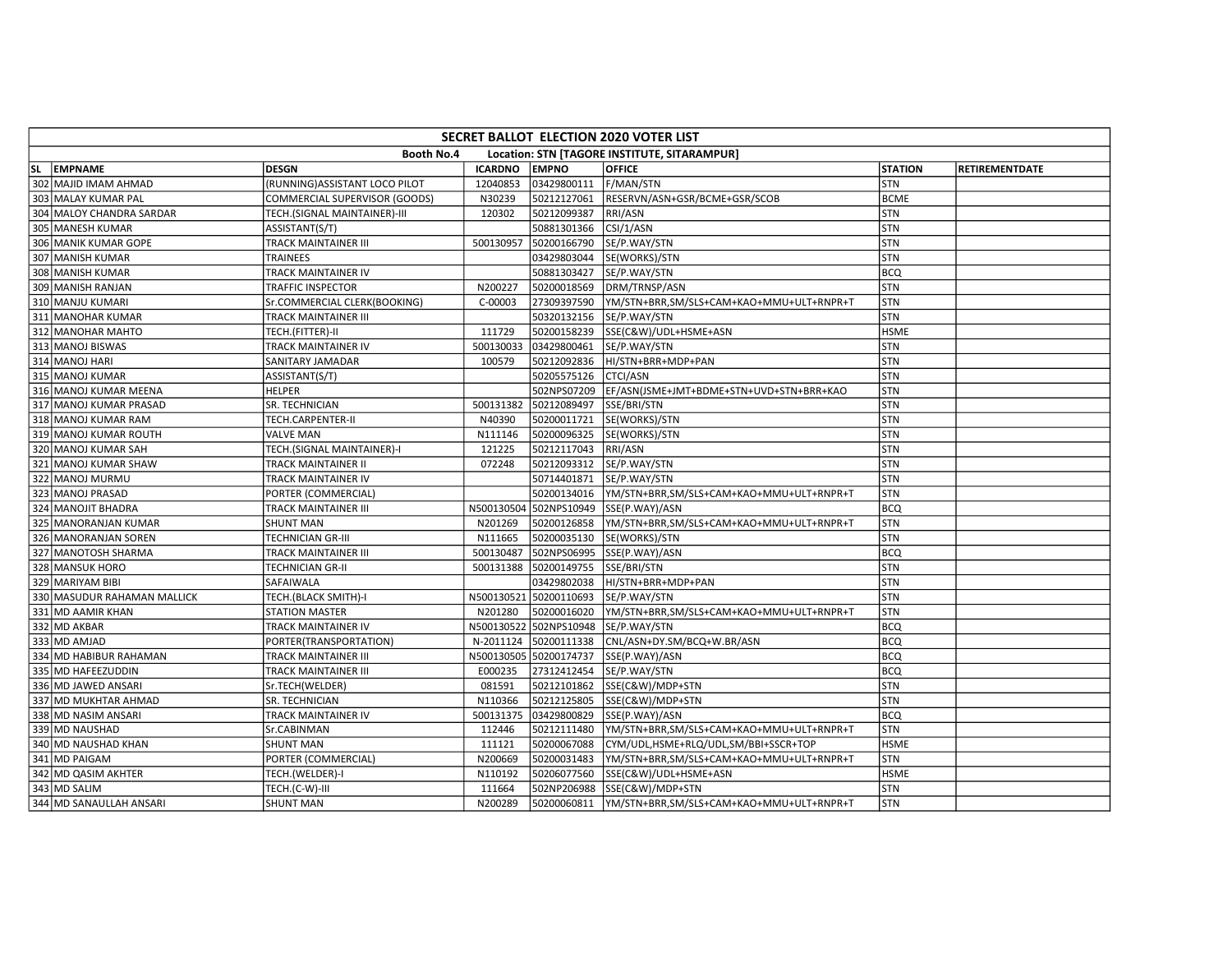|                                                            | SECRET BALLOT ELECTION 2020 VOTER LIST |                               |                |                        |                                          |                |                |  |  |  |  |
|------------------------------------------------------------|----------------------------------------|-------------------------------|----------------|------------------------|------------------------------------------|----------------|----------------|--|--|--|--|
| Booth No.4<br>Location: STN [TAGORE INSTITUTE, SITARAMPUR] |                                        |                               |                |                        |                                          |                |                |  |  |  |  |
|                                                            | SL EMPNAME                             | <b>DESGN</b>                  | <b>ICARDNO</b> | <b>EMPNO</b>           | <b>OFFICE</b>                            | <b>STATION</b> | RETIREMENTDATE |  |  |  |  |
|                                                            | 302 MAJID IMAM AHMAD                   | (RUNNING)ASSISTANT LOCO PILOT | 12040853       | 03429800111            | F/MAN/STN                                | <b>STN</b>     |                |  |  |  |  |
|                                                            | 303 MALAY KUMAR PAL                    | COMMERCIAL SUPERVISOR (GOODS) | N30239         | 50212127061            | RESERVN/ASN+GSR/BCME+GSR/SCOB            | <b>BCME</b>    |                |  |  |  |  |
|                                                            | 304 MALOY CHANDRA SARDAR               | TECH.(SIGNAL MAINTAINER)-III  | 120302         | 50212099387            | RRI/ASN                                  | <b>STN</b>     |                |  |  |  |  |
|                                                            | 305 MANESH KUMAR                       | ASSISTANT(S/T)                |                | 50881301366            | CSI/1/ASN                                | STN            |                |  |  |  |  |
|                                                            | 306 MANIK KUMAR GOPE                   | <b>TRACK MAINTAINER III</b>   | 500130957      | 50200166790            | SE/P.WAY/STN                             | <b>STN</b>     |                |  |  |  |  |
|                                                            | 307 MANISH KUMAR                       | TRAINEES                      |                | 03429803044            | SE(WORKS)/STN                            | STN            |                |  |  |  |  |
|                                                            | 308 MANISH KUMAR                       | TRACK MAINTAINER IV           |                | 50881303427            | SE/P.WAY/STN                             | <b>BCQ</b>     |                |  |  |  |  |
|                                                            | 309 MANISH RANJAN                      | TRAFFIC INSPECTOR             | N200227        | 50200018569            | DRM/TRNSP/ASN                            | STN            |                |  |  |  |  |
|                                                            | 310 MANJU KUMARI                       | Sr.COMMERCIAL CLERK(BOOKING)  | C-00003        | 27309397590            | YM/STN+BRR,SM/SLS+CAM+KAO+MMU+ULT+RNPR+T | <b>STN</b>     |                |  |  |  |  |
|                                                            | 311 MANOHAR KUMAR                      | <b>TRACK MAINTAINER III</b>   |                | 50320132156            | SE/P.WAY/STN                             | STN            |                |  |  |  |  |
|                                                            | 312 MANOHAR MAHTO                      | TECH.(FITTER)-II              | 111729         | 50200158239            | SSE(C&W)/UDL+HSME+ASN                    | <b>HSME</b>    |                |  |  |  |  |
|                                                            | 313 MANOJ BISWAS                       | TRACK MAINTAINER IV           | 500130033      | 03429800461            | SE/P.WAY/STN                             | <b>STN</b>     |                |  |  |  |  |
|                                                            | 314 MANOJ HARI                         | SANITARY JAMADAR              | 100579         | 50212092836            | HI/STN+BRR+MDP+PAN                       | <b>STN</b>     |                |  |  |  |  |
|                                                            | 315 MANOJ KUMAR                        | ASSISTANT(S/T)                |                | 50205575126            | <b>CTCI/ASN</b>                          | STN            |                |  |  |  |  |
|                                                            | 316 MANOJ KUMAR MEENA                  | <b>HELPER</b>                 |                | 502NPS07209            | EF/ASN(JSME+JMT+BDME+STN+UVD+STN+BRR+KAO | STN            |                |  |  |  |  |
|                                                            | 317 MANOJ KUMAR PRASAD                 | SR. TECHNICIAN                | 500131382      | 50212089497            | SSE/BRI/STN                              | <b>STN</b>     |                |  |  |  |  |
|                                                            | 318 MANOJ KUMAR RAM                    | TECH.CARPENTER-II             | N40390         | 50200011721            | SE(WORKS)/STN                            | <b>STN</b>     |                |  |  |  |  |
|                                                            | 319 MANOJ KUMAR ROUTH                  | <b>VALVE MAN</b>              | N111146        | 50200096325            | SE(WORKS)/STN                            | <b>STN</b>     |                |  |  |  |  |
|                                                            | 320 MANOJ KUMAR SAH                    | TECH.(SIGNAL MAINTAINER)-I    | 121225         | 50212117043            | RRI/ASN                                  | STN            |                |  |  |  |  |
|                                                            | 321 MANOJ KUMAR SHAW                   | TRACK MAINTAINER II           | 072248         | 50212093312            | SE/P.WAY/STN                             | STN            |                |  |  |  |  |
|                                                            | 322 MANOJ MURMU                        | TRACK MAINTAINER IV           |                | 50714401871            | SE/P.WAY/STN                             | <b>STN</b>     |                |  |  |  |  |
|                                                            | 323 MANOJ PRASAD                       | PORTER (COMMERCIAL)           |                | 50200134016            | YM/STN+BRR,SM/SLS+CAM+KAO+MMU+ULT+RNPR+T | <b>STN</b>     |                |  |  |  |  |
|                                                            | 324 MANOJIT BHADRA                     | <b>TRACK MAINTAINER III</b>   | N500130504     | 502NPS10949            | SSE(P.WAY)/ASN                           | BCQ            |                |  |  |  |  |
|                                                            | 325 MANORANJAN KUMAR                   | <b>SHUNT MAN</b>              | N201269        | 50200126858            | YM/STN+BRR,SM/SLS+CAM+KAO+MMU+ULT+RNPR+T | <b>STN</b>     |                |  |  |  |  |
|                                                            | 326 MANORANJAN SOREN                   | <b>TECHNICIAN GR-III</b>      | N111665        | 50200035130            | SE(WORKS)/STN                            | STN            |                |  |  |  |  |
|                                                            | 327 MANOTOSH SHARMA                    | TRACK MAINTAINER III          | 500130487      | 502NPS06995            | SSE(P.WAY)/ASN                           | <b>BCQ</b>     |                |  |  |  |  |
|                                                            | 328 MANSUK HORO                        | <b>TECHNICIAN GR-II</b>       | 500131388      | 50200149755            | SSE/BRI/STN                              | <b>STN</b>     |                |  |  |  |  |
|                                                            | 329 MARIYAM BIBI                       | SAFAIWALA                     |                | 03429802038            | HI/STN+BRR+MDP+PAN                       | STN            |                |  |  |  |  |
|                                                            | 330 MASUDUR RAHAMAN MALLICK            | TECH.(BLACK SMITH)-I          |                | N500130521 50200110693 | SE/P.WAY/STN                             | <b>STN</b>     |                |  |  |  |  |
|                                                            | 331 MD AAMIR KHAN                      | <b>STATION MASTER</b>         | N201280        | 50200016020            | YM/STN+BRR,SM/SLS+CAM+KAO+MMU+ULT+RNPR+T | STN            |                |  |  |  |  |
|                                                            | 332 MD AKBAR                           | TRACK MAINTAINER IV           |                | N500130522 502NPS10948 | SE/P.WAY/STN                             | <b>BCQ</b>     |                |  |  |  |  |
|                                                            | 333 MD AMJAD                           | PORTER(TRANSPORTATION)        | N-2011124      | 50200111338            | CNL/ASN+DY.SM/BCQ+W.BR/ASN               | <b>BCQ</b>     |                |  |  |  |  |
|                                                            | 334 MD HABIBUR RAHAMAN                 | TRACK MAINTAINER III          |                | N500130505 50200174737 | SSE(P.WAY)/ASN                           | <b>BCQ</b>     |                |  |  |  |  |
|                                                            | 335 MD HAFEEZUDDIN                     | TRACK MAINTAINER III          | E000235        | 27312412454            | SE/P.WAY/STN                             | <b>BCQ</b>     |                |  |  |  |  |
|                                                            | 336 MD JAWED ANSARI                    | Sr.TECH(WELDER)               | 081591         | 50212101862            | SSE(C&W)/MDP+STN                         | <b>STN</b>     |                |  |  |  |  |
|                                                            | 337 MD MUKHTAR AHMAD                   | SR. TECHNICIAN                | N110366        | 50212125805            | SSE(C&W)/MDP+STN                         | STN            |                |  |  |  |  |
|                                                            | 338 MD NASIM ANSARI                    | TRACK MAINTAINER IV           | 500131375      | 03429800829            | SSE(P.WAY)/ASN                           | <b>BCQ</b>     |                |  |  |  |  |
|                                                            | 339 MD NAUSHAD                         | Sr.CABINMAN                   | 112446         | 50212111480            | YM/STN+BRR,SM/SLS+CAM+KAO+MMU+ULT+RNPR+T | <b>STN</b>     |                |  |  |  |  |
|                                                            | 340 MD NAUSHAD KHAN                    | <b>SHUNT MAN</b>              | 111121         | 50200067088            | CYM/UDL,HSME+RLQ/UDL,SM/BBI+SSCR+TOP     | <b>HSME</b>    |                |  |  |  |  |
|                                                            | 341 MD PAIGAM                          | PORTER (COMMERCIAL)           | N200669        | 50200031483            | YM/STN+BRR,SM/SLS+CAM+KAO+MMU+ULT+RNPR+T | <b>STN</b>     |                |  |  |  |  |
|                                                            | 342 MD QASIM AKHTER                    | TECH.(WELDER)-I               | N110192        | 50206077560            | SSE(C&W)/UDL+HSME+ASN                    | <b>HSME</b>    |                |  |  |  |  |
|                                                            | 343 MD SALIM                           | TECH.(C-W)-III                | 111664         | 502NP206988            | SSE(C&W)/MDP+STN                         | <b>STN</b>     |                |  |  |  |  |
|                                                            | 344 MD SANAULLAH ANSARI                | <b>SHUNT MAN</b>              | N200289        | 50200060811            | YM/STN+BRR,SM/SLS+CAM+KAO+MMU+ULT+RNPR+T | <b>STN</b>     |                |  |  |  |  |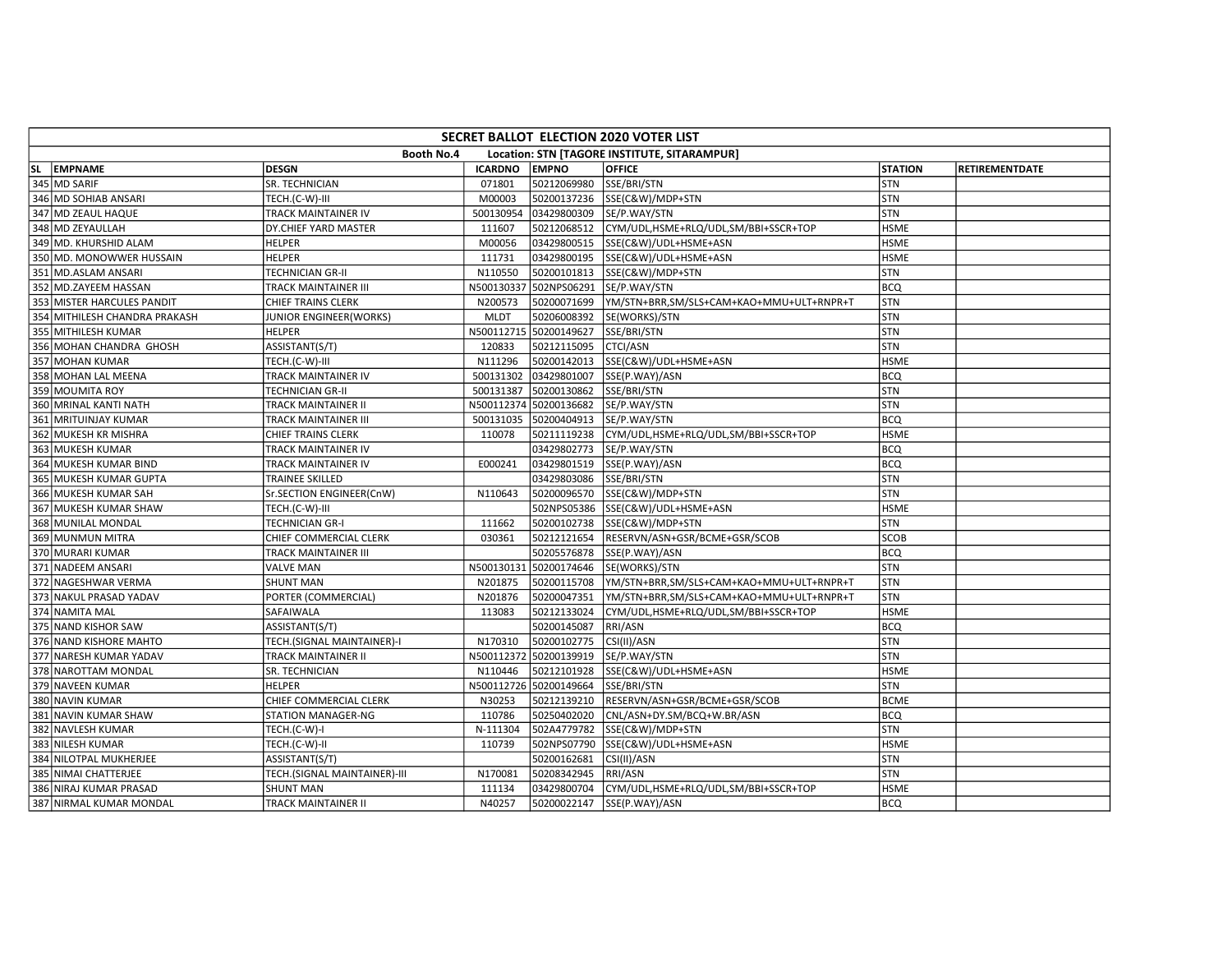| SECRET BALLOT ELECTION 2020 VOTER LIST                     |                              |                |                        |                                          |                |                |  |  |  |  |
|------------------------------------------------------------|------------------------------|----------------|------------------------|------------------------------------------|----------------|----------------|--|--|--|--|
| Booth No.4<br>Location: STN [TAGORE INSTITUTE, SITARAMPUR] |                              |                |                        |                                          |                |                |  |  |  |  |
| SL EMPNAME                                                 | <b>DESGN</b>                 | <b>ICARDNO</b> | <b>EMPNO</b>           | <b>OFFICE</b>                            | <b>STATION</b> | RETIREMENTDATE |  |  |  |  |
| 345 MD SARIF                                               | SR. TECHNICIAN               | 071801         | 50212069980            | SSE/BRI/STN                              | STN            |                |  |  |  |  |
| 346 MD SOHIAB ANSARI                                       | TECH.(C-W)-III               | M00003         | 50200137236            | SSE(C&W)/MDP+STN                         | <b>STN</b>     |                |  |  |  |  |
| 347 MD ZEAUL HAQUE                                         | TRACK MAINTAINER IV          | 500130954      | 03429800309            | SE/P.WAY/STN                             | <b>STN</b>     |                |  |  |  |  |
| 348 MD ZEYAULLAH                                           | DY.CHIEF YARD MASTER         | 111607         | 50212068512            | CYM/UDL,HSME+RLQ/UDL,SM/BBI+SSCR+TOP     | <b>HSME</b>    |                |  |  |  |  |
| 349 MD. KHURSHID ALAM                                      | <b>HELPER</b>                | M00056         | 03429800515            | SSE(C&W)/UDL+HSME+ASN                    | <b>HSME</b>    |                |  |  |  |  |
| 350 MD. MONOWWER HUSSAIN                                   | <b>HELPER</b>                | 111731         | 03429800195            | SSE(C&W)/UDL+HSME+ASN                    | <b>HSME</b>    |                |  |  |  |  |
| 351 MD.ASLAM ANSARI                                        | <b>TECHNICIAN GR-II</b>      | N110550        | 50200101813            | SSE(C&W)/MDP+STN                         | <b>STN</b>     |                |  |  |  |  |
| 352 MD.ZAYEEM HASSAN                                       | TRACK MAINTAINER III         | N500130337     | 502NPS06291            | SE/P.WAY/STN                             | <b>BCQ</b>     |                |  |  |  |  |
| 353 MISTER HARCULES PANDIT                                 | CHIEF TRAINS CLERK           | N200573        | 50200071699            | YM/STN+BRR,SM/SLS+CAM+KAO+MMU+ULT+RNPR+T | <b>STN</b>     |                |  |  |  |  |
| 354 MITHILESH CHANDRA PRAKASH                              | JUNIOR ENGINEER(WORKS)       | <b>MLDT</b>    | 50206008392            | SE(WORKS)/STN                            | <b>STN</b>     |                |  |  |  |  |
| 355 MITHILESH KUMAR                                        | <b>HELPER</b>                | N500112715     | 50200149627            | SSE/BRI/STN                              | <b>STN</b>     |                |  |  |  |  |
| 356 MOHAN CHANDRA GHOSH                                    | ASSISTANT(S/T)               | 120833         | 50212115095            | <b>CTCI/ASN</b>                          | <b>STN</b>     |                |  |  |  |  |
| 357 MOHAN KUMAR                                            | TECH.(C-W)-III               | N111296        | 50200142013            | SSE(C&W)/UDL+HSME+ASN                    | <b>HSME</b>    |                |  |  |  |  |
| 358 MOHAN LAL MEENA                                        | <b>TRACK MAINTAINER IV</b>   | 500131302      | 03429801007            | SSE(P.WAY)/ASN                           | <b>BCQ</b>     |                |  |  |  |  |
| 359 MOUMITA ROY                                            | <b>TECHNICIAN GR-II</b>      | 500131387      | 50200130862            | SSE/BRI/STN                              | <b>STN</b>     |                |  |  |  |  |
| 360 MRINAL KANTI NATH                                      | TRACK MAINTAINER II          |                | N500112374 50200136682 | SE/P.WAY/STN                             | STN            |                |  |  |  |  |
| 361 MRITUINJAY KUMAR                                       | TRACK MAINTAINER III         | 500131035      | 50200404913            | SE/P.WAY/STN                             | <b>BCQ</b>     |                |  |  |  |  |
| 362 MUKESH KR MISHRA                                       | CHIEF TRAINS CLERK           | 110078         | 50211119238            | CYM/UDL,HSME+RLQ/UDL,SM/BBI+SSCR+TOP     | <b>HSME</b>    |                |  |  |  |  |
| 363 MUKESH KUMAR                                           | <b>TRACK MAINTAINER IV</b>   |                | 03429802773            | SE/P.WAY/STN                             | <b>BCQ</b>     |                |  |  |  |  |
| 364 MUKESH KUMAR BIND                                      | TRACK MAINTAINER IV          | E000241        | 03429801519            | SSE(P.WAY)/ASN                           | <b>BCQ</b>     |                |  |  |  |  |
| 365 MUKESH KUMAR GUPTA                                     | <b>TRAINEE SKILLED</b>       |                | 03429803086            | SSE/BRI/STN                              | <b>STN</b>     |                |  |  |  |  |
| 366 MUKESH KUMAR SAH                                       | Sr.SECTION ENGINEER(CnW)     | N110643        | 50200096570            | SSE(C&W)/MDP+STN                         | STN            |                |  |  |  |  |
| 367 MUKESH KUMAR SHAW                                      | TECH.(C-W)-III               |                | 502NPS05386            | SSE(C&W)/UDL+HSME+ASN                    | <b>HSME</b>    |                |  |  |  |  |
| 368 MUNILAL MONDAL                                         | <b>TECHNICIAN GR-I</b>       | 111662         | 50200102738            | SSE(C&W)/MDP+STN                         | <b>STN</b>     |                |  |  |  |  |
| 369 MUNMUN MITRA                                           | CHIEF COMMERCIAL CLERK       | 030361         | 50212121654            | RESERVN/ASN+GSR/BCME+GSR/SCOB            | <b>SCOB</b>    |                |  |  |  |  |
| 370 MURARI KUMAR                                           | <b>TRACK MAINTAINER III</b>  |                | 50205576878            | SSE(P.WAY)/ASN                           | <b>BCQ</b>     |                |  |  |  |  |
| 371 NADEEM ANSARI                                          | <b>VALVE MAN</b>             | N500130131     | 50200174646            | SE(WORKS)/STN                            | <b>STN</b>     |                |  |  |  |  |
| 372 NAGESHWAR VERMA                                        | <b>SHUNT MAN</b>             | N201875        | 50200115708            | YM/STN+BRR,SM/SLS+CAM+KAO+MMU+ULT+RNPR+T | STN            |                |  |  |  |  |
| 373 NAKUL PRASAD YADAV                                     | PORTER (COMMERCIAL)          | N201876        | 50200047351            | YM/STN+BRR,SM/SLS+CAM+KAO+MMU+ULT+RNPR+T | <b>STN</b>     |                |  |  |  |  |
| 374 NAMITA MAL                                             | SAFAIWALA                    | 113083         | 50212133024            | CYM/UDL,HSME+RLQ/UDL,SM/BBI+SSCR+TOP     | <b>HSME</b>    |                |  |  |  |  |
| 375 NAND KISHOR SAW                                        | ASSISTANT(S/T)               |                | 50200145087            | RRI/ASN                                  | <b>BCQ</b>     |                |  |  |  |  |
| 376 NAND KISHORE MAHTO                                     | TECH.(SIGNAL MAINTAINER)-I   | N170310        | 50200102775            | CSI(II)/ASN                              | STN            |                |  |  |  |  |
| 377 NARESH KUMAR YADAV                                     | TRACK MAINTAINER II          | N500112372     | 50200139919            | SE/P.WAY/STN                             | <b>STN</b>     |                |  |  |  |  |
| 378 NAROTTAM MONDAL                                        | SR. TECHNICIAN               | N110446        | 50212101928            | SSE(C&W)/UDL+HSME+ASN                    | <b>HSME</b>    |                |  |  |  |  |
| 379 NAVEEN KUMAR                                           | <b>HELPER</b>                |                | N500112726 50200149664 | SSE/BRI/STN                              | <b>STN</b>     |                |  |  |  |  |
| 380 NAVIN KUMAR                                            | CHIEF COMMERCIAL CLERK       | N30253         | 50212139210            | RESERVN/ASN+GSR/BCME+GSR/SCOB            | <b>BCME</b>    |                |  |  |  |  |
| 381 NAVIN KUMAR SHAW                                       | <b>STATION MANAGER-NG</b>    | 110786         | 50250402020            | CNL/ASN+DY.SM/BCQ+W.BR/ASN               | <b>BCQ</b>     |                |  |  |  |  |
| 382 NAVLESH KUMAR                                          | TECH.(C-W)-I                 | N-111304       | 502A4779782            | SSE(C&W)/MDP+STN                         | STN            |                |  |  |  |  |
| 383 NILESH KUMAR                                           | TECH.(C-W)-II                | 110739         | 502NPS07790            | SSE(C&W)/UDL+HSME+ASN                    | <b>HSME</b>    |                |  |  |  |  |
| 384 NILOTPAL MUKHERJEE                                     | ASSISTANT(S/T)               |                | 50200162681            | CSI(II)/ASN                              | <b>STN</b>     |                |  |  |  |  |
| 385 NIMAI CHATTERJEE                                       | TECH.(SIGNAL MAINTAINER)-III | N170081        | 50208342945            | RRI/ASN                                  | <b>STN</b>     |                |  |  |  |  |
| 386 NIRAJ KUMAR PRASAD                                     | <b>SHUNT MAN</b>             | 111134         | 03429800704            | CYM/UDL,HSME+RLQ/UDL,SM/BBI+SSCR+TOP     | <b>HSME</b>    |                |  |  |  |  |
| 387 NIRMAL KUMAR MONDAL                                    | TRACK MAINTAINER II          | N40257         | 50200022147            | SSE(P.WAY)/ASN                           | <b>BCQ</b>     |                |  |  |  |  |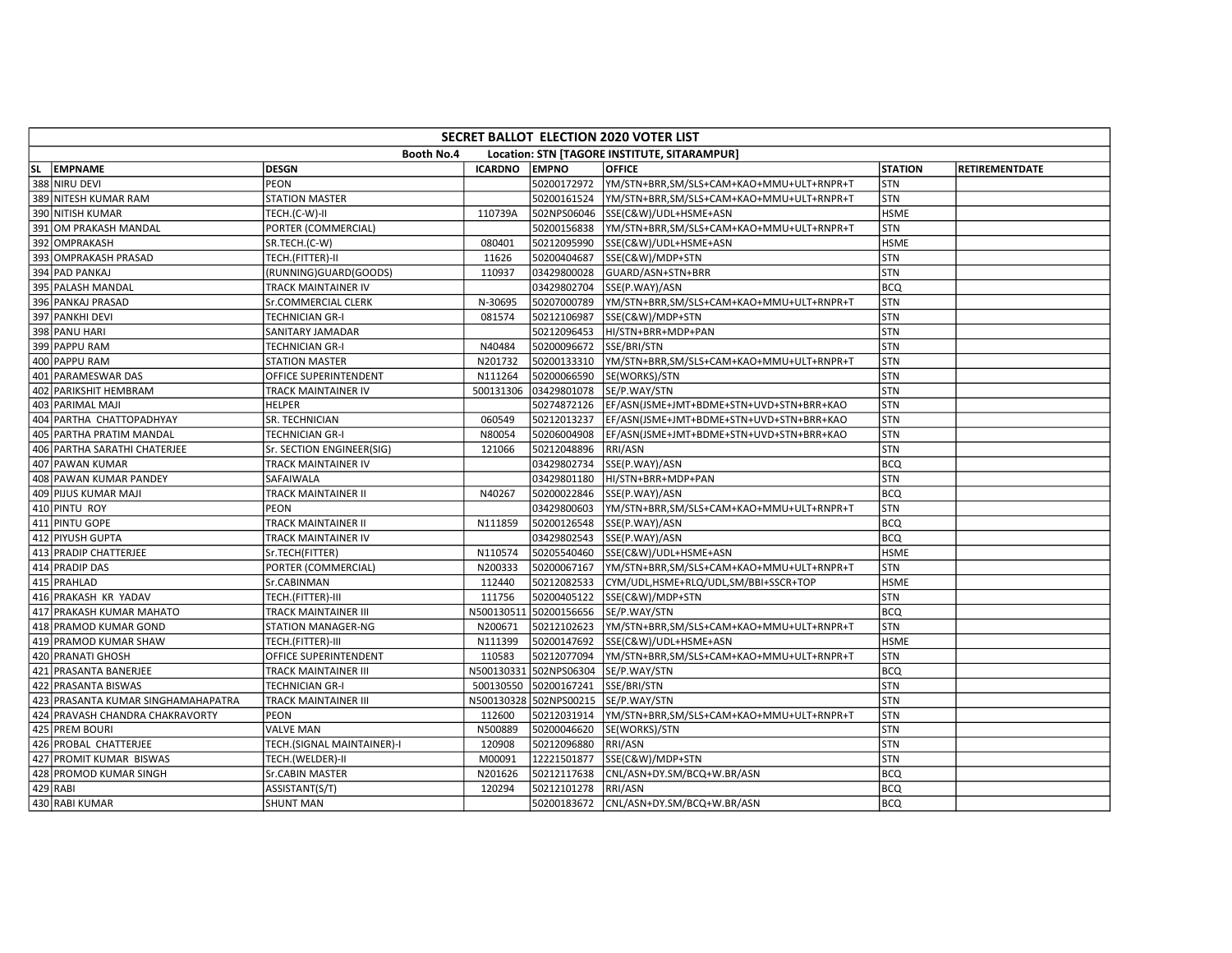| SECRET BALLOT ELECTION 2020 VOTER LIST |                             |                |                        |                                              |                |                |  |  |  |  |
|----------------------------------------|-----------------------------|----------------|------------------------|----------------------------------------------|----------------|----------------|--|--|--|--|
|                                        | Booth No.4                  |                |                        | Location: STN [TAGORE INSTITUTE, SITARAMPUR] |                |                |  |  |  |  |
| SL EMPNAME                             | <b>DESGN</b>                | <b>ICARDNO</b> | <b>EMPNO</b>           | <b>OFFICE</b>                                | <b>STATION</b> | RETIREMENTDATE |  |  |  |  |
| 388 NIRU DEVI                          | <b>PEON</b>                 |                | 50200172972            | YM/STN+BRR.SM/SLS+CAM+KAO+MMU+ULT+RNPR+T     | <b>STN</b>     |                |  |  |  |  |
| 389 NITESH KUMAR RAM                   | <b>STATION MASTER</b>       |                | 50200161524            | YM/STN+BRR,SM/SLS+CAM+KAO+MMU+ULT+RNPR+T     | STN            |                |  |  |  |  |
| 390 NITISH KUMAR                       | TECH.(C-W)-II               | 110739A        | 502NPS06046            | SSE(C&W)/UDL+HSME+ASN                        | <b>HSME</b>    |                |  |  |  |  |
| 391 OM PRAKASH MANDAL                  | PORTER (COMMERCIAL)         |                | 50200156838            | YM/STN+BRR,SM/SLS+CAM+KAO+MMU+ULT+RNPR+T     | STN            |                |  |  |  |  |
| 392 OMPRAKASH                          | SR.TECH.(C-W)               | 080401         | 50212095990            | SSE(C&W)/UDL+HSME+ASN                        | <b>HSME</b>    |                |  |  |  |  |
| 393 OMPRAKASH PRASAD                   | TECH.(FITTER)-II            | 11626          | 50200404687            | SSE(C&W)/MDP+STN                             | STN            |                |  |  |  |  |
| 394 PAD PANKAJ                         | (RUNNING)GUARD(GOODS)       | 110937         | 03429800028            | GUARD/ASN+STN+BRR                            | <b>STN</b>     |                |  |  |  |  |
| 395 PALASH MANDAL                      | TRACK MAINTAINER IV         |                | 03429802704            | SSE(P.WAY)/ASN                               | <b>BCQ</b>     |                |  |  |  |  |
| 396 PANKAJ PRASAD                      | Sr.COMMERCIAL CLERK         | N-30695        | 50207000789            | YM/STN+BRR,SM/SLS+CAM+KAO+MMU+ULT+RNPR+T     | STN            |                |  |  |  |  |
| 397 PANKHI DEVI                        | <b>TECHNICIAN GR-I</b>      | 081574         | 50212106987            | SSE(C&W)/MDP+STN                             | <b>STN</b>     |                |  |  |  |  |
| 398 PANU HARI                          | SANITARY JAMADAR            |                | 50212096453            | HI/STN+BRR+MDP+PAN                           | STN            |                |  |  |  |  |
| 399 PAPPU RAM                          | <b>TECHNICIAN GR-I</b>      | N40484         | 50200096672            | SSE/BRI/STN                                  | <b>STN</b>     |                |  |  |  |  |
| 400 PAPPU RAM                          | <b>STATION MASTER</b>       | N201732        | 50200133310            | YM/STN+BRR,SM/SLS+CAM+KAO+MMU+ULT+RNPR+T     | <b>STN</b>     |                |  |  |  |  |
| 401 PARAMESWAR DAS                     | OFFICE SUPERINTENDENT       | N111264        | 50200066590            | SE(WORKS)/STN                                | <b>STN</b>     |                |  |  |  |  |
| 402 PARIKSHIT HEMBRAM                  | TRACK MAINTAINER IV         | 500131306      | 03429801078            | SE/P.WAY/STN                                 | STN            |                |  |  |  |  |
| 403 PARIMAL MAJI                       | <b>HELPER</b>               |                | 50274872126            | EF/ASN(JSME+JMT+BDME+STN+UVD+STN+BRR+KAO     | <b>STN</b>     |                |  |  |  |  |
| 404 PARTHA CHATTOPADHYAY               | SR. TECHNICIAN              | 060549         | 50212013237            | EF/ASN(JSME+JMT+BDME+STN+UVD+STN+BRR+KAO     | <b>STN</b>     |                |  |  |  |  |
| 405 PARTHA PRATIM MANDAL               | <b>TECHNICIAN GR-I</b>      | N80054         | 50206004908            | EF/ASN(JSME+JMT+BDME+STN+UVD+STN+BRR+KAO     | <b>STN</b>     |                |  |  |  |  |
| 406 PARTHA SARATHI CHATERJEE           | Sr. SECTION ENGINEER(SIG)   | 121066         | 50212048896            | RRI/ASN                                      | STN            |                |  |  |  |  |
| 407 PAWAN KUMAR                        | TRACK MAINTAINER IV         |                | 03429802734            | SSE(P.WAY)/ASN                               | BCQ            |                |  |  |  |  |
| 408 PAWAN KUMAR PANDEY                 | SAFAIWALA                   |                | 03429801180            | HI/STN+BRR+MDP+PAN                           | STN            |                |  |  |  |  |
| 409 PIJUS KUMAR MAJI                   | TRACK MAINTAINER II         | N40267         | 50200022846            | SSE(P.WAY)/ASN                               | <b>BCQ</b>     |                |  |  |  |  |
| 410 PINTU ROY                          | <b>PEON</b>                 |                | 03429800603            | YM/STN+BRR,SM/SLS+CAM+KAO+MMU+ULT+RNPR+T     | STN            |                |  |  |  |  |
| 411 PINTU GOPE                         | TRACK MAINTAINER II         | N111859        | 50200126548            | SSE(P.WAY)/ASN                               | <b>BCQ</b>     |                |  |  |  |  |
| 412 PIYUSH GUPTA                       | TRACK MAINTAINER IV         |                | 03429802543            | SSE(P.WAY)/ASN                               | <b>BCQ</b>     |                |  |  |  |  |
| 413 PRADIP CHATTERJEE                  | Sr.TECH(FITTER)             | N110574        | 50205540460            | SSE(C&W)/UDL+HSME+ASN                        | <b>HSME</b>    |                |  |  |  |  |
| 414 PRADIP DAS                         | PORTER (COMMERCIAL)         | N200333        | 50200067167            | YM/STN+BRR,SM/SLS+CAM+KAO+MMU+ULT+RNPR+T     | STN            |                |  |  |  |  |
| 415 PRAHLAD                            | Sr.CABINMAN                 | 112440         | 50212082533            | CYM/UDL,HSME+RLQ/UDL,SM/BBI+SSCR+TOP         | <b>HSME</b>    |                |  |  |  |  |
| 416 PRAKASH KR YADAV                   | TECH.(FITTER)-III           | 111756         | 50200405122            | SSE(C&W)/MDP+STN                             | <b>STN</b>     |                |  |  |  |  |
| 417 PRAKASH KUMAR MAHATO               | TRACK MAINTAINER III        | N500130511     | 50200156656            | SE/P.WAY/STN                                 | <b>BCQ</b>     |                |  |  |  |  |
| 418 PRAMOD KUMAR GOND                  | <b>STATION MANAGER-NG</b>   | N200671        | 50212102623            | YM/STN+BRR,SM/SLS+CAM+KAO+MMU+ULT+RNPR+T     | <b>STN</b>     |                |  |  |  |  |
| 419 PRAMOD KUMAR SHAW                  | TECH.(FITTER)-III           | N111399        | 50200147692            | SSE(C&W)/UDL+HSME+ASN                        | <b>HSME</b>    |                |  |  |  |  |
| 420 PRANATI GHOSH                      | OFFICE SUPERINTENDENT       | 110583         | 50212077094            | YM/STN+BRR,SM/SLS+CAM+KAO+MMU+ULT+RNPR+T     | <b>STN</b>     |                |  |  |  |  |
| 421 PRASANTA BANERJEE                  | TRACK MAINTAINER III        | N500130331     | 502NPS06304            | SE/P.WAY/STN                                 | <b>BCQ</b>     |                |  |  |  |  |
| 422 PRASANTA BISWAS                    | <b>TECHNICIAN GR-I</b>      | 500130550      | 50200167241            | SSE/BRI/STN                                  | <b>STN</b>     |                |  |  |  |  |
| 423 PRASANTA KUMAR SINGHAMAHAPATRA     | <b>TRACK MAINTAINER III</b> |                | N500130328 502NPS00215 | SE/P.WAY/STN                                 | STN            |                |  |  |  |  |
| 424 PRAVASH CHANDRA CHAKRAVORTY        | <b>PEON</b>                 | 112600         | 50212031914            | YM/STN+BRR,SM/SLS+CAM+KAO+MMU+ULT+RNPR+T     | <b>STN</b>     |                |  |  |  |  |
| 425 PREM BOURI                         | <b>VALVE MAN</b>            | N500889        | 50200046620            | SE(WORKS)/STN                                | STN            |                |  |  |  |  |
| 426 PROBAL CHATTERJEE                  | TECH.(SIGNAL MAINTAINER)-I  | 120908         | 50212096880            | RRI/ASN                                      | <b>STN</b>     |                |  |  |  |  |
| 427 PROMIT KUMAR BISWAS                | TECH.(WELDER)-II            | M00091         | 12221501877            | SSE(C&W)/MDP+STN                             | <b>STN</b>     |                |  |  |  |  |
| 428 PROMOD KUMAR SINGH                 | Sr.CABIN MASTER             | N201626        | 50212117638            | CNL/ASN+DY.SM/BCQ+W.BR/ASN                   | <b>BCQ</b>     |                |  |  |  |  |
| $429$ RABI                             | ASSISTANT(S/T)              | 120294         | 50212101278            | RRI/ASN                                      | <b>BCQ</b>     |                |  |  |  |  |
| 430 RABI KUMAR                         | <b>SHUNT MAN</b>            |                | 50200183672            | CNL/ASN+DY.SM/BCQ+W.BR/ASN                   | <b>BCQ</b>     |                |  |  |  |  |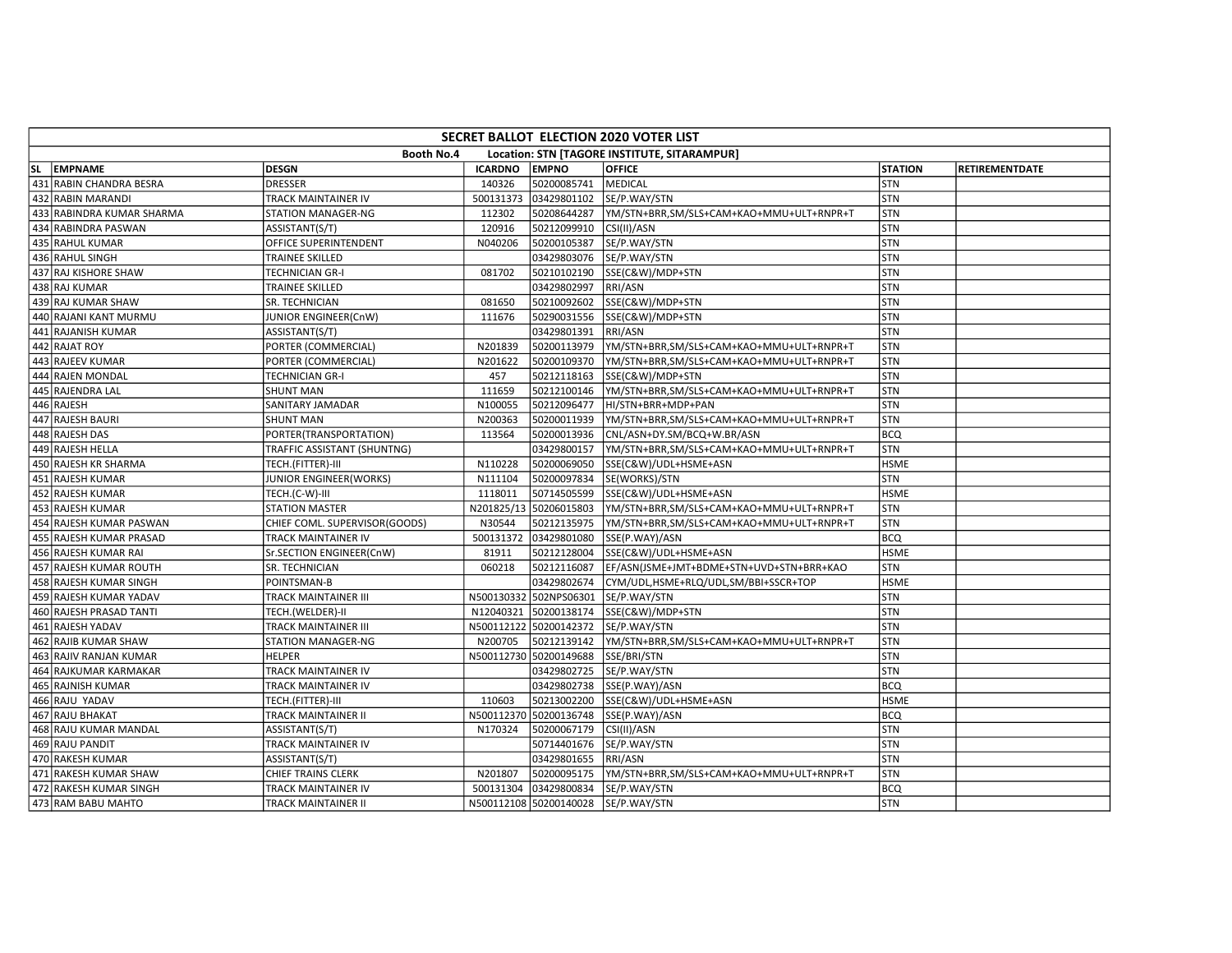| SECRET BALLOT ELECTION 2020 VOTER LIST |                               |                |                        |                                              |                |                |  |  |  |  |
|----------------------------------------|-------------------------------|----------------|------------------------|----------------------------------------------|----------------|----------------|--|--|--|--|
|                                        | Booth No.4                    |                |                        | Location: STN [TAGORE INSTITUTE, SITARAMPUR] |                |                |  |  |  |  |
| SL EMPNAME                             | <b>DESGN</b>                  | <b>ICARDNO</b> | <b>EMPNO</b>           | <b>OFFICE</b>                                | <b>STATION</b> | RETIREMENTDATE |  |  |  |  |
| 431 RABIN CHANDRA BESRA                | <b>DRESSER</b>                | 140326         | 50200085741            | <b>MEDICAL</b>                               | STN            |                |  |  |  |  |
| 432 RABIN MARANDI                      | TRACK MAINTAINER IV           | 500131373      | 03429801102            | SE/P.WAY/STN                                 | STN            |                |  |  |  |  |
| 433 RABINDRA KUMAR SHARMA              | <b>STATION MANAGER-NG</b>     | 112302         | 50208644287            | YM/STN+BRR,SM/SLS+CAM+KAO+MMU+ULT+RNPR+T     | <b>STN</b>     |                |  |  |  |  |
| 434 RABINDRA PASWAN                    | ASSISTANT(S/T)                | 120916         | 50212099910            | CSI(II)/ASN                                  | STN            |                |  |  |  |  |
| 435 RAHUL KUMAR                        | OFFICE SUPERINTENDENT         | N040206        | 50200105387            | SE/P.WAY/STN                                 | <b>STN</b>     |                |  |  |  |  |
| 436 RAHUL SINGH                        | <b>TRAINEE SKILLED</b>        |                | 03429803076            | SE/P.WAY/STN                                 | STN            |                |  |  |  |  |
| 437 RAJ KISHORE SHAW                   | <b>TECHNICIAN GR-I</b>        | 081702         | 50210102190            | SSE(C&W)/MDP+STN                             | <b>STN</b>     |                |  |  |  |  |
| 438 RAJ KUMAR                          | TRAINEE SKILLED               |                | 03429802997            | RRI/ASN                                      | STN            |                |  |  |  |  |
| 439 RAJ KUMAR SHAW                     | SR. TECHNICIAN                | 081650         | 50210092602            | SSE(C&W)/MDP+STN                             | <b>STN</b>     |                |  |  |  |  |
| 440 RAJANI KANT MURMU                  | JUNIOR ENGINEER(CnW)          | 111676         | 50290031556            | SSE(C&W)/MDP+STN                             | STN            |                |  |  |  |  |
| 441 RAJANISH KUMAR                     | ASSISTANT(S/T)                |                | 03429801391            | RRI/ASN                                      | <b>STN</b>     |                |  |  |  |  |
| 442 RAJAT ROY                          | PORTER (COMMERCIAL)           | N201839        | 50200113979            | YM/STN+BRR,SM/SLS+CAM+KAO+MMU+ULT+RNPR+T     | STN            |                |  |  |  |  |
| 443 RAJEEV KUMAR                       | PORTER (COMMERCIAL)           | N201622        | 50200109370            | YM/STN+BRR,SM/SLS+CAM+KAO+MMU+ULT+RNPR+T     | <b>STN</b>     |                |  |  |  |  |
| 444 RAJEN MONDAL                       | <b>TECHNICIAN GR-I</b>        | 457            | 50212118163            | SSE(C&W)/MDP+STN                             | STN            |                |  |  |  |  |
| 445 RAJENDRA LAL                       | <b>SHUNT MAN</b>              | 111659         | 50212100146            | YM/STN+BRR,SM/SLS+CAM+KAO+MMU+ULT+RNPR+T     | <b>STN</b>     |                |  |  |  |  |
| 446 RAJESH                             | SANITARY JAMADAR              | N100055        | 50212096477            | HI/STN+BRR+MDP+PAN                           | STN            |                |  |  |  |  |
| 447 RAJESH BAURI                       | <b>SHUNT MAN</b>              | N200363        | 50200011939            | YM/STN+BRR,SM/SLS+CAM+KAO+MMU+ULT+RNPR+T     | <b>STN</b>     |                |  |  |  |  |
| 448 RAJESH DAS                         | PORTER(TRANSPORTATION)        | 113564         | 50200013936            | CNL/ASN+DY.SM/BCQ+W.BR/ASN                   | <b>BCQ</b>     |                |  |  |  |  |
| 449 RAJESH HELLA                       | TRAFFIC ASSISTANT (SHUNTNG)   |                | 03429800157            | YM/STN+BRR,SM/SLS+CAM+KAO+MMU+ULT+RNPR+T     | <b>STN</b>     |                |  |  |  |  |
| 450 RAJESH KR SHARMA                   | TECH.(FITTER)-III             | N110228        | 50200069050            | SSE(C&W)/UDL+HSME+ASN                        | <b>HSME</b>    |                |  |  |  |  |
| 451 RAJESH KUMAR                       | JUNIOR ENGINEER(WORKS)        | N111104        | 50200097834            | SE(WORKS)/STN                                | <b>STN</b>     |                |  |  |  |  |
| 452 RAJESH KUMAR                       | TECH.(C-W)-III                | 1118011        | 50714505599            | SSE(C&W)/UDL+HSME+ASN                        | <b>HSME</b>    |                |  |  |  |  |
| 453 RAJESH KUMAR                       | <b>STATION MASTER</b>         | N201825/13     | 50206015803            | YM/STN+BRR,SM/SLS+CAM+KAO+MMU+ULT+RNPR+T     | STN            |                |  |  |  |  |
| 454 RAJESH KUMAR PASWAN                | CHIEF COML. SUPERVISOR(GOODS) | N30544         | 50212135975            | YM/STN+BRR,SM/SLS+CAM+KAO+MMU+ULT+RNPR+T     | STN            |                |  |  |  |  |
| 455 RAJESH KUMAR PRASAD                | TRACK MAINTAINER IV           | 500131372      | 03429801080            | SSE(P.WAY)/ASN                               | <b>BCQ</b>     |                |  |  |  |  |
| 456 RAJESH KUMAR RAI                   | Sr.SECTION ENGINEER(CnW)      | 81911          | 50212128004            | SSE(C&W)/UDL+HSME+ASN                        | <b>HSME</b>    |                |  |  |  |  |
| 457 RAJESH KUMAR ROUTH                 | SR. TECHNICIAN                | 060218         | 50212116087            | EF/ASN(JSME+JMT+BDME+STN+UVD+STN+BRR+KAO     | <b>STN</b>     |                |  |  |  |  |
| 458 RAJESH KUMAR SINGH                 | POINTSMAN-B                   |                | 03429802674            | CYM/UDL,HSME+RLQ/UDL,SM/BBI+SSCR+TOP         | <b>HSME</b>    |                |  |  |  |  |
| 459 RAJESH KUMAR YADAV                 | TRACK MAINTAINER III          |                | N500130332 502NPS06301 | SE/P.WAY/STN                                 | <b>STN</b>     |                |  |  |  |  |
| 460 RAJESH PRASAD TANTI                | TECH.(WELDER)-II              |                | N12040321 50200138174  | SSE(C&W)/MDP+STN                             | <b>STN</b>     |                |  |  |  |  |
| 461 RAJESH YADAV                       | <b>TRACK MAINTAINER III</b>   |                | N500112122 50200142372 | SE/P.WAY/STN                                 | STN            |                |  |  |  |  |
| 462 RAJIB KUMAR SHAW                   | <b>STATION MANAGER-NG</b>     | N200705        | 50212139142            | YM/STN+BRR,SM/SLS+CAM+KAO+MMU+ULT+RNPR+T     | <b>STN</b>     |                |  |  |  |  |
| 463 RAJIV RANJAN KUMAR                 | <b>HELPER</b>                 |                | N500112730 50200149688 | SSE/BRI/STN                                  | STN            |                |  |  |  |  |
| 464 RAJKUMAR KARMAKAR                  | TRACK MAINTAINER IV           |                | 03429802725            | SE/P.WAY/STN                                 | <b>STN</b>     |                |  |  |  |  |
| 465 RAJNISH KUMAR                      | TRACK MAINTAINER IV           |                | 03429802738            | SSE(P.WAY)/ASN                               | <b>BCQ</b>     |                |  |  |  |  |
| 466 RAJU YADAV                         | TECH.(FITTER)-III             | 110603         | 50213002200            | SSE(C&W)/UDL+HSME+ASN                        | <b>HSME</b>    |                |  |  |  |  |
| 467 RAJU BHAKAT                        | TRACK MAINTAINER II           |                | N500112370 50200136748 | SSE(P.WAY)/ASN                               | <b>BCQ</b>     |                |  |  |  |  |
| 468 RAJU KUMAR MANDAL                  | ASSISTANT(S/T)                | N170324        | 50200067179            | CSI(II)/ASN                                  | STN            |                |  |  |  |  |
| 469 RAJU PANDIT                        | TRACK MAINTAINER IV           |                | 50714401676            | SE/P.WAY/STN                                 | <b>STN</b>     |                |  |  |  |  |
| 470 RAKESH KUMAR                       | ASSISTANT(S/T)                |                | 03429801655            | RRI/ASN                                      | STN            |                |  |  |  |  |
| 471 RAKESH KUMAR SHAW                  | CHIEF TRAINS CLERK            | N201807        | 50200095175            | YM/STN+BRR,SM/SLS+CAM+KAO+MMU+ULT+RNPR+T     | STN            |                |  |  |  |  |
| 472 RAKESH KUMAR SINGH                 | TRACK MAINTAINER IV           | 500131304      | 03429800834            | SE/P.WAY/STN                                 | <b>BCQ</b>     |                |  |  |  |  |
| 473 RAM BABU MAHTO                     | TRACK MAINTAINER II           |                | N500112108 50200140028 | SE/P.WAY/STN                                 | <b>STN</b>     |                |  |  |  |  |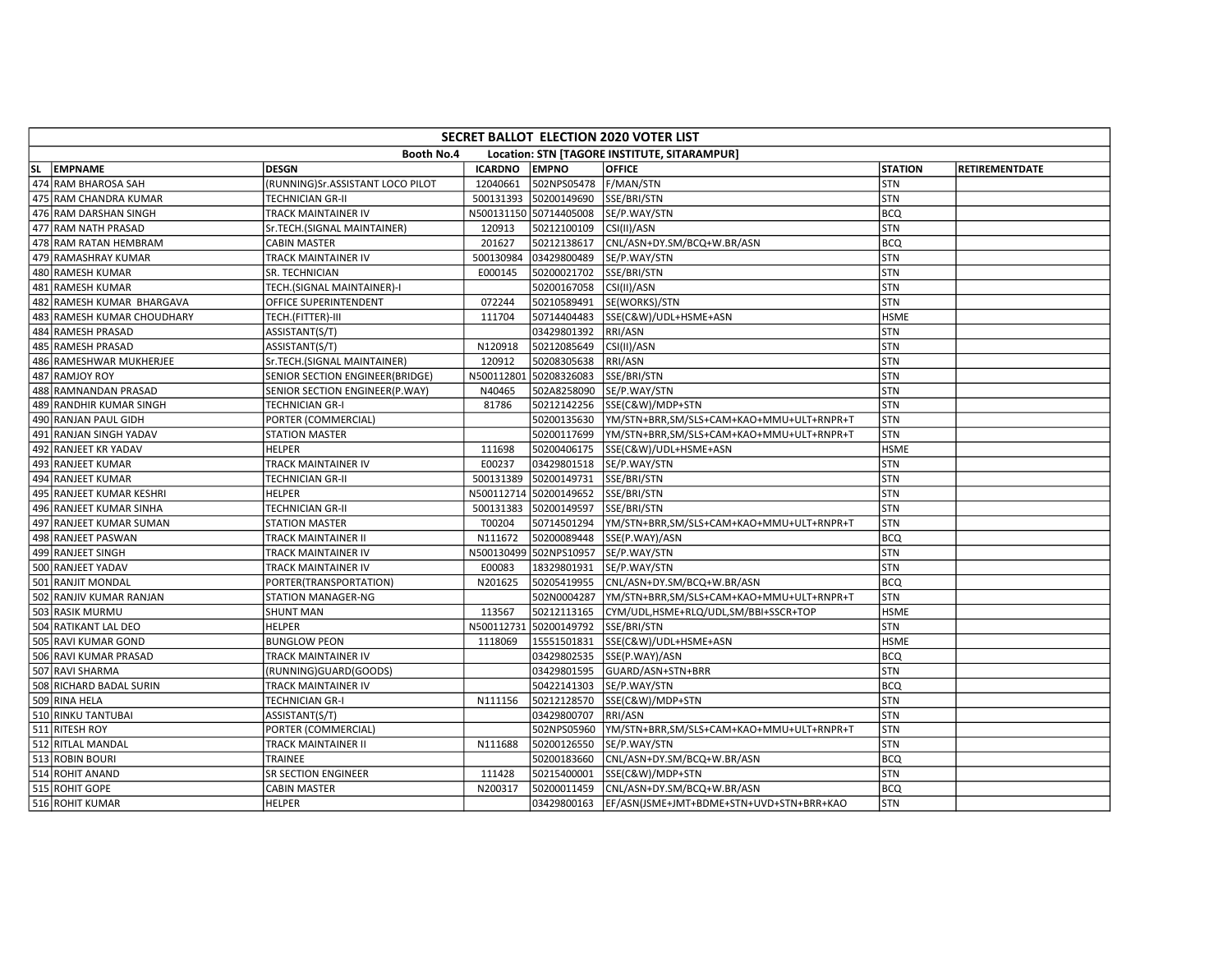| SECRET BALLOT ELECTION 2020 VOTER LIST |                                  |                |                        |                                              |                |                |  |  |  |  |
|----------------------------------------|----------------------------------|----------------|------------------------|----------------------------------------------|----------------|----------------|--|--|--|--|
|                                        | Booth No.4                       |                |                        | Location: STN [TAGORE INSTITUTE, SITARAMPUR] |                |                |  |  |  |  |
| SL EMPNAME                             | <b>DESGN</b>                     | <b>ICARDNO</b> | <b>EMPNO</b>           | <b>OFFICE</b>                                | <b>STATION</b> | RETIREMENTDATE |  |  |  |  |
| 474 RAM BHAROSA SAH                    | (RUNNING)Sr.ASSISTANT LOCO PILOT | 12040661       | 502NPS05478            | F/MAN/STN                                    | STN            |                |  |  |  |  |
| 475 RAM CHANDRA KUMAR                  | <b>TECHNICIAN GR-II</b>          | 500131393      | 50200149690            | SSE/BRI/STN                                  | STN            |                |  |  |  |  |
| 476 RAM DARSHAN SINGH                  | TRACK MAINTAINER IV              |                | N500131150 50714405008 | SE/P.WAY/STN                                 | <b>BCQ</b>     |                |  |  |  |  |
| 477 RAM NATH PRASAD                    | Sr.TECH.(SIGNAL MAINTAINER)      | 120913         | 50212100109            | CSI(II)/ASN                                  | STN            |                |  |  |  |  |
| 478 RAM RATAN HEMBRAM                  | <b>CABIN MASTER</b>              | 201627         | 50212138617            | CNL/ASN+DY.SM/BCQ+W.BR/ASN                   | <b>BCQ</b>     |                |  |  |  |  |
| 479 RAMASHRAY KUMAR                    | TRACK MAINTAINER IV              | 500130984      | 03429800489            | SE/P.WAY/STN                                 | STN            |                |  |  |  |  |
| 480 RAMESH KUMAR                       | SR. TECHNICIAN                   | E000145        | 50200021702            | SSE/BRI/STN                                  | <b>STN</b>     |                |  |  |  |  |
| 481 RAMESH KUMAR                       | TECH.(SIGNAL MAINTAINER)-I       |                | 50200167058            | CSI(II)/ASN                                  | <b>STN</b>     |                |  |  |  |  |
| 482 RAMESH KUMAR BHARGAVA              | OFFICE SUPERINTENDENT            | 072244         | 50210589491            | SE(WORKS)/STN                                | <b>STN</b>     |                |  |  |  |  |
| 483 RAMESH KUMAR CHOUDHARY             | TECH.(FITTER)-III                | 111704         | 50714404483            | SSE(C&W)/UDL+HSME+ASN                        | <b>HSME</b>    |                |  |  |  |  |
| 484 RAMESH PRASAD                      | ASSISTANT(S/T)                   |                | 03429801392            | RRI/ASN                                      | STN            |                |  |  |  |  |
| 485 RAMESH PRASAD                      | ASSISTANT(S/T)                   | N120918        | 50212085649            | CSI(II)/ASN                                  | <b>STN</b>     |                |  |  |  |  |
| 486 RAMESHWAR MUKHERJEE                | Sr.TECH.(SIGNAL MAINTAINER)      | 120912         | 50208305638            | RRI/ASN                                      | <b>STN</b>     |                |  |  |  |  |
| 487 RAMJOY ROY                         | SENIOR SECTION ENGINEER(BRIDGE)  | N500112801     | 50208326083            | SSE/BRI/STN                                  | <b>STN</b>     |                |  |  |  |  |
| 488 RAMNANDAN PRASAD                   | SENIOR SECTION ENGINEER(P.WAY)   | N40465         | 502A8258090            | SE/P.WAY/STN                                 | STN            |                |  |  |  |  |
| 489 RANDHIR KUMAR SINGH                | <b>TECHNICIAN GR-I</b>           | 81786          | 50212142256            | SSE(C&W)/MDP+STN                             | <b>STN</b>     |                |  |  |  |  |
| 490 RANJAN PAUL GIDH                   | PORTER (COMMERCIAL)              |                | 50200135630            | YM/STN+BRR,SM/SLS+CAM+KAO+MMU+ULT+RNPR+T     | <b>STN</b>     |                |  |  |  |  |
| 491 RANJAN SINGH YADAV                 | <b>STATION MASTER</b>            |                | 50200117699            | YM/STN+BRR,SM/SLS+CAM+KAO+MMU+ULT+RNPR+T     | <b>STN</b>     |                |  |  |  |  |
| 492 RANJEET KR YADAV                   | <b>HELPER</b>                    | 111698         | 50200406175            | SSE(C&W)/UDL+HSME+ASN                        | <b>HSME</b>    |                |  |  |  |  |
| 493 RANJEET KUMAR                      | TRACK MAINTAINER IV              | E00237         | 03429801518            | SE/P.WAY/STN                                 | <b>STN</b>     |                |  |  |  |  |
| 494 RANJEET KUMAR                      | <b>TECHNICIAN GR-II</b>          | 500131389      | 50200149731            | SSE/BRI/STN                                  | STN            |                |  |  |  |  |
| 495 RANJEET KUMAR KESHRI               | <b>HELPER</b>                    | N500112714     | 50200149652            | SSE/BRI/STN                                  | <b>STN</b>     |                |  |  |  |  |
| 496 RANJEET KUMAR SINHA                | <b>TECHNICIAN GR-II</b>          | 500131383      | 50200149597            | SSE/BRI/STN                                  | <b>STN</b>     |                |  |  |  |  |
| 497 RANJEET KUMAR SUMAN                | <b>STATION MASTER</b>            | T00204         | 50714501294            | YM/STN+BRR,SM/SLS+CAM+KAO+MMU+ULT+RNPR+T     | <b>STN</b>     |                |  |  |  |  |
| 498 RANJEET PASWAN                     | TRACK MAINTAINER II              | N111672        | 50200089448            | SSE(P.WAY)/ASN                               | <b>BCQ</b>     |                |  |  |  |  |
| 499 RANJEET SINGH                      | TRACK MAINTAINER IV              |                | N500130499 502NPS10957 | SE/P.WAY/STN                                 | <b>STN</b>     |                |  |  |  |  |
| 500 RANJEET YADAV                      | TRACK MAINTAINER IV              | E00083         | 18329801931            | SE/P.WAY/STN                                 | STN            |                |  |  |  |  |
| 501 RANJIT MONDAL                      | PORTER(TRANSPORTATION)           | N201625        | 50205419955            | CNL/ASN+DY.SM/BCQ+W.BR/ASN                   | <b>BCQ</b>     |                |  |  |  |  |
| 502 RANJIV KUMAR RANJAN                | STATION MANAGER-NG               |                | 502N0004287            | YM/STN+BRR,SM/SLS+CAM+KAO+MMU+ULT+RNPR+T     | <b>STN</b>     |                |  |  |  |  |
| 503 RASIK MURMU                        | <b>SHUNT MAN</b>                 | 113567         | 50212113165            | CYM/UDL,HSME+RLQ/UDL,SM/BBI+SSCR+TOP         | <b>HSME</b>    |                |  |  |  |  |
| 504 RATIKANT LAL DEO                   | <b>HELPER</b>                    | N500112731     | 50200149792            | SSE/BRI/STN                                  | <b>STN</b>     |                |  |  |  |  |
| 505 RAVI KUMAR GOND                    | <b>BUNGLOW PEON</b>              | 1118069        | 15551501831            | SSE(C&W)/UDL+HSME+ASN                        | <b>HSME</b>    |                |  |  |  |  |
| 506 RAVI KUMAR PRASAD                  | TRACK MAINTAINER IV              |                | 03429802535            | SSE(P.WAY)/ASN                               | <b>BCQ</b>     |                |  |  |  |  |
| 507 RAVI SHARMA                        | (RUNNING)GUARD(GOODS)            |                | 03429801595            | GUARD/ASN+STN+BRR                            | <b>STN</b>     |                |  |  |  |  |
| 508 RICHARD BADAL SURIN                | TRACK MAINTAINER IV              |                | 50422141303            | SE/P.WAY/STN                                 | <b>BCQ</b>     |                |  |  |  |  |
| 509 RINA HELA                          | <b>TECHNICIAN GR-I</b>           | N111156        | 50212128570            | SSE(C&W)/MDP+STN                             | <b>STN</b>     |                |  |  |  |  |
| 510 RINKU TANTUBAI                     | ASSISTANT(S/T)                   |                | 03429800707            | RRI/ASN                                      | <b>STN</b>     |                |  |  |  |  |
| 511 RITESH ROY                         | PORTER (COMMERCIAL)              |                | 502NPS05960            | YM/STN+BRR,SM/SLS+CAM+KAO+MMU+ULT+RNPR+T     | STN            |                |  |  |  |  |
| 512 RITLAL MANDAL                      | TRACK MAINTAINER II              | N111688        | 50200126550            | SE/P.WAY/STN                                 | <b>STN</b>     |                |  |  |  |  |
| 513 ROBIN BOURI                        | TRAINEE                          |                | 50200183660            | CNL/ASN+DY.SM/BCQ+W.BR/ASN                   | <b>BCQ</b>     |                |  |  |  |  |
| 514 ROHIT ANAND                        | SR SECTION ENGINEER              | 111428         | 50215400001            | SSE(C&W)/MDP+STN                             | <b>STN</b>     |                |  |  |  |  |
| 515 ROHIT GOPE                         | <b>CABIN MASTER</b>              | N200317        | 50200011459            | CNL/ASN+DY.SM/BCQ+W.BR/ASN                   | <b>BCQ</b>     |                |  |  |  |  |
| 516 ROHIT KUMAR                        | <b>HELPER</b>                    |                | 03429800163            | EF/ASN(JSME+JMT+BDME+STN+UVD+STN+BRR+KAO     | <b>STN</b>     |                |  |  |  |  |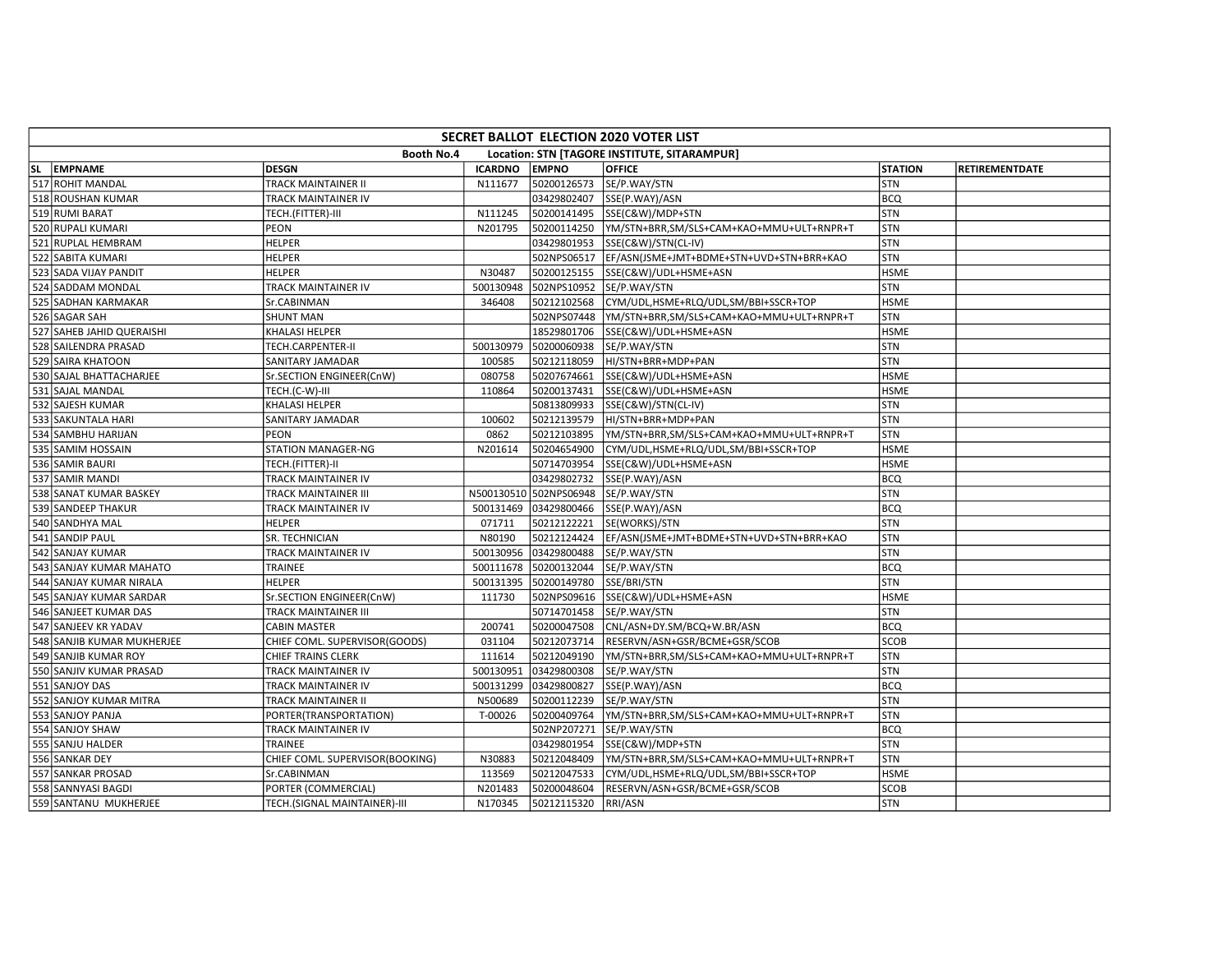| SECRET BALLOT ELECTION 2020 VOTER LIST |                                                                   |                                 |                |                        |                                          |                |                       |  |
|----------------------------------------|-------------------------------------------------------------------|---------------------------------|----------------|------------------------|------------------------------------------|----------------|-----------------------|--|
|                                        | <b>Booth No.4</b><br>Location: STN [TAGORE INSTITUTE, SITARAMPUR] |                                 |                |                        |                                          |                |                       |  |
|                                        | SL EMPNAME                                                        | <b>DESGN</b>                    | <b>ICARDNO</b> | <b>EMPNO</b>           | <b>OFFICE</b>                            | <b>STATION</b> | <b>RETIREMENTDATE</b> |  |
|                                        | 517 ROHIT MANDAL                                                  | TRACK MAINTAINER II             | N111677        | 50200126573            | SE/P.WAY/STN                             | <b>STN</b>     |                       |  |
|                                        | 518 ROUSHAN KUMAR                                                 | TRACK MAINTAINER IV             |                | 03429802407            | SSE(P.WAY)/ASN                           | <b>BCQ</b>     |                       |  |
|                                        | 519 RUMI BARAT                                                    | TECH.(FITTER)-III               | N111245        | 50200141495            | SSE(C&W)/MDP+STN                         | <b>STN</b>     |                       |  |
|                                        | 520 RUPALI KUMARI                                                 | PEON                            | N201795        | 50200114250            | YM/STN+BRR,SM/SLS+CAM+KAO+MMU+ULT+RNPR+T | STN            |                       |  |
|                                        | 521 RUPLAL HEMBRAM                                                | <b>HELPER</b>                   |                | 03429801953            | SSE(C&W)/STN(CL-IV)                      | STN            |                       |  |
|                                        | 522 SABITA KUMARI                                                 | <b>HELPER</b>                   |                | 502NPS06517            | EF/ASN(JSME+JMT+BDME+STN+UVD+STN+BRR+KAO | STN            |                       |  |
|                                        | 523 SADA VIJAY PANDIT                                             | HELPER                          | N30487         | 50200125155            | SSE(C&W)/UDL+HSME+ASN                    | <b>HSME</b>    |                       |  |
|                                        | 524 SADDAM MONDAL                                                 | TRACK MAINTAINER IV             | 500130948      | 502NPS10952            | SE/P.WAY/STN                             | STN            |                       |  |
|                                        | 525 SADHAN KARMAKAR                                               | Sr.CABINMAN                     | 346408         | 50212102568            | CYM/UDL,HSME+RLQ/UDL,SM/BBI+SSCR+TOP     | <b>HSME</b>    |                       |  |
|                                        | 526 SAGAR SAH                                                     | <b>SHUNT MAN</b>                |                | 502NPS07448            | YM/STN+BRR,SM/SLS+CAM+KAO+MMU+ULT+RNPR+T | STN            |                       |  |
|                                        | 527 SAHEB JAHID QUERAISHI                                         | KHALASI HELPER                  |                | 18529801706            | SSE(C&W)/UDL+HSME+ASN                    | <b>HSME</b>    |                       |  |
|                                        | 528 SAILENDRA PRASAD                                              | TECH.CARPENTER-II               | 500130979      | 50200060938            | SE/P.WAY/STN                             | STN            |                       |  |
|                                        | 529 SAIRA KHATOON                                                 | SANITARY JAMADAR                | 100585         | 50212118059            | HI/STN+BRR+MDP+PAN                       | STN            |                       |  |
|                                        | 530 SAJAL BHATTACHARJEE                                           | Sr.SECTION ENGINEER(CnW)        | 080758         | 50207674661            | SSE(C&W)/UDL+HSME+ASN                    | <b>HSME</b>    |                       |  |
|                                        | 531 SAJAL MANDAL                                                  | TECH.(C-W)-III                  | 110864         | 50200137431            | SSE(C&W)/UDL+HSME+ASN                    | <b>HSME</b>    |                       |  |
|                                        | 532 SAJESH KUMAR                                                  | KHALASI HELPER                  |                | 50813809933            | SSE(C&W)/STN(CL-IV)                      | STN            |                       |  |
|                                        | 533 SAKUNTALA HARI                                                | SANITARY JAMADAR                | 100602         | 50212139579            | HI/STN+BRR+MDP+PAN                       | STN            |                       |  |
|                                        | 534 SAMBHU HARIJAN                                                | <b>PEON</b>                     | 0862           | 50212103895            | YM/STN+BRR,SM/SLS+CAM+KAO+MMU+ULT+RNPR+T | <b>STN</b>     |                       |  |
|                                        | 535 SAMIM HOSSAIN                                                 | STATION MANAGER-NG              | N201614        | 50204654900            | CYM/UDL,HSME+RLQ/UDL,SM/BBI+SSCR+TOP     | <b>HSME</b>    |                       |  |
|                                        | 536 SAMIR BAURI                                                   | TECH.(FITTER)-II                |                | 50714703954            | SSE(C&W)/UDL+HSME+ASN                    | <b>HSME</b>    |                       |  |
|                                        | 537 SAMIR MANDI                                                   | TRACK MAINTAINER IV             |                | 03429802732            | SSE(P.WAY)/ASN                           | <b>BCQ</b>     |                       |  |
|                                        | 538 SANAT KUMAR BASKEY                                            | TRACK MAINTAINER III            |                | N500130510 502NPS06948 | SE/P.WAY/STN                             | <b>STN</b>     |                       |  |
|                                        | 539 SANDEEP THAKUR                                                | TRACK MAINTAINER IV             | 500131469      | 03429800466            | SSE(P.WAY)/ASN                           | <b>BCQ</b>     |                       |  |
|                                        | 540 SANDHYA MAL                                                   | HELPER                          | 071711         | 50212122221            | SE(WORKS)/STN                            | STN            |                       |  |
|                                        | 541 SANDIP PAUL                                                   | SR. TECHNICIAN                  | N80190         | 50212124424            | EF/ASN(JSME+JMT+BDME+STN+UVD+STN+BRR+KAO | STN            |                       |  |
|                                        | 542 SANJAY KUMAR                                                  | TRACK MAINTAINER IV             | 500130956      | 03429800488            | SE/P.WAY/STN                             | <b>STN</b>     |                       |  |
|                                        | 543 SANJAY KUMAR MAHATO                                           | TRAINEE                         | 500111678      | 50200132044            | SE/P.WAY/STN                             | <b>BCQ</b>     |                       |  |
|                                        | 544 SANJAY KUMAR NIRALA                                           | <b>HELPER</b>                   | 500131395      | 50200149780            | SSE/BRI/STN                              | STN            |                       |  |
|                                        | 545 SANJAY KUMAR SARDAR                                           | Sr.SECTION ENGINEER(CnW)        | 111730         | 502NPS09616            | SSE(C&W)/UDL+HSME+ASN                    | <b>HSME</b>    |                       |  |
|                                        | 546 SANJEET KUMAR DAS                                             | <b>TRACK MAINTAINER III</b>     |                | 50714701458            | SE/P.WAY/STN                             | STN            |                       |  |
|                                        | 547 SANJEEV KR YADAV                                              | <b>CABIN MASTER</b>             | 200741         | 50200047508            | CNL/ASN+DY.SM/BCQ+W.BR/ASN               | <b>BCQ</b>     |                       |  |
|                                        | 548 SANJIB KUMAR MUKHERJEE                                        | CHIEF COML. SUPERVISOR(GOODS)   | 031104         | 50212073714            | RESERVN/ASN+GSR/BCME+GSR/SCOB            | <b>SCOB</b>    |                       |  |
|                                        | 549 SANJIB KUMAR ROY                                              | CHIEF TRAINS CLERK              | 111614         | 50212049190            | YM/STN+BRR,SM/SLS+CAM+KAO+MMU+ULT+RNPR+T | STN            |                       |  |
|                                        | 550 SANJIV KUMAR PRASAD                                           | TRACK MAINTAINER IV             | 500130951      | 03429800308            | SE/P.WAY/STN                             | STN            |                       |  |
|                                        | 551 SANJOY DAS                                                    | TRACK MAINTAINER IV             | 500131299      | 03429800827            | SSE(P.WAY)/ASN                           | <b>BCQ</b>     |                       |  |
|                                        | 552 SANJOY KUMAR MITRA                                            | TRACK MAINTAINER II             | N500689        | 50200112239            | SE/P.WAY/STN                             | STN            |                       |  |
|                                        | 553 SANJOY PANJA                                                  | PORTER(TRANSPORTATION)          | T-00026        | 50200409764            | YM/STN+BRR,SM/SLS+CAM+KAO+MMU+ULT+RNPR+T | STN            |                       |  |
|                                        | 554 SANJOY SHAW                                                   | TRACK MAINTAINER IV             |                | 502NP207271            | SE/P.WAY/STN                             | <b>BCQ</b>     |                       |  |
|                                        | 555 SANJU HALDER                                                  | <b>TRAINEE</b>                  |                | 03429801954            | SSE(C&W)/MDP+STN                         | STN            |                       |  |
|                                        | 556 SANKAR DEY                                                    | CHIEF COML. SUPERVISOR(BOOKING) | N30883         | 50212048409            | YM/STN+BRR,SM/SLS+CAM+KAO+MMU+ULT+RNPR+T | STN            |                       |  |
|                                        | 557 SANKAR PROSAD                                                 | Sr.CABINMAN                     | 113569         | 50212047533            | CYM/UDL,HSME+RLQ/UDL,SM/BBI+SSCR+TOP     | <b>HSME</b>    |                       |  |
|                                        | 558 SANNYASI BAGDI                                                | PORTER (COMMERCIAL)             | N201483        | 50200048604            | RESERVN/ASN+GSR/BCME+GSR/SCOB            | SCOB           |                       |  |
|                                        | 559 SANTANU MUKHERJEE                                             | TECH.(SIGNAL MAINTAINER)-III    | N170345        | 50212115320            | RRI/ASN                                  | STN            |                       |  |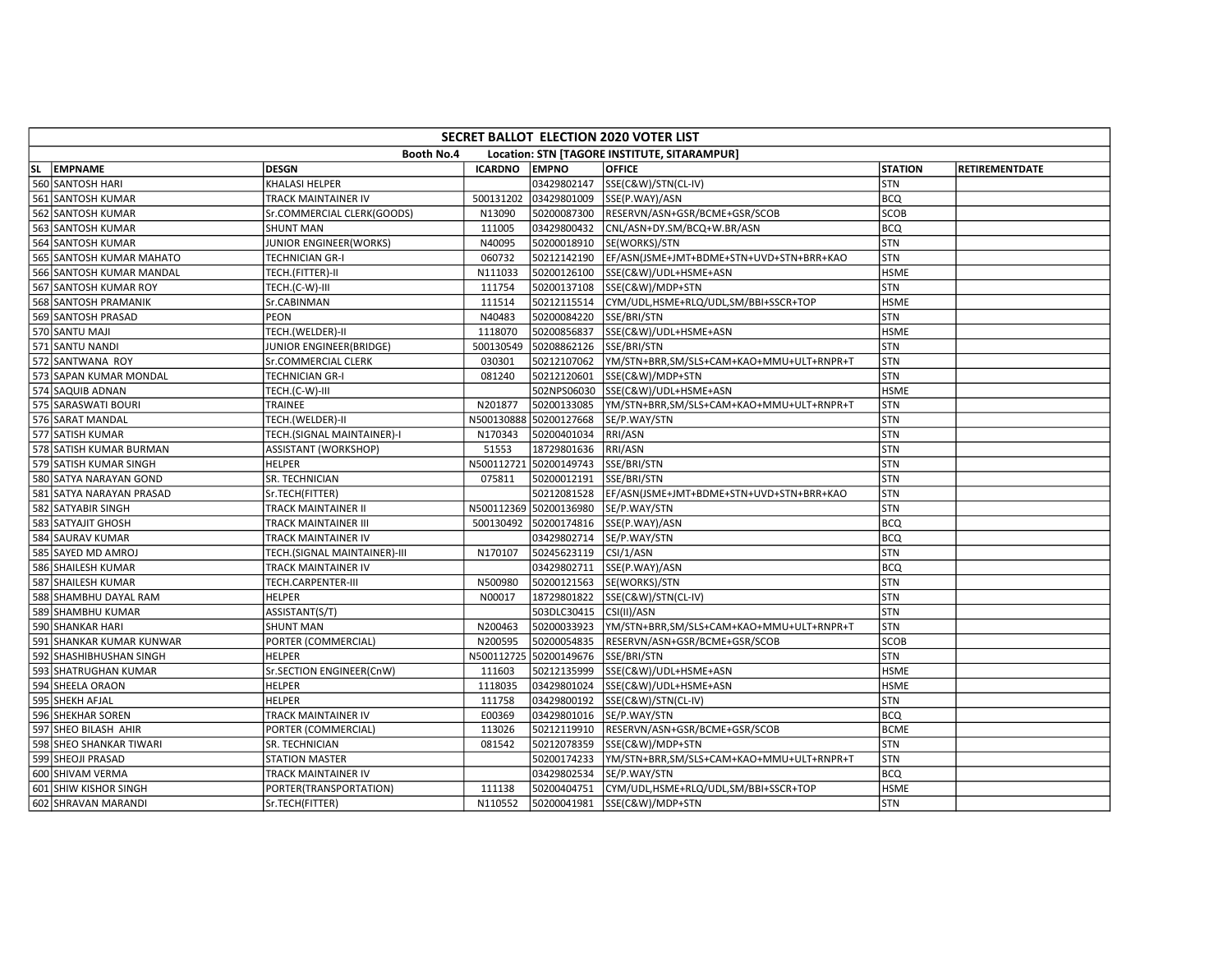| SECRET BALLOT ELECTION 2020 VOTER LIST                            |                          |                              |                |                        |                                          |                |                       |  |
|-------------------------------------------------------------------|--------------------------|------------------------------|----------------|------------------------|------------------------------------------|----------------|-----------------------|--|
| <b>Booth No.4</b><br>Location: STN [TAGORE INSTITUTE, SITARAMPUR] |                          |                              |                |                        |                                          |                |                       |  |
|                                                                   | SL EMPNAME               | <b>DESGN</b>                 | <b>ICARDNO</b> | <b>EMPNO</b>           | <b>OFFICE</b>                            | <b>STATION</b> | <b>RETIREMENTDATE</b> |  |
|                                                                   | 560 SANTOSH HARI         | KHALASI HELPER               |                | 03429802147            | SSE(C&W)/STN(CL-IV)                      | STN            |                       |  |
|                                                                   | 561 SANTOSH KUMAR        | TRACK MAINTAINER IV          | 500131202      | 03429801009            | SSE(P.WAY)/ASN                           | <b>BCQ</b>     |                       |  |
|                                                                   | 562 SANTOSH KUMAR        | Sr.COMMERCIAL CLERK(GOODS)   | N13090         | 50200087300            | RESERVN/ASN+GSR/BCME+GSR/SCOB            | <b>SCOB</b>    |                       |  |
|                                                                   | 563 SANTOSH KUMAR        | <b>SHUNT MAN</b>             | 111005         | 03429800432            | CNL/ASN+DY.SM/BCQ+W.BR/ASN               | <b>BCQ</b>     |                       |  |
|                                                                   | 564 SANTOSH KUMAR        | JUNIOR ENGINEER(WORKS)       | N40095         | 50200018910            | SE(WORKS)/STN                            | STN            |                       |  |
|                                                                   | 565 SANTOSH KUMAR MAHATO | TECHNICIAN GR-I              | 060732         | 50212142190            | EF/ASN(JSME+JMT+BDME+STN+UVD+STN+BRR+KAO | <b>STN</b>     |                       |  |
|                                                                   | 566 SANTOSH KUMAR MANDAL | TECH.(FITTER)-II             | N111033        | 50200126100            | SSE(C&W)/UDL+HSME+ASN                    | <b>HSME</b>    |                       |  |
|                                                                   | 567 SANTOSH KUMAR ROY    | TECH.(C-W)-III               | 111754         | 50200137108            | SSE(C&W)/MDP+STN                         | <b>STN</b>     |                       |  |
|                                                                   | 568 SANTOSH PRAMANIK     | Sr.CABINMAN                  | 111514         | 50212115514            | CYM/UDL,HSME+RLQ/UDL,SM/BBI+SSCR+TOP     | <b>HSME</b>    |                       |  |
|                                                                   | 569 SANTOSH PRASAD       | <b>PEON</b>                  | N40483         | 50200084220            | SSE/BRI/STN                              | STN            |                       |  |
|                                                                   | 570 SANTU MAJI           | TECH.(WELDER)-II             | 1118070        | 50200856837            | SSE(C&W)/UDL+HSME+ASN                    | <b>HSME</b>    |                       |  |
|                                                                   | 571 SANTU NANDI          | JUNIOR ENGINEER(BRIDGE)      | 500130549      | 50208862126            | SSE/BRI/STN                              | <b>STN</b>     |                       |  |
|                                                                   | 572 SANTWANA ROY         | Sr.COMMERCIAL CLERK          | 030301         | 50212107062            | YM/STN+BRR,SM/SLS+CAM+KAO+MMU+ULT+RNPR+T | <b>STN</b>     |                       |  |
|                                                                   | 573 SAPAN KUMAR MONDAL   | TECHNICIAN GR-I              | 081240         | 50212120601            | SSE(C&W)/MDP+STN                         | <b>STN</b>     |                       |  |
|                                                                   | 574 SAQUIB ADNAN         | TECH.(C-W)-III               |                | 502NPS06030            | SSE(C&W)/UDL+HSME+ASN                    | <b>HSME</b>    |                       |  |
|                                                                   | 575 SARASWATI BOURI      | TRAINEE                      | N201877        | 50200133085            | YM/STN+BRR,SM/SLS+CAM+KAO+MMU+ULT+RNPR+T | STN            |                       |  |
|                                                                   | 576 SARAT MANDAL         | TECH.(WELDER)-II             | N500130888     | 50200127668            | SE/P.WAY/STN                             | STN            |                       |  |
|                                                                   | 577 SATISH KUMAR         | TECH.(SIGNAL MAINTAINER)-I   | N170343        | 50200401034            | RRI/ASN                                  | STN            |                       |  |
|                                                                   | 578 SATISH KUMAR BURMAN  | ASSISTANT (WORKSHOP)         | 51553          | 18729801636            | RRI/ASN                                  | STN            |                       |  |
|                                                                   | 579 SATISH KUMAR SINGH   | HELPER                       | N500112721     | 50200149743            | SSE/BRI/STN                              | STN            |                       |  |
|                                                                   | 580 SATYA NARAYAN GOND   | SR. TECHNICIAN               | 075811         | 50200012191            | SSE/BRI/STN                              | STN            |                       |  |
|                                                                   | 581 SATYA NARAYAN PRASAD | Sr.TECH(FITTER)              |                | 50212081528            | EF/ASN(JSME+JMT+BDME+STN+UVD+STN+BRR+KAO | STN            |                       |  |
|                                                                   | 582 SATYABIR SINGH       | TRACK MAINTAINER II          |                | N500112369 50200136980 | SE/P.WAY/STN                             | STN            |                       |  |
|                                                                   | 583 SATYAJIT GHOSH       | TRACK MAINTAINER III         | 500130492      | 50200174816            | SSE(P.WAY)/ASN                           | <b>BCQ</b>     |                       |  |
|                                                                   | 584 SAURAV KUMAR         | TRACK MAINTAINER IV          |                | 03429802714            | SE/P.WAY/STN                             | <b>BCQ</b>     |                       |  |
|                                                                   | 585 SAYED MD AMROJ       | TECH.(SIGNAL MAINTAINER)-III | N170107        | 50245623119            | CSI/1/ASN                                | <b>STN</b>     |                       |  |
|                                                                   | 586 SHAILESH KUMAR       | TRACK MAINTAINER IV          |                | 03429802711            | SSE(P.WAY)/ASN                           | <b>BCQ</b>     |                       |  |
|                                                                   | 587 SHAILESH KUMAR       | TECH.CARPENTER-III           | N500980        | 50200121563            | SE(WORKS)/STN                            | STN            |                       |  |
|                                                                   | 588 SHAMBHU DAYAL RAM    | <b>HELPER</b>                | N00017         | 18729801822            | SSE(C&W)/STN(CL-IV)                      | STN            |                       |  |
|                                                                   | 589 SHAMBHU KUMAR        | ASSISTANT(S/T)               |                | 503DLC30415            | CSI(II)/ASN                              | STN            |                       |  |
|                                                                   | 590 SHANKAR HARI         | <b>SHUNT MAN</b>             | N200463        | 50200033923            | YM/STN+BRR,SM/SLS+CAM+KAO+MMU+ULT+RNPR+T | STN            |                       |  |
|                                                                   | 591 SHANKAR KUMAR KUNWAR | PORTER (COMMERCIAL)          | N200595        | 50200054835            | RESERVN/ASN+GSR/BCME+GSR/SCOB            | <b>SCOB</b>    |                       |  |
|                                                                   | 592 SHASHIBHUSHAN SINGH  | HELPER                       | N500112725     | 50200149676            | SSE/BRI/STN                              | STN            |                       |  |
|                                                                   | 593 SHATRUGHAN KUMAR     | Sr.SECTION ENGINEER(CnW)     | 111603         | 50212135999            | SSE(C&W)/UDL+HSME+ASN                    | <b>HSME</b>    |                       |  |
|                                                                   | 594 SHEELA ORAON         | <b>HELPER</b>                | 1118035        | 03429801024            | SSE(C&W)/UDL+HSME+ASN                    | <b>HSME</b>    |                       |  |
|                                                                   | 595 SHEKH AFJAL          | <b>HELPER</b>                | 111758         | 03429800192            | SSE(C&W)/STN(CL-IV)                      | STN            |                       |  |
|                                                                   | 596 SHEKHAR SOREN        | TRACK MAINTAINER IV          | E00369         | 03429801016            | SE/P.WAY/STN                             | <b>BCQ</b>     |                       |  |
|                                                                   | 597 SHEO BILASH AHIR     | PORTER (COMMERCIAL)          | 113026         | 50212119910            | RESERVN/ASN+GSR/BCME+GSR/SCOB            | <b>BCME</b>    |                       |  |
|                                                                   | 598 SHEO SHANKAR TIWARI  | SR. TECHNICIAN               | 081542         | 50212078359            | SSE(C&W)/MDP+STN                         | STN            |                       |  |
|                                                                   | 599 SHEOJI PRASAD        | <b>STATION MASTER</b>        |                | 50200174233            | YM/STN+BRR,SM/SLS+CAM+KAO+MMU+ULT+RNPR+T | STN            |                       |  |
|                                                                   | 600 SHIVAM VERMA         | TRACK MAINTAINER IV          |                | 03429802534            | SE/P.WAY/STN                             | <b>BCQ</b>     |                       |  |
|                                                                   | 601 SHIW KISHOR SINGH    | PORTER(TRANSPORTATION)       | 111138         | 50200404751            | CYM/UDL,HSME+RLQ/UDL,SM/BBI+SSCR+TOP     | <b>HSME</b>    |                       |  |
|                                                                   | 602 SHRAVAN MARANDI      | Sr.TECH(FITTER)              | N110552        | 50200041981            | SSE(C&W)/MDP+STN                         | STN            |                       |  |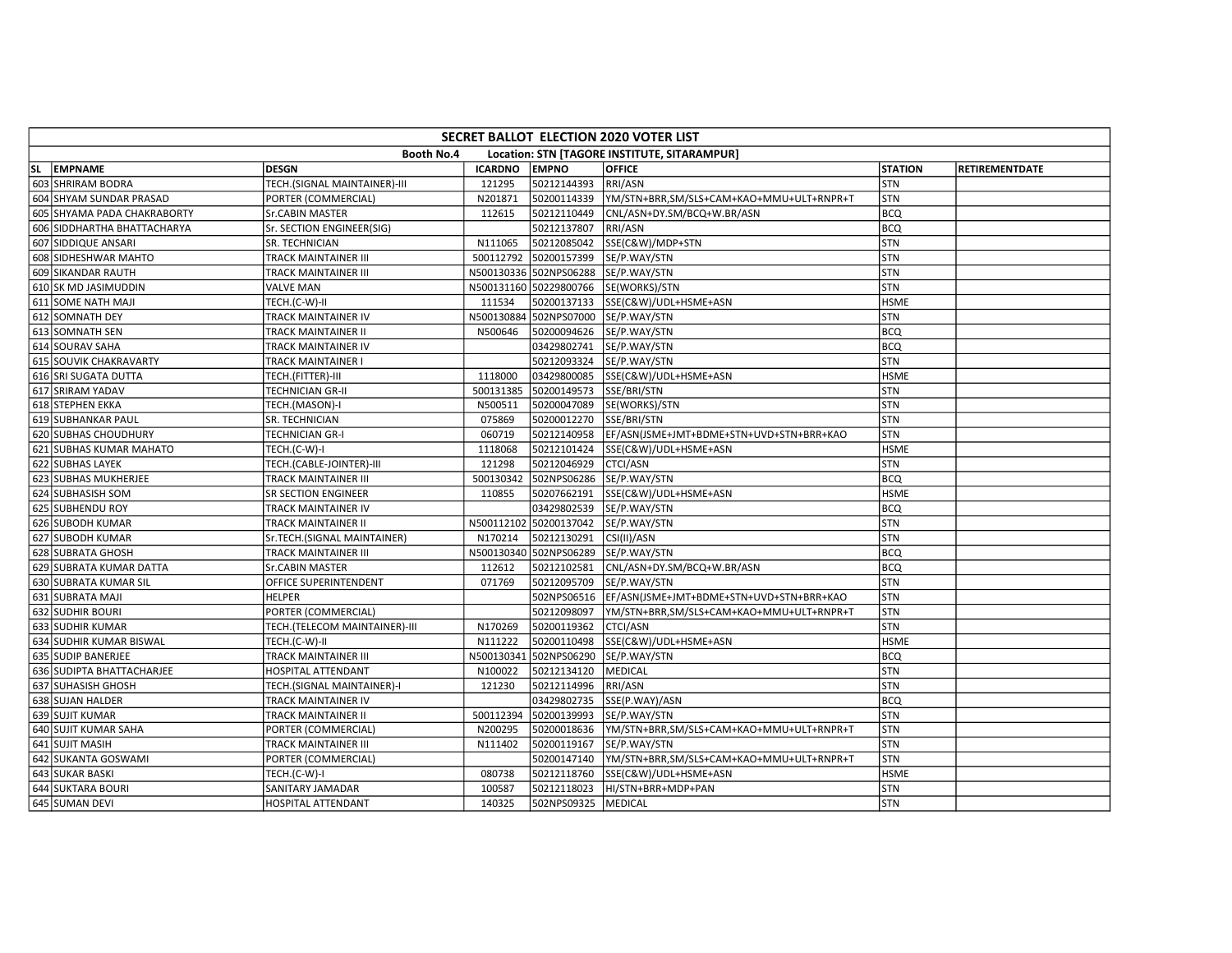| SECRET BALLOT ELECTION 2020 VOTER LIST                            |                             |                               |                |                        |                                          |                |                       |  |
|-------------------------------------------------------------------|-----------------------------|-------------------------------|----------------|------------------------|------------------------------------------|----------------|-----------------------|--|
| <b>Booth No.4</b><br>Location: STN [TAGORE INSTITUTE, SITARAMPUR] |                             |                               |                |                        |                                          |                |                       |  |
|                                                                   | SL EMPNAME                  | <b>DESGN</b>                  | <b>ICARDNO</b> | <b>EMPNO</b>           | <b>OFFICE</b>                            | <b>STATION</b> | <b>RETIREMENTDATE</b> |  |
|                                                                   | 603 SHRIRAM BODRA           | TECH.(SIGNAL MAINTAINER)-III  | 121295         | 50212144393            | RRI/ASN                                  | STN            |                       |  |
|                                                                   | 604 SHYAM SUNDAR PRASAD     | PORTER (COMMERCIAL)           | N201871        | 50200114339            | YM/STN+BRR,SM/SLS+CAM+KAO+MMU+ULT+RNPR+T | STN            |                       |  |
|                                                                   | 605 SHYAMA PADA CHAKRABORTY | Sr.CABIN MASTER               | 112615         | 50212110449            | CNL/ASN+DY.SM/BCQ+W.BR/ASN               | <b>BCQ</b>     |                       |  |
|                                                                   | 606 SIDDHARTHA BHATTACHARYA | Sr. SECTION ENGINEER(SIG)     |                | 50212137807            | RRI/ASN                                  | <b>BCQ</b>     |                       |  |
|                                                                   | 607 SIDDIQUE ANSARI         | SR. TECHNICIAN                | N111065        | 50212085042            | SSE(C&W)/MDP+STN                         | STN            |                       |  |
|                                                                   | 608 SIDHESHWAR MAHTO        | TRACK MAINTAINER III          | 500112792      | 50200157399            | SE/P.WAY/STN                             | STN            |                       |  |
|                                                                   | 609 SIKANDAR RAUTH          | TRACK MAINTAINER III          |                | N500130336 502NPS06288 | SE/P.WAY/STN                             | STN            |                       |  |
|                                                                   | 610 SK MD JASIMUDDIN        | <b>VALVE MAN</b>              |                | N500131160 50229800766 | SE(WORKS)/STN                            | <b>STN</b>     |                       |  |
|                                                                   | 611 SOME NATH MAJI          | TECH.(C-W)-II                 | 111534         | 50200137133            | SSE(C&W)/UDL+HSME+ASN                    | <b>HSME</b>    |                       |  |
|                                                                   | 612 SOMNATH DEY             | TRACK MAINTAINER IV           |                | N500130884 502NPS07000 | SE/P.WAY/STN                             | STN            |                       |  |
|                                                                   | 613 SOMNATH SEN             | TRACK MAINTAINER II           | N500646        | 50200094626            | SE/P.WAY/STN                             | BCQ            |                       |  |
|                                                                   | 614 SOURAV SAHA             | TRACK MAINTAINER IV           |                | 03429802741            | SE/P.WAY/STN                             | <b>BCQ</b>     |                       |  |
|                                                                   | 615 SOUVIK CHAKRAVARTY      | TRACK MAINTAINER I            |                | 50212093324            | SE/P.WAY/STN                             | STN            |                       |  |
|                                                                   | 616 SRI SUGATA DUTTA        | TECH.(FITTER)-III             | 1118000        | 03429800085            | SSE(C&W)/UDL+HSME+ASN                    | <b>HSME</b>    |                       |  |
|                                                                   | 617 SRIRAM YADAV            | TECHNICIAN GR-II              | 500131385      | 50200149573            | SSE/BRI/STN                              | STN            |                       |  |
|                                                                   | 618 STEPHEN EKKA            | TECH.(MASON)-I                | N500511        | 50200047089            | SE(WORKS)/STN                            | STN            |                       |  |
|                                                                   | 619 SUBHANKAR PAUL          | SR. TECHNICIAN                | 075869         | 50200012270            | SSE/BRI/STN                              | STN            |                       |  |
|                                                                   | 620 SUBHAS CHOUDHURY        | <b>TECHNICIAN GR-I</b>        | 060719         | 50212140958            | EF/ASN(JSME+JMT+BDME+STN+UVD+STN+BRR+KAO | STN            |                       |  |
|                                                                   | 621 SUBHAS KUMAR MAHATO     | TECH.(C-W)-I                  | 1118068        | 50212101424            | SSE(C&W)/UDL+HSME+ASN                    | <b>HSME</b>    |                       |  |
|                                                                   | 622 SUBHAS LAYEK            | TECH.(CABLE-JOINTER)-III      | 121298         | 50212046929            | CTCI/ASN                                 | STN            |                       |  |
|                                                                   | 623 SUBHAS MUKHERJEE        | TRACK MAINTAINER III          | 500130342      | 502NPS06286            | SE/P.WAY/STN                             | BCQ            |                       |  |
|                                                                   | 624 SUBHASISH SOM           | SR SECTION ENGINEER           | 110855         | 50207662191            | SSE(C&W)/UDL+HSME+ASN                    | <b>HSME</b>    |                       |  |
|                                                                   | 625 SUBHENDU ROY            | TRACK MAINTAINER IV           |                | 03429802539            | SE/P.WAY/STN                             | <b>BCQ</b>     |                       |  |
|                                                                   | 626 SUBODH KUMAR            | TRACK MAINTAINER II           | N500112102     | 50200137042            | SE/P.WAY/STN                             | STN            |                       |  |
|                                                                   | 627 SUBODH KUMAR            | Sr.TECH.(SIGNAL MAINTAINER)   | N170214        | 50212130291            | CSI(II)/ASN                              | STN            |                       |  |
|                                                                   | 628 SUBRATA GHOSH           | TRACK MAINTAINER III          |                | N500130340 502NPS06289 | SE/P.WAY/STN                             | <b>BCQ</b>     |                       |  |
|                                                                   | 629 SUBRATA KUMAR DATTA     | Sr.CABIN MASTER               | 112612         | 50212102581            | CNL/ASN+DY.SM/BCQ+W.BR/ASN               | <b>BCQ</b>     |                       |  |
|                                                                   | 630 SUBRATA KUMAR SIL       | OFFICE SUPERINTENDENT         | 071769         | 50212095709            | SE/P.WAY/STN                             | STN            |                       |  |
|                                                                   | 631 SUBRATA MAJI            | HELPER                        |                | 502NPS06516            | EF/ASN(JSME+JMT+BDME+STN+UVD+STN+BRR+KAO | STN            |                       |  |
|                                                                   | 632 SUDHIR BOURI            | PORTER (COMMERCIAL)           |                | 50212098097            | YM/STN+BRR,SM/SLS+CAM+KAO+MMU+ULT+RNPR+T | <b>STN</b>     |                       |  |
|                                                                   | 633 SUDHIR KUMAR            | TECH.(TELECOM MAINTAINER)-III | N170269        | 50200119362            | <b>CTCI/ASN</b>                          | <b>STN</b>     |                       |  |
|                                                                   | 634 SUDHIR KUMAR BISWAL     | TECH.(C-W)-II                 | N111222        | 50200110498            | SSE(C&W)/UDL+HSME+ASN                    | <b>HSME</b>    |                       |  |
|                                                                   | 635 SUDIP BANERJEE          | TRACK MAINTAINER III          | N500130341     | 502NPS06290            | SE/P.WAY/STN                             | <b>BCQ</b>     |                       |  |
|                                                                   | 636 SUDIPTA BHATTACHARJEE   | HOSPITAL ATTENDANT            | N100022        | 50212134120            | MEDICAL                                  | STN            |                       |  |
|                                                                   | 637 SUHASISH GHOSH          | TECH.(SIGNAL MAINTAINER)-I    | 121230         | 50212114996            | RRI/ASN                                  | STN            |                       |  |
|                                                                   | 638 SUJAN HALDER            | TRACK MAINTAINER IV           |                | 03429802735            | SSE(P.WAY)/ASN                           | BCQ            |                       |  |
|                                                                   | 639 SUJIT KUMAR             | TRACK MAINTAINER II           | 500112394      | 50200139993            | SE/P.WAY/STN                             | STN            |                       |  |
|                                                                   | 640 SUJIT KUMAR SAHA        | PORTER (COMMERCIAL)           | N200295        | 50200018636            | YM/STN+BRR,SM/SLS+CAM+KAO+MMU+ULT+RNPR+T | STN            |                       |  |
|                                                                   | 641 SUJIT MASIH             | TRACK MAINTAINER III          | N111402        | 50200119167            | SE/P.WAY/STN                             | STN            |                       |  |
|                                                                   | 642 SUKANTA GOSWAMI         | PORTER (COMMERCIAL)           |                | 50200147140            | YM/STN+BRR,SM/SLS+CAM+KAO+MMU+ULT+RNPR+T | STN            |                       |  |
|                                                                   | 643 SUKAR BASKI             | TECH.(C-W)-I                  | 080738         | 50212118760            | SSE(C&W)/UDL+HSME+ASN                    | <b>HSME</b>    |                       |  |
|                                                                   | 644 SUKTARA BOURI           | SANITARY JAMADAR              | 100587         | 50212118023            | HI/STN+BRR+MDP+PAN                       | STN            |                       |  |
|                                                                   | 645 SUMAN DEVI              | HOSPITAL ATTENDANT            | 140325         | 502NPS09325            | MEDICAL                                  | STN            |                       |  |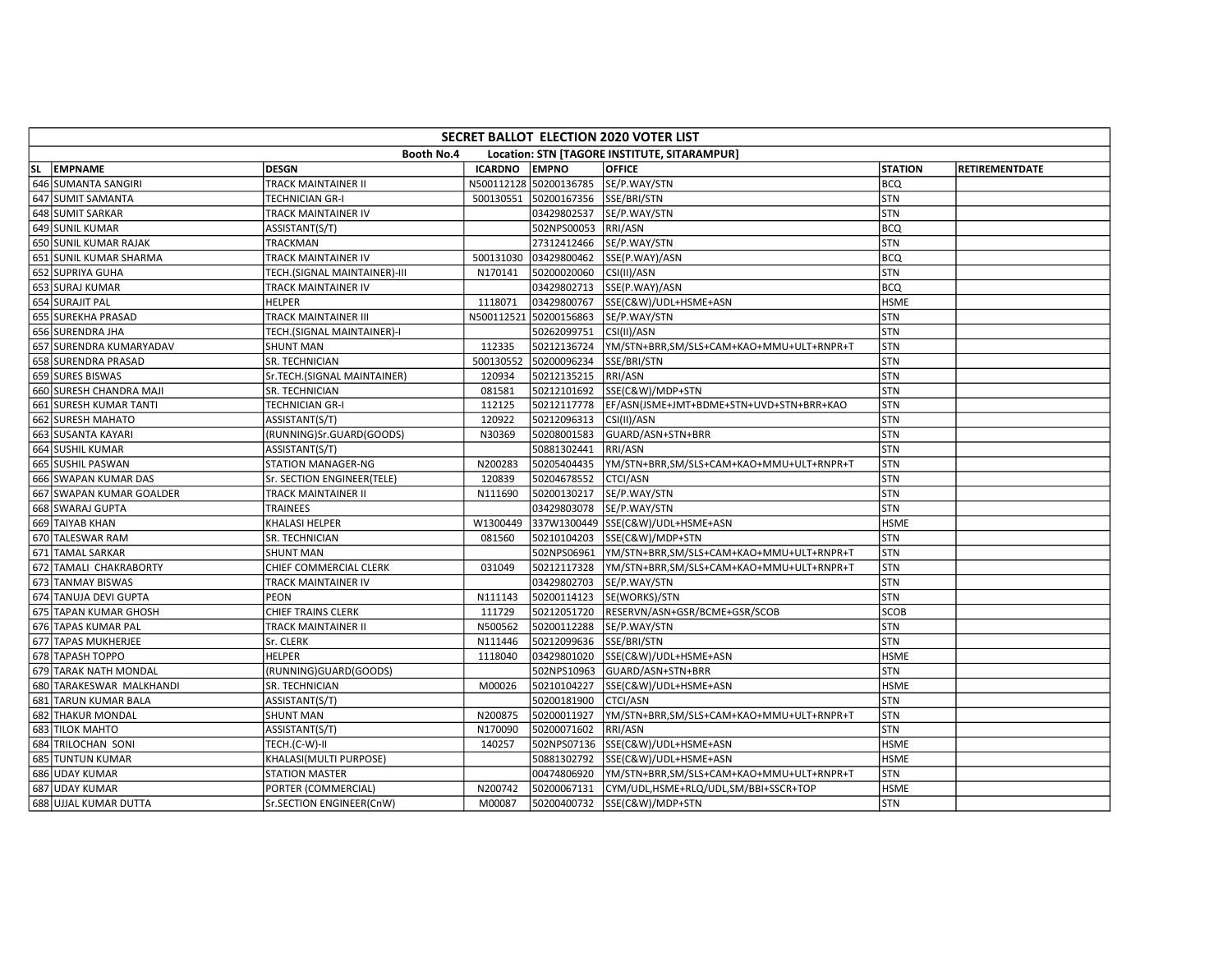| SECRET BALLOT ELECTION 2020 VOTER LIST                     |                          |                              |                |                        |                                          |                |                       |  |
|------------------------------------------------------------|--------------------------|------------------------------|----------------|------------------------|------------------------------------------|----------------|-----------------------|--|
| Booth No.4<br>Location: STN [TAGORE INSTITUTE, SITARAMPUR] |                          |                              |                |                        |                                          |                |                       |  |
|                                                            | SL EMPNAME               | <b>DESGN</b>                 | <b>ICARDNO</b> | <b>EMPNO</b>           | <b>OFFICE</b>                            | <b>STATION</b> | <b>RETIREMENTDATE</b> |  |
|                                                            | 646 SUMANTA SANGIRI      | TRACK MAINTAINER II          |                | N500112128 50200136785 | SE/P.WAY/STN                             | <b>BCQ</b>     |                       |  |
|                                                            | 647 SUMIT SAMANTA        | TECHNICIAN GR-I              | 500130551      | 50200167356            | SSE/BRI/STN                              | STN            |                       |  |
|                                                            | 648 SUMIT SARKAR         | TRACK MAINTAINER IV          |                | 03429802537            | SE/P.WAY/STN                             | STN            |                       |  |
|                                                            | 649 SUNIL KUMAR          | ASSISTANT(S/T)               |                | 502NPS00053            | RRI/ASN                                  | <b>BCQ</b>     |                       |  |
|                                                            | 650 SUNIL KUMAR RAJAK    | TRACKMAN                     |                | 27312412466            | SE/P.WAY/STN                             | STN            |                       |  |
|                                                            | 651 SUNIL KUMAR SHARMA   | TRACK MAINTAINER IV          | 500131030      | 03429800462            | SSE(P.WAY)/ASN                           | BCQ            |                       |  |
|                                                            | 652 SUPRIYA GUHA         | TECH.(SIGNAL MAINTAINER)-III | N170141        | 50200020060            | CSI(II)/ASN                              | STN            |                       |  |
|                                                            | 653 SURAJ KUMAR          | TRACK MAINTAINER IV          |                | 03429802713            | SSE(P.WAY)/ASN                           | <b>BCQ</b>     |                       |  |
|                                                            | 654 SURAJIT PAL          | <b>HELPER</b>                | 1118071        | 03429800767            | SSE(C&W)/UDL+HSME+ASN                    | <b>HSME</b>    |                       |  |
|                                                            | 655 SUREKHA PRASAD       | TRACK MAINTAINER III         |                | N500112521 50200156863 | SE/P.WAY/STN                             | STN            |                       |  |
|                                                            | 656 SURENDRA JHA         | TECH.(SIGNAL MAINTAINER)-I   |                | 50262099751            | CSI(II)/ASN                              | STN            |                       |  |
|                                                            | 657 SURENDRA KUMARYADAV  | <b>SHUNT MAN</b>             | 112335         | 50212136724            | YM/STN+BRR,SM/SLS+CAM+KAO+MMU+ULT+RNPR+T | <b>STN</b>     |                       |  |
|                                                            | 658 SURENDRA PRASAD      | SR. TECHNICIAN               | 500130552      | 50200096234            | SSE/BRI/STN                              | STN            |                       |  |
|                                                            | 659 SURES BISWAS         | Sr.TECH.(SIGNAL MAINTAINER)  | 120934         | 50212135215            | RRI/ASN                                  | <b>STN</b>     |                       |  |
|                                                            | 660 SURESH CHANDRA MAJI  | SR. TECHNICIAN               | 081581         | 50212101692            | SSE(C&W)/MDP+STN                         | STN            |                       |  |
|                                                            | 661 SURESH KUMAR TANTI   | TECHNICIAN GR-I              | 112125         | 50212117778            | EF/ASN(JSME+JMT+BDME+STN+UVD+STN+BRR+KAO | STN            |                       |  |
|                                                            | 662 SURESH MAHATO        | ASSISTANT(S/T)               | 120922         | 50212096313            | CSI(II)/ASN                              | STN            |                       |  |
|                                                            | 663 SUSANTA KAYARI       | (RUNNING)Sr.GUARD(GOODS)     | N30369         | 50208001583            | GUARD/ASN+STN+BRR                        | STN            |                       |  |
|                                                            | 664 SUSHIL KUMAR         | ASSISTANT(S/T)               |                | 50881302441            | RRI/ASN                                  | STN            |                       |  |
|                                                            | 665 SUSHIL PASWAN        | STATION MANAGER-NG           | N200283        | 50205404435            | YM/STN+BRR,SM/SLS+CAM+KAO+MMU+ULT+RNPR+T | STN            |                       |  |
|                                                            | 666 SWAPAN KUMAR DAS     | Sr. SECTION ENGINEER(TELE)   | 120839         | 50204678552            | <b>CTCI/ASN</b>                          | STN            |                       |  |
|                                                            | 667 SWAPAN KUMAR GOALDER | TRACK MAINTAINER II          | N111690        | 50200130217            | SE/P.WAY/STN                             | STN            |                       |  |
|                                                            | 668 SWARAJ GUPTA         | TRAINEES                     |                | 03429803078            | SE/P.WAY/STN                             | STN            |                       |  |
|                                                            | 669 TAIYAB KHAN          | KHALASI HELPER               | W1300449       |                        | 337W1300449 SSE(C&W)/UDL+HSME+ASN        | <b>HSME</b>    |                       |  |
|                                                            | 670 TALESWAR RAM         | SR. TECHNICIAN               | 081560         | 50210104203            | SSE(C&W)/MDP+STN                         | STN            |                       |  |
|                                                            | 671 TAMAL SARKAR         | <b>SHUNT MAN</b>             |                | 502NPS06961            | YM/STN+BRR,SM/SLS+CAM+KAO+MMU+ULT+RNPR+T | STN            |                       |  |
|                                                            | 672 TAMALI CHAKRABORTY   | CHIEF COMMERCIAL CLERK       | 031049         | 50212117328            | YM/STN+BRR,SM/SLS+CAM+KAO+MMU+ULT+RNPR+T | <b>STN</b>     |                       |  |
|                                                            | 673 TANMAY BISWAS        | TRACK MAINTAINER IV          |                | 03429802703            | SE/P.WAY/STN                             | STN            |                       |  |
|                                                            | 674 TANUJA DEVI GUPTA    | PEON                         | N111143        | 50200114123            | SE(WORKS)/STN                            | STN            |                       |  |
|                                                            | 675 TAPAN KUMAR GHOSH    | CHIEF TRAINS CLERK           | 111729         | 50212051720            | RESERVN/ASN+GSR/BCME+GSR/SCOB            | <b>SCOB</b>    |                       |  |
|                                                            | 676 TAPAS KUMAR PAL      | TRACK MAINTAINER II          | N500562        | 50200112288            | SE/P.WAY/STN                             | STN            |                       |  |
|                                                            | 677 TAPAS MUKHERJEE      | Sr. CLERK                    | N111446        | 50212099636            | SSE/BRI/STN                              | STN            |                       |  |
|                                                            | 678 TAPASH TOPPO         | HELPER                       | 1118040        | 03429801020            | SSE(C&W)/UDL+HSME+ASN                    | <b>HSME</b>    |                       |  |
|                                                            | 679 TARAK NATH MONDAL    | (RUNNING)GUARD(GOODS)        |                | 502NPS10963            | GUARD/ASN+STN+BRR                        | <b>STN</b>     |                       |  |
|                                                            | 680 TARAKESWAR MALKHANDI | SR. TECHNICIAN               | M00026         | 50210104227            | SSE(C&W)/UDL+HSME+ASN                    | <b>HSME</b>    |                       |  |
|                                                            | 681 TARUN KUMAR BALA     | ASSISTANT(S/T)               |                | 50200181900            | <b>CTCI/ASN</b>                          | STN            |                       |  |
|                                                            | 682 THAKUR MONDAL        | <b>SHUNT MAN</b>             | N200875        | 50200011927            | YM/STN+BRR,SM/SLS+CAM+KAO+MMU+ULT+RNPR+T | STN            |                       |  |
|                                                            | 683 TILOK MAHTO          | ASSISTANT(S/T)               | N170090        | 50200071602            | RRI/ASN                                  | STN            |                       |  |
|                                                            | 684 TRILOCHAN SONI       | TECH.(C-W)-II                | 140257         | 502NPS07136            | SSE(C&W)/UDL+HSME+ASN                    | <b>HSME</b>    |                       |  |
|                                                            | 685 TUNTUN KUMAR         | KHALASI(MULTI PURPOSE)       |                | 50881302792            | SSE(C&W)/UDL+HSME+ASN                    | <b>HSME</b>    |                       |  |
|                                                            | 686 UDAY KUMAR           | <b>STATION MASTER</b>        |                | 00474806920            | YM/STN+BRR,SM/SLS+CAM+KAO+MMU+ULT+RNPR+T | <b>STN</b>     |                       |  |
|                                                            | 687 UDAY KUMAR           | PORTER (COMMERCIAL)          | N200742        | 50200067131            | CYM/UDL,HSME+RLQ/UDL,SM/BBI+SSCR+TOP     | <b>HSME</b>    |                       |  |
|                                                            | 688 UJJAL KUMAR DUTTA    | Sr.SECTION ENGINEER(CnW)     | M00087         |                        | 50200400732 SSE(C&W)/MDP+STN             | STN            |                       |  |